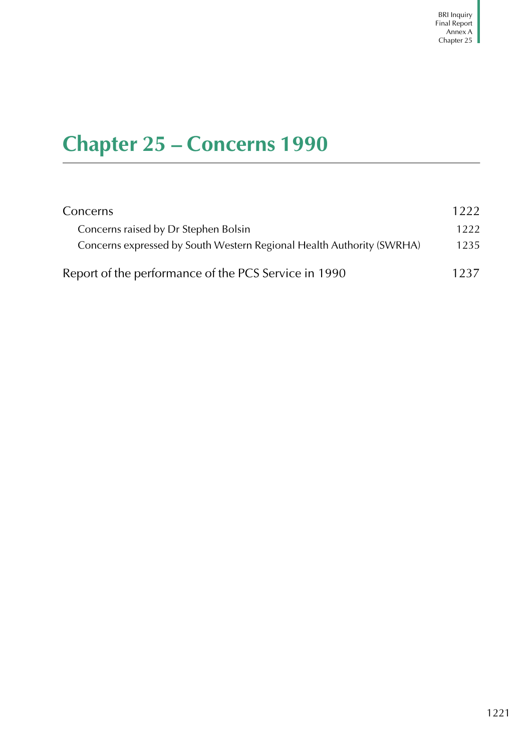# <span id="page-0-0"></span>**Chapter 25 – Concerns 1990**

| Concerns                                                              | 1222 |
|-----------------------------------------------------------------------|------|
| Concerns raised by Dr Stephen Bolsin                                  | 1222 |
| Concerns expressed by South Western Regional Health Authority (SWRHA) | 1235 |
| Report of the performance of the PCS Service in 1990                  | 1237 |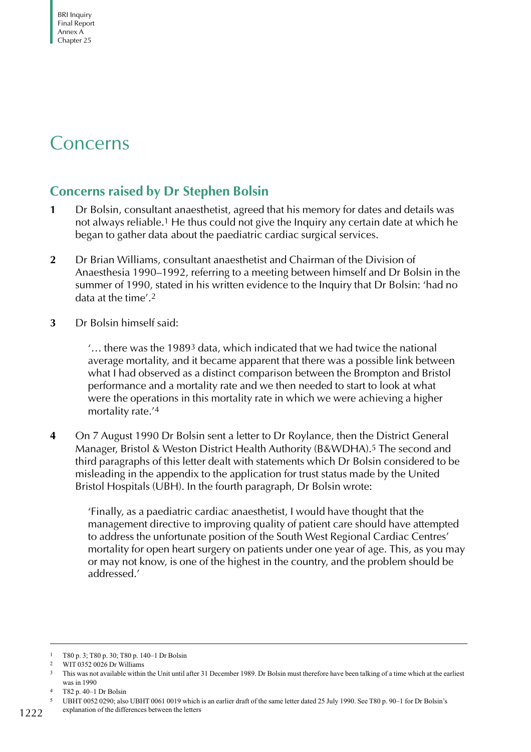## <span id="page-1-0"></span>Concerns

## <span id="page-1-1"></span>**Concerns raised by Dr Stephen Bolsin**

- **1** Dr Bolsin, consultant anaesthetist, agreed that his memory for dates and details was not always reliable.1 He thus could not give the Inquiry any certain date at which he began to gather data about the paediatric cardiac surgical services.
- **2** Dr Brian Williams, consultant anaesthetist and Chairman of the Division of Anaesthesia 1990–1992, referring to a meeting between himself and Dr Bolsin in the summer of 1990, stated in his written evidence to the Inquiry that Dr Bolsin: 'had no data at the time'.2
- **3** Dr Bolsin himself said:

'… there was the 19893 data, which indicated that we had twice the national average mortality, and it became apparent that there was a possible link between what I had observed as a distinct comparison between the Brompton and Bristol performance and a mortality rate and we then needed to start to look at what were the operations in this mortality rate in which we were achieving a higher mortality rate.'4

**4** On 7 August 1990 Dr Bolsin sent a letter to Dr Roylance, then the District General Manager, Bristol & Weston District Health Authority (B&WDHA).5 The second and third paragraphs of this letter dealt with statements which Dr Bolsin considered to be misleading in the appendix to the application for trust status made by the United Bristol Hospitals (UBH). In the fourth paragraph, Dr Bolsin wrote:

'Finally, as a paediatric cardiac anaesthetist, I would have thought that the management directive to improving quality of patient care should have attempted to address the unfortunate position of the South West Regional Cardiac Centres' mortality for open heart surgery on patients under one year of age. This, as you may or may not know, is one of the highest in the country, and the problem should be addressed.'

- 5 UBHT 0052 0290; also UBHT 0061 0019 which is an earlier draft of the same letter dated 25 July 1990. See T80 p. 90–1 for Dr Bolsin's
- explanation of the differences between the letters

<sup>1</sup> T80 p. 3; T80 p. 30; T80 p. 140–1 Dr Bolsin

<sup>2</sup> WIT 0352 0026 Dr Williams

<sup>&</sup>lt;sup>3</sup> This was not available within the Unit until after 31 December 1989. Dr Bolsin must therefore have been talking of a time which at the earliest was in 1990

<sup>4</sup> T82 p. 40–1 Dr Bolsin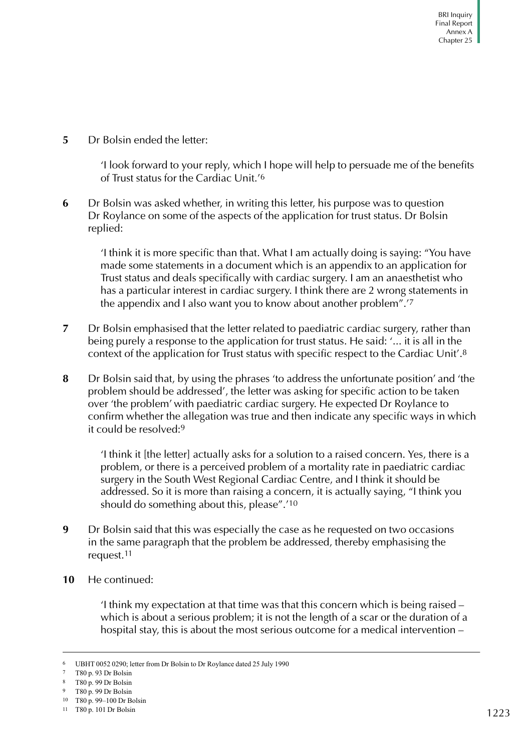**5** Dr Bolsin ended the letter:

'I look forward to your reply, which I hope will help to persuade me of the benefits of Trust status for the Cardiac Unit.'6

**6** Dr Bolsin was asked whether, in writing this letter, his purpose was to question Dr Roylance on some of the aspects of the application for trust status. Dr Bolsin replied:

'I think it is more specific than that. What I am actually doing is saying: "You have made some statements in a document which is an appendix to an application for Trust status and deals specifically with cardiac surgery. I am an anaesthetist who has a particular interest in cardiac surgery. I think there are 2 wrong statements in the appendix and I also want you to know about another problem".'7

- **7** Dr Bolsin emphasised that the letter related to paediatric cardiac surgery, rather than being purely a response to the application for trust status. He said: '... it is all in the context of the application for Trust status with specific respect to the Cardiac Unit'.8
- **8** Dr Bolsin said that, by using the phrases 'to address the unfortunate position' and 'the problem should be addressed', the letter was asking for specific action to be taken over 'the problem' with paediatric cardiac surgery. He expected Dr Roylance to confirm whether the allegation was true and then indicate any specific ways in which it could be resolved:9

'I think it [the letter] actually asks for a solution to a raised concern. Yes, there is a problem, or there is a perceived problem of a mortality rate in paediatric cardiac surgery in the South West Regional Cardiac Centre, and I think it should be addressed. So it is more than raising a concern, it is actually saying, "I think you should do something about this, please".'10

- **9** Dr Bolsin said that this was especially the case as he requested on two occasions in the same paragraph that the problem be addressed, thereby emphasising the request.11
- **10** He continued:

'I think my expectation at that time was that this concern which is being raised – which is about a serious problem; it is not the length of a scar or the duration of a hospital stay, this is about the most serious outcome for a medical intervention –

<sup>6</sup> UBHT 0052 0290; letter from Dr Bolsin to Dr Roylance dated 25 July 1990

<sup>7</sup> T80 p. 93 Dr Bolsin

<sup>8</sup> T80 p. 99 Dr Bolsin

<sup>9</sup> T80 p. 99 Dr Bolsin

<sup>10</sup> T80 p. 99–100 Dr Bolsin

<sup>11</sup> T80 p. 101 Dr Bolsin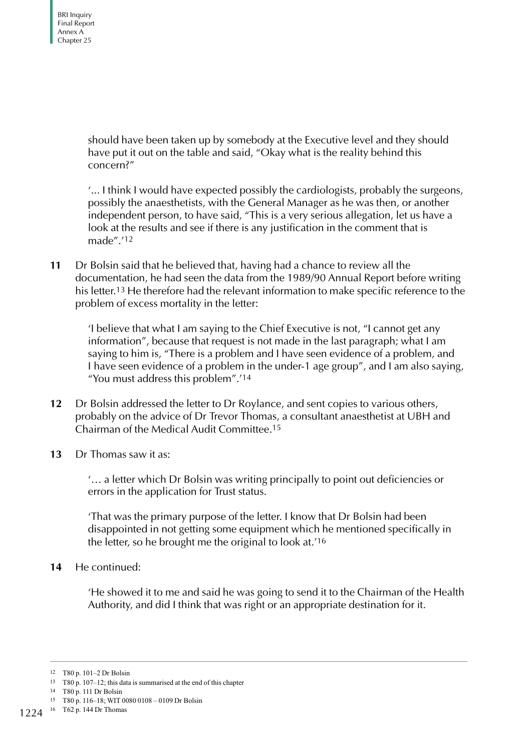should have been taken up by somebody at the Executive level and they should have put it out on the table and said, "Okay what is the reality behind this concern?"

'... I think I would have expected possibly the cardiologists, probably the surgeons, possibly the anaesthetists, with the General Manager as he was then, or another independent person, to have said, "This is a very serious allegation, let us have a look at the results and see if there is any justification in the comment that is made".'12

**11** Dr Bolsin said that he believed that, having had a chance to review all the documentation, he had seen the data from the 1989/90 Annual Report before writing his letter.13 He therefore had the relevant information to make specific reference to the problem of excess mortality in the letter:

'I believe that what I am saying to the Chief Executive is not, "I cannot get any information", because that request is not made in the last paragraph; what I am saying to him is, "There is a problem and I have seen evidence of a problem, and I have seen evidence of a problem in the under-1 age group", and I am also saying, "You must address this problem".'14

- **12** Dr Bolsin addressed the letter to Dr Roylance, and sent copies to various others, probably on the advice of Dr Trevor Thomas, a consultant anaesthetist at UBH and Chairman of the Medical Audit Committee.15
- **13** Dr Thomas saw it as:

'… a letter which Dr Bolsin was writing principally to point out deficiencies or errors in the application for Trust status.

'That was the primary purpose of the letter. I know that Dr Bolsin had been disappointed in not getting some equipment which he mentioned specifically in the letter, so he brought me the original to look at.'16

**14** He continued:

'He showed it to me and said he was going to send it to the Chairman of the Health Authority, and did I think that was right or an appropriate destination for it.

<sup>12</sup> T80 p. 101–2 Dr Bolsin

<sup>13</sup> T80 p. 107–12; this data is summarised at the end of this chapter

<sup>14</sup> T80 p. 111 Dr Bolsin

<sup>15</sup> T80 p. 116–18; WIT 0080 0108 – 0109 Dr Bolsin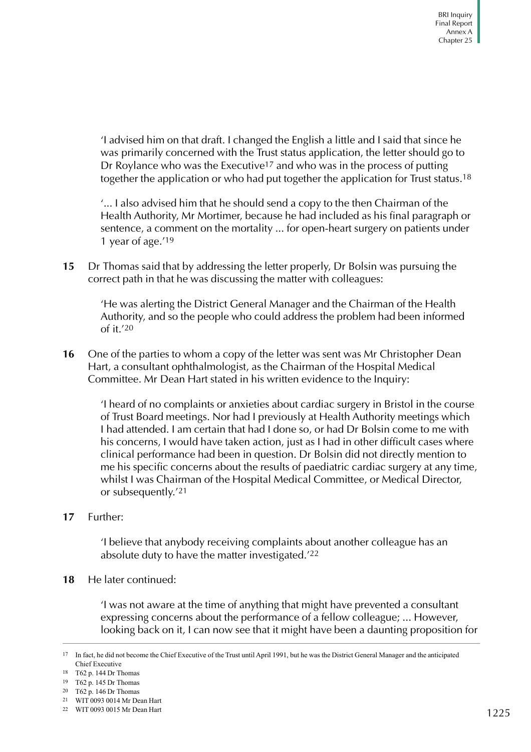'I advised him on that draft. I changed the English a little and I said that since he was primarily concerned with the Trust status application, the letter should go to Dr Roylance who was the Executive17 and who was in the process of putting together the application or who had put together the application for Trust status.18

'... I also advised him that he should send a copy to the then Chairman of the Health Authority, Mr Mortimer, because he had included as his final paragraph or sentence, a comment on the mortality ... for open-heart surgery on patients under 1 year of age.'19

**15** Dr Thomas said that by addressing the letter properly, Dr Bolsin was pursuing the correct path in that he was discussing the matter with colleagues:

'He was alerting the District General Manager and the Chairman of the Health Authority, and so the people who could address the problem had been informed of it.'20

**16** One of the parties to whom a copy of the letter was sent was Mr Christopher Dean Hart, a consultant ophthalmologist, as the Chairman of the Hospital Medical Committee. Mr Dean Hart stated in his written evidence to the Inquiry:

'I heard of no complaints or anxieties about cardiac surgery in Bristol in the course of Trust Board meetings. Nor had I previously at Health Authority meetings which I had attended. I am certain that had I done so, or had Dr Bolsin come to me with his concerns, I would have taken action, just as I had in other difficult cases where clinical performance had been in question. Dr Bolsin did not directly mention to me his specific concerns about the results of paediatric cardiac surgery at any time, whilst I was Chairman of the Hospital Medical Committee, or Medical Director, or subsequently.'21

**17** Further:

'I believe that anybody receiving complaints about another colleague has an absolute duty to have the matter investigated.'22

**18** He later continued:

'I was not aware at the time of anything that might have prevented a consultant expressing concerns about the performance of a fellow colleague; ... However, looking back on it, I can now see that it might have been a daunting proposition for

<sup>17</sup> In fact, he did not become the Chief Executive of the Trust until April 1991, but he was the District General Manager and the anticipated Chief Executive

<sup>18</sup> T62 p. 144 Dr Thomas

<sup>19</sup> T62 p. 145 Dr Thomas

<sup>20</sup> T62 p. 146 Dr Thomas

<sup>21</sup> WIT 0093 0014 Mr Dean Hart

<sup>22</sup> WIT 0093 0015 Mr Dean Hart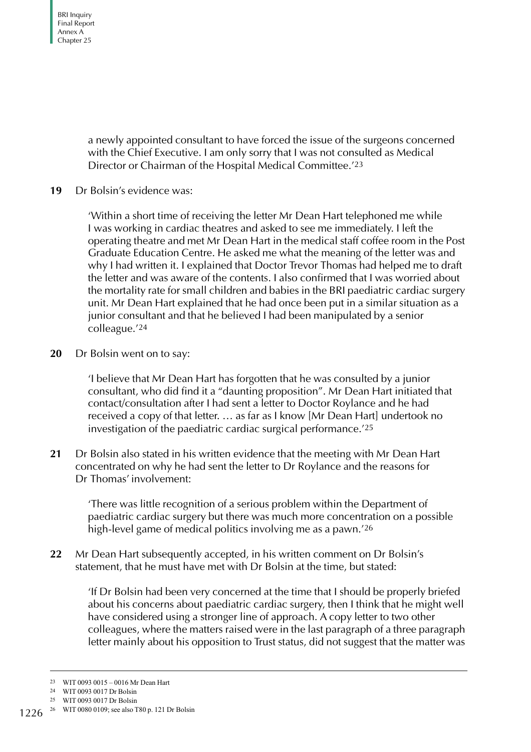a newly appointed consultant to have forced the issue of the surgeons concerned with the Chief Executive. I am only sorry that I was not consulted as Medical Director or Chairman of the Hospital Medical Committee.'23

**19** Dr Bolsin's evidence was:

'Within a short time of receiving the letter Mr Dean Hart telephoned me while I was working in cardiac theatres and asked to see me immediately. I left the operating theatre and met Mr Dean Hart in the medical staff coffee room in the Post Graduate Education Centre. He asked me what the meaning of the letter was and why I had written it. I explained that Doctor Trevor Thomas had helped me to draft the letter and was aware of the contents. I also confirmed that I was worried about the mortality rate for small children and babies in the BRI paediatric cardiac surgery unit. Mr Dean Hart explained that he had once been put in a similar situation as a junior consultant and that he believed I had been manipulated by a senior colleague.'24

**20** Dr Bolsin went on to say:

'I believe that Mr Dean Hart has forgotten that he was consulted by a junior consultant, who did find it a "daunting proposition". Mr Dean Hart initiated that contact/consultation after I had sent a letter to Doctor Roylance and he had received a copy of that letter. … as far as I know [Mr Dean Hart] undertook no investigation of the paediatric cardiac surgical performance.'25

**21** Dr Bolsin also stated in his written evidence that the meeting with Mr Dean Hart concentrated on why he had sent the letter to Dr Roylance and the reasons for Dr Thomas' involvement:

'There was little recognition of a serious problem within the Department of paediatric cardiac surgery but there was much more concentration on a possible high-level game of medical politics involving me as a pawn.'26

**22** Mr Dean Hart subsequently accepted, in his written comment on Dr Bolsin's statement, that he must have met with Dr Bolsin at the time, but stated:

> 'If Dr Bolsin had been very concerned at the time that I should be properly briefed about his concerns about paediatric cardiac surgery, then I think that he might well have considered using a stronger line of approach. A copy letter to two other colleagues, where the matters raised were in the last paragraph of a three paragraph letter mainly about his opposition to Trust status, did not suggest that the matter was

<sup>23</sup> WIT 0093 0015 – 0016 Mr Dean Hart

<sup>24</sup> WIT 0093 0017 Dr Bolsin

<sup>25</sup> WIT 0093 0017 Dr Bolsin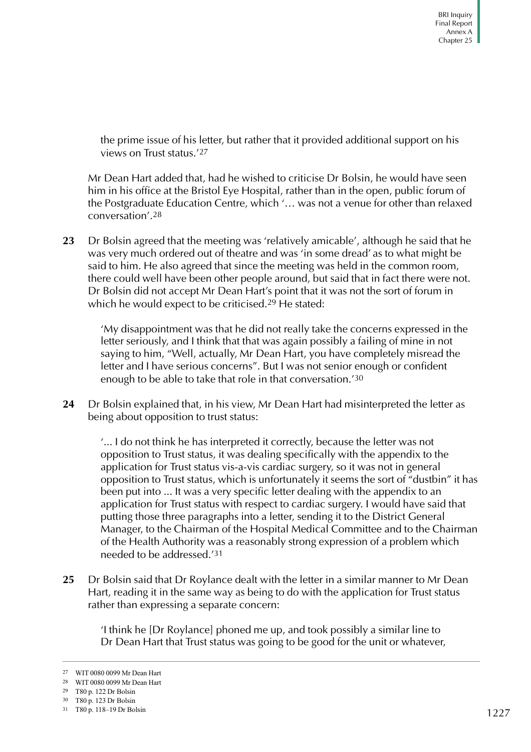the prime issue of his letter, but rather that it provided additional support on his views on Trust status.'27

Mr Dean Hart added that, had he wished to criticise Dr Bolsin, he would have seen him in his office at the Bristol Eye Hospital, rather than in the open, public forum of the Postgraduate Education Centre, which '… was not a venue for other than relaxed conversation'.28

**23** Dr Bolsin agreed that the meeting was 'relatively amicable', although he said that he was very much ordered out of theatre and was 'in some dread' as to what might be said to him. He also agreed that since the meeting was held in the common room, there could well have been other people around, but said that in fact there were not. Dr Bolsin did not accept Mr Dean Hart's point that it was not the sort of forum in which he would expect to be criticised.<sup>29</sup> He stated:

'My disappointment was that he did not really take the concerns expressed in the letter seriously, and I think that that was again possibly a failing of mine in not saying to him, "Well, actually, Mr Dean Hart, you have completely misread the letter and I have serious concerns". But I was not senior enough or confident enough to be able to take that role in that conversation.'30

**24** Dr Bolsin explained that, in his view, Mr Dean Hart had misinterpreted the letter as being about opposition to trust status:

'... I do not think he has interpreted it correctly, because the letter was not opposition to Trust status, it was dealing specifically with the appendix to the application for Trust status vis-a-vis cardiac surgery, so it was not in general opposition to Trust status, which is unfortunately it seems the sort of "dustbin" it has been put into ... It was a very specific letter dealing with the appendix to an application for Trust status with respect to cardiac surgery. I would have said that putting those three paragraphs into a letter, sending it to the District General Manager, to the Chairman of the Hospital Medical Committee and to the Chairman of the Health Authority was a reasonably strong expression of a problem which needed to be addressed.'31

**25** Dr Bolsin said that Dr Roylance dealt with the letter in a similar manner to Mr Dean Hart, reading it in the same way as being to do with the application for Trust status rather than expressing a separate concern:

'I think he [Dr Roylance] phoned me up, and took possibly a similar line to Dr Dean Hart that Trust status was going to be good for the unit or whatever,

<sup>27</sup> WIT 0080 0099 Mr Dean Hart

<sup>28</sup> WIT 0080 0099 Mr Dean Hart

<sup>29</sup> T80 p. 122 Dr Bolsin

<sup>30</sup> T80 p. 123 Dr Bolsin

<sup>31</sup> T80 p. 118–19 Dr Bolsin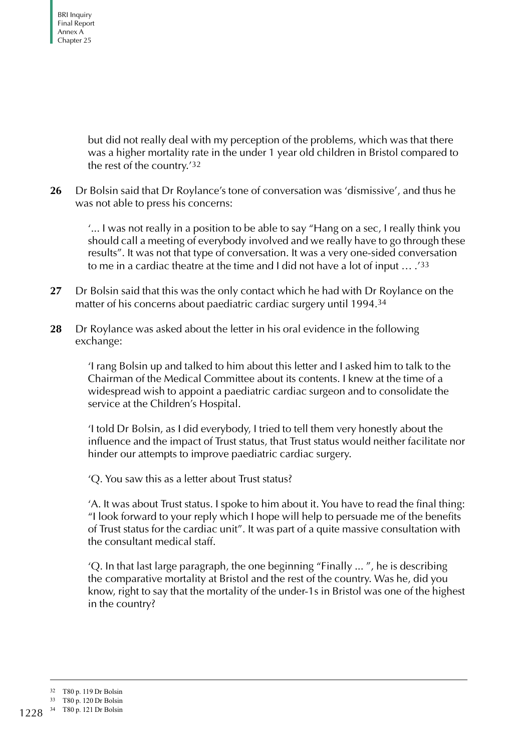but did not really deal with my perception of the problems, which was that there was a higher mortality rate in the under 1 year old children in Bristol compared to the rest of the country.'32

**26** Dr Bolsin said that Dr Roylance's tone of conversation was 'dismissive', and thus he was not able to press his concerns:

'... I was not really in a position to be able to say "Hang on a sec, I really think you should call a meeting of everybody involved and we really have to go through these results". It was not that type of conversation. It was a very one-sided conversation to me in a cardiac theatre at the time and I did not have a lot of input … .'33

- **27** Dr Bolsin said that this was the only contact which he had with Dr Roylance on the matter of his concerns about paediatric cardiac surgery until 1994.34
- **28** Dr Roylance was asked about the letter in his oral evidence in the following exchange:

'I rang Bolsin up and talked to him about this letter and I asked him to talk to the Chairman of the Medical Committee about its contents. I knew at the time of a widespread wish to appoint a paediatric cardiac surgeon and to consolidate the service at the Children's Hospital.

'I told Dr Bolsin, as I did everybody, I tried to tell them very honestly about the influence and the impact of Trust status, that Trust status would neither facilitate nor hinder our attempts to improve paediatric cardiac surgery.

'Q. You saw this as a letter about Trust status?

'A. It was about Trust status. I spoke to him about it. You have to read the final thing: "I look forward to your reply which I hope will help to persuade me of the benefits of Trust status for the cardiac unit". It was part of a quite massive consultation with the consultant medical staff.

'Q. In that last large paragraph, the one beginning "Finally ... ", he is describing the comparative mortality at Bristol and the rest of the country. Was he, did you know, right to say that the mortality of the under-1s in Bristol was one of the highest in the country?

<sup>32</sup> T80 p. 119 Dr Bolsin

<sup>33</sup> T80 p. 120 Dr Bolsin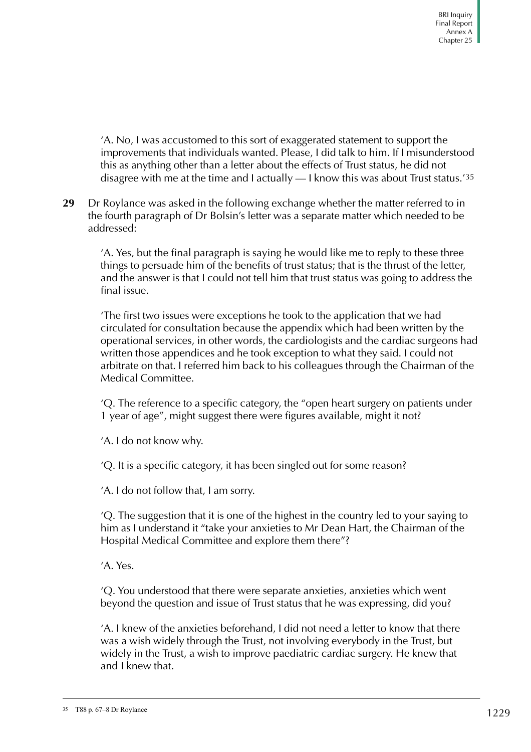'A. No, I was accustomed to this sort of exaggerated statement to support the improvements that individuals wanted. Please, I did talk to him. If I misunderstood this as anything other than a letter about the effects of Trust status, he did not disagree with me at the time and I actually  $-1$  know this was about Trust status.<sup>735</sup>

**29** Dr Roylance was asked in the following exchange whether the matter referred to in the fourth paragraph of Dr Bolsin's letter was a separate matter which needed to be addressed:

'A. Yes, but the final paragraph is saying he would like me to reply to these three things to persuade him of the benefits of trust status; that is the thrust of the letter, and the answer is that I could not tell him that trust status was going to address the final issue.

'The first two issues were exceptions he took to the application that we had circulated for consultation because the appendix which had been written by the operational services, in other words, the cardiologists and the cardiac surgeons had written those appendices and he took exception to what they said. I could not arbitrate on that. I referred him back to his colleagues through the Chairman of the Medical Committee.

'Q. The reference to a specific category, the "open heart surgery on patients under 1 year of age", might suggest there were figures available, might it not?

'A. I do not know why.

'Q. It is a specific category, it has been singled out for some reason?

'A. I do not follow that, I am sorry.

'Q. The suggestion that it is one of the highest in the country led to your saying to him as I understand it "take your anxieties to Mr Dean Hart, the Chairman of the Hospital Medical Committee and explore them there"?

'A. Yes.

'Q. You understood that there were separate anxieties, anxieties which went beyond the question and issue of Trust status that he was expressing, did you?

'A. I knew of the anxieties beforehand, I did not need a letter to know that there was a wish widely through the Trust, not involving everybody in the Trust, but widely in the Trust, a wish to improve paediatric cardiac surgery. He knew that and I knew that.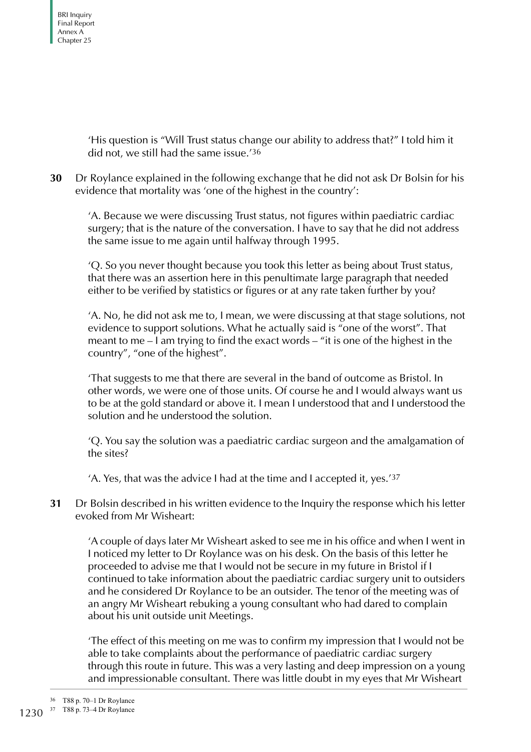'His question is "Will Trust status change our ability to address that?" I told him it did not, we still had the same issue.'36

**30** Dr Roylance explained in the following exchange that he did not ask Dr Bolsin for his evidence that mortality was 'one of the highest in the country':

'A. Because we were discussing Trust status, not figures within paediatric cardiac surgery; that is the nature of the conversation. I have to say that he did not address the same issue to me again until halfway through 1995.

'Q. So you never thought because you took this letter as being about Trust status, that there was an assertion here in this penultimate large paragraph that needed either to be verified by statistics or figures or at any rate taken further by you?

'A. No, he did not ask me to, I mean, we were discussing at that stage solutions, not evidence to support solutions. What he actually said is "one of the worst". That meant to me – I am trying to find the exact words – "it is one of the highest in the country", "one of the highest".

'That suggests to me that there are several in the band of outcome as Bristol. In other words, we were one of those units. Of course he and I would always want us to be at the gold standard or above it. I mean I understood that and I understood the solution and he understood the solution.

'Q. You say the solution was a paediatric cardiac surgeon and the amalgamation of the sites?

'A. Yes, that was the advice I had at the time and I accepted it, yes.'37

**31** Dr Bolsin described in his written evidence to the Inquiry the response which his letter evoked from Mr Wisheart:

'A couple of days later Mr Wisheart asked to see me in his office and when I went in I noticed my letter to Dr Roylance was on his desk. On the basis of this letter he proceeded to advise me that I would not be secure in my future in Bristol if I continued to take information about the paediatric cardiac surgery unit to outsiders and he considered Dr Roylance to be an outsider. The tenor of the meeting was of an angry Mr Wisheart rebuking a young consultant who had dared to complain about his unit outside unit Meetings.

'The effect of this meeting on me was to confirm my impression that I would not be able to take complaints about the performance of paediatric cardiac surgery through this route in future. This was a very lasting and deep impression on a young and impressionable consultant. There was little doubt in my eyes that Mr Wisheart

<sup>36</sup> T88 p. 70–1 Dr Roylance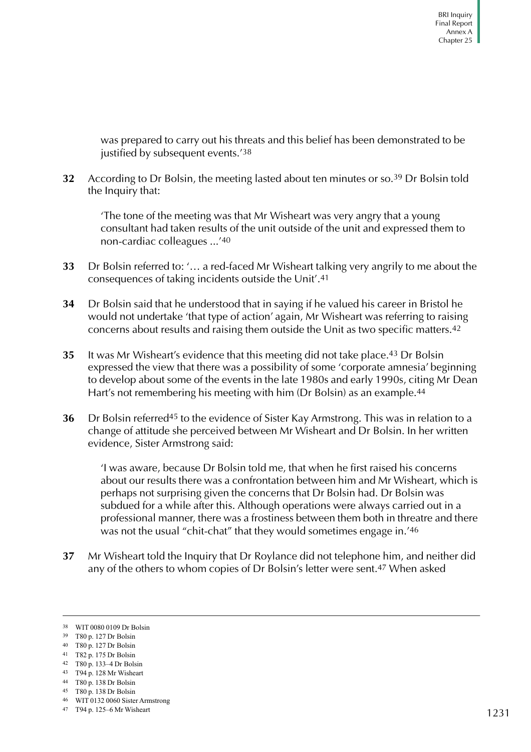was prepared to carry out his threats and this belief has been demonstrated to be justified by subsequent events.<sup>'38</sup>

**32** According to Dr Bolsin, the meeting lasted about ten minutes or so.39 Dr Bolsin told the Inquiry that:

'The tone of the meeting was that Mr Wisheart was very angry that a young consultant had taken results of the unit outside of the unit and expressed them to non-cardiac colleagues ...'40

- **33** Dr Bolsin referred to: '… a red-faced Mr Wisheart talking very angrily to me about the consequences of taking incidents outside the Unit'.41
- **34** Dr Bolsin said that he understood that in saying if he valued his career in Bristol he would not undertake 'that type of action' again, Mr Wisheart was referring to raising concerns about results and raising them outside the Unit as two specific matters.42
- **35** It was Mr Wisheart's evidence that this meeting did not take place.43 Dr Bolsin expressed the view that there was a possibility of some 'corporate amnesia' beginning to develop about some of the events in the late 1980s and early 1990s, citing Mr Dean Hart's not remembering his meeting with him (Dr Bolsin) as an example.44
- **36** Dr Bolsin referred45 to the evidence of Sister Kay Armstrong. This was in relation to a change of attitude she perceived between Mr Wisheart and Dr Bolsin. In her written evidence, Sister Armstrong said:

'I was aware, because Dr Bolsin told me, that when he first raised his concerns about our results there was a confrontation between him and Mr Wisheart, which is perhaps not surprising given the concerns that Dr Bolsin had. Dr Bolsin was subdued for a while after this. Although operations were always carried out in a professional manner, there was a frostiness between them both in threatre and there was not the usual "chit-chat" that they would sometimes engage in.'46

**37** Mr Wisheart told the Inquiry that Dr Roylance did not telephone him, and neither did any of the others to whom copies of Dr Bolsin's letter were sent.47 When asked

<sup>38</sup> WIT 0080 0109 Dr Bolsin

<sup>39</sup> T80 p. 127 Dr Bolsin

<sup>40</sup> T80 p. 127 Dr Bolsin

<sup>41</sup> T82 p. 175 Dr Bolsin

<sup>42</sup> T80 p. 133–4 Dr Bolsin

<sup>43</sup> T94 p. 128 Mr Wisheart

<sup>44</sup> T80 p. 138 Dr Bolsin

<sup>45</sup> T80 p. 138 Dr Bolsin

<sup>46</sup> WIT 0132 0060 Sister Armstrong

<sup>47</sup> T94 p. 125–6 Mr Wisheart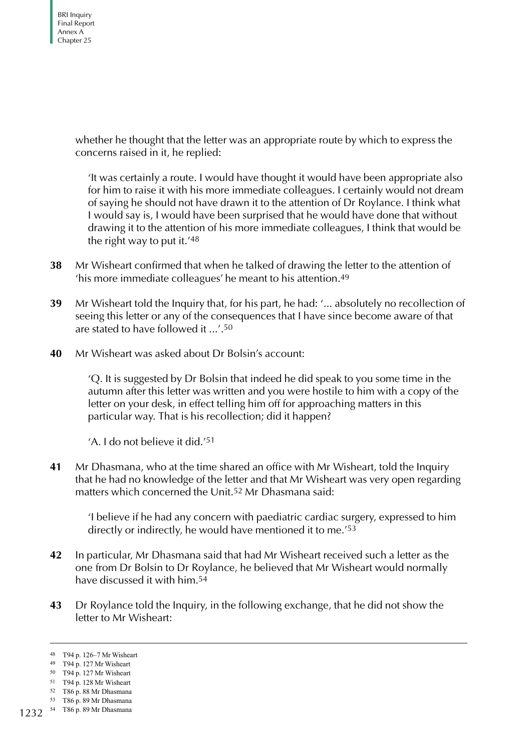whether he thought that the letter was an appropriate route by which to express the concerns raised in it, he replied:

'It was certainly a route. I would have thought it would have been appropriate also for him to raise it with his more immediate colleagues. I certainly would not dream of saying he should not have drawn it to the attention of Dr Roylance. I think what I would say is, I would have been surprised that he would have done that without drawing it to the attention of his more immediate colleagues, I think that would be the right way to put it.'48

- **38** Mr Wisheart confirmed that when he talked of drawing the letter to the attention of 'his more immediate colleagues' he meant to his attention.49
- **39** Mr Wisheart told the Inquiry that, for his part, he had: '... absolutely no recollection of seeing this letter or any of the consequences that I have since become aware of that are stated to have followed it  $\rightarrow$  50
- **40** Mr Wisheart was asked about Dr Bolsin's account:

'Q. It is suggested by Dr Bolsin that indeed he did speak to you some time in the autumn after this letter was written and you were hostile to him with a copy of the letter on your desk, in effect telling him off for approaching matters in this particular way. That is his recollection; did it happen?

'A. I do not believe it did.'51

**41** Mr Dhasmana, who at the time shared an office with Mr Wisheart, told the Inquiry that he had no knowledge of the letter and that Mr Wisheart was very open regarding matters which concerned the Unit.52 Mr Dhasmana said:

'I believe if he had any concern with paediatric cardiac surgery, expressed to him directly or indirectly, he would have mentioned it to me.'53

- **42** In particular, Mr Dhasmana said that had Mr Wisheart received such a letter as the one from Dr Bolsin to Dr Roylance, he believed that Mr Wisheart would normally have discussed it with him.54
- **43** Dr Roylance told the Inquiry, in the following exchange, that he did not show the letter to Mr Wisheart:

<sup>48</sup> T94 p. 126–7 Mr Wisheart

<sup>49</sup> T94 p. 127 Mr Wisheart

<sup>50</sup> T94 p. 127 Mr Wisheart

<sup>51</sup> T94 p. 128 Mr Wisheart

<sup>52</sup> T86 p. 88 Mr Dhasmana

<sup>53</sup> T86 p. 89 Mr Dhasmana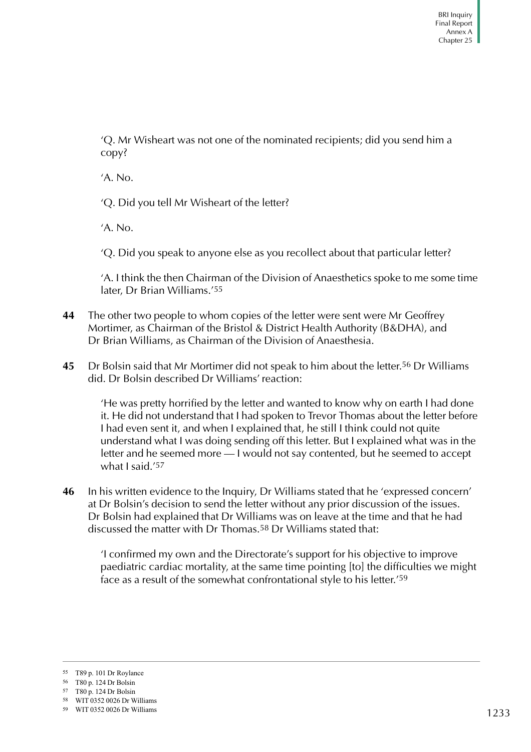'Q. Mr Wisheart was not one of the nominated recipients; did you send him a copy?

'A. No.

'Q. Did you tell Mr Wisheart of the letter?

'A. No.

'Q. Did you speak to anyone else as you recollect about that particular letter?

'A. I think the then Chairman of the Division of Anaesthetics spoke to me some time later, Dr Brian Williams.'55

- **44** The other two people to whom copies of the letter were sent were Mr Geoffrey Mortimer, as Chairman of the Bristol & District Health Authority (B&DHA), and Dr Brian Williams, as Chairman of the Division of Anaesthesia.
- **45** Dr Bolsin said that Mr Mortimer did not speak to him about the letter.56 Dr Williams did. Dr Bolsin described Dr Williams' reaction:

'He was pretty horrified by the letter and wanted to know why on earth I had done it. He did not understand that I had spoken to Trevor Thomas about the letter before I had even sent it, and when I explained that, he still I think could not quite understand what I was doing sending off this letter. But I explained what was in the letter and he seemed more — I would not say contented, but he seemed to accept what I said.'57

**46** In his written evidence to the Inquiry, Dr Williams stated that he 'expressed concern' at Dr Bolsin's decision to send the letter without any prior discussion of the issues. Dr Bolsin had explained that Dr Williams was on leave at the time and that he had discussed the matter with Dr Thomas.58 Dr Williams stated that:

'I confirmed my own and the Directorate's support for his objective to improve paediatric cardiac mortality, at the same time pointing [to] the difficulties we might face as a result of the somewhat confrontational style to his letter.'59

<sup>55</sup> T89 p. 101 Dr Roylance

<sup>56</sup> T80 p. 124 Dr Bolsin

<sup>57</sup> T80 p. 124 Dr Bolsin

<sup>58</sup> WIT 0352 0026 Dr Williams

<sup>59</sup> WIT 0352 0026 Dr Williams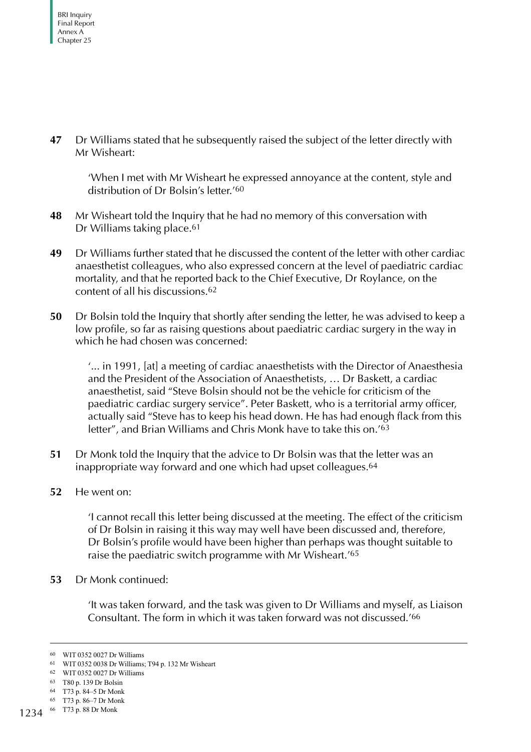**47** Dr Williams stated that he subsequently raised the subject of the letter directly with Mr Wisheart:

'When I met with Mr Wisheart he expressed annoyance at the content, style and distribution of Dr Bolsin's letter.'60

- **48** Mr Wisheart told the Inquiry that he had no memory of this conversation with Dr Williams taking place.61
- **49** Dr Williams further stated that he discussed the content of the letter with other cardiac anaesthetist colleagues, who also expressed concern at the level of paediatric cardiac mortality, and that he reported back to the Chief Executive, Dr Roylance, on the content of all his discussions.62
- **50** Dr Bolsin told the Inquiry that shortly after sending the letter, he was advised to keep a low profile, so far as raising questions about paediatric cardiac surgery in the way in which he had chosen was concerned:

'... in 1991, [at] a meeting of cardiac anaesthetists with the Director of Anaesthesia and the President of the Association of Anaesthetists, … Dr Baskett, a cardiac anaesthetist, said "Steve Bolsin should not be the vehicle for criticism of the paediatric cardiac surgery service". Peter Baskett, who is a territorial army officer, actually said "Steve has to keep his head down. He has had enough flack from this letter", and Brian Williams and Chris Monk have to take this on.'63

- **51** Dr Monk told the Inquiry that the advice to Dr Bolsin was that the letter was an inappropriate way forward and one which had upset colleagues.64
- **52** He went on:

'I cannot recall this letter being discussed at the meeting. The effect of the criticism of Dr Bolsin in raising it this way may well have been discussed and, therefore, Dr Bolsin's profile would have been higher than perhaps was thought suitable to raise the paediatric switch programme with Mr Wisheart.'65

**53** Dr Monk continued:

'It was taken forward, and the task was given to Dr Williams and myself, as Liaison Consultant. The form in which it was taken forward was not discussed.'66

<sup>60</sup> WIT 0352 0027 Dr Williams

<sup>61</sup> WIT 0352 0038 Dr Williams; T94 p. 132 Mr Wisheart

<sup>62</sup> WIT 0352 0027 Dr Williams

<sup>63</sup> T80 p. 139 Dr Bolsin

<sup>64</sup> T73 p. 84–5 Dr Monk

<sup>65</sup> T73 p. 86–7 Dr Monk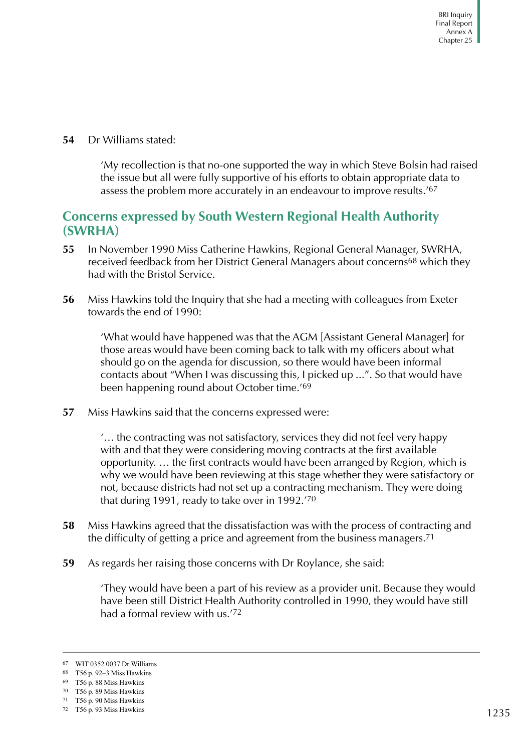**54** Dr Williams stated:

'My recollection is that no-one supported the way in which Steve Bolsin had raised the issue but all were fully supportive of his efforts to obtain appropriate data to assess the problem more accurately in an endeavour to improve results.'67

### <span id="page-14-0"></span>**Concerns expressed by South Western Regional Health Authority (SWRHA)**

- **55** In November 1990 Miss Catherine Hawkins, Regional General Manager, SWRHA, received feedback from her District General Managers about concerns<sup>68</sup> which they had with the Bristol Service.
- **56** Miss Hawkins told the Inquiry that she had a meeting with colleagues from Exeter towards the end of 1990:

'What would have happened was that the AGM [Assistant General Manager] for those areas would have been coming back to talk with my officers about what should go on the agenda for discussion, so there would have been informal contacts about "When I was discussing this, I picked up ...". So that would have been happening round about October time.'69

**57** Miss Hawkins said that the concerns expressed were:

'… the contracting was not satisfactory, services they did not feel very happy with and that they were considering moving contracts at the first available opportunity. … the first contracts would have been arranged by Region, which is why we would have been reviewing at this stage whether they were satisfactory or not, because districts had not set up a contracting mechanism. They were doing that during 1991, ready to take over in 1992.'70

- **58** Miss Hawkins agreed that the dissatisfaction was with the process of contracting and the difficulty of getting a price and agreement from the business managers.71
- **59** As regards her raising those concerns with Dr Roylance, she said:

'They would have been a part of his review as a provider unit. Because they would have been still District Health Authority controlled in 1990, they would have still had a formal review with us.'72

<sup>67</sup> WIT 0352 0037 Dr Williams

<sup>68</sup> T56 p. 92–3 Miss Hawkins

<sup>69</sup> T56 p. 88 Miss Hawkins

<sup>70</sup> T56 p. 89 Miss Hawkins

<sup>71</sup> T56 p. 90 Miss Hawkins

<sup>72</sup> T56 p. 93 Miss Hawkins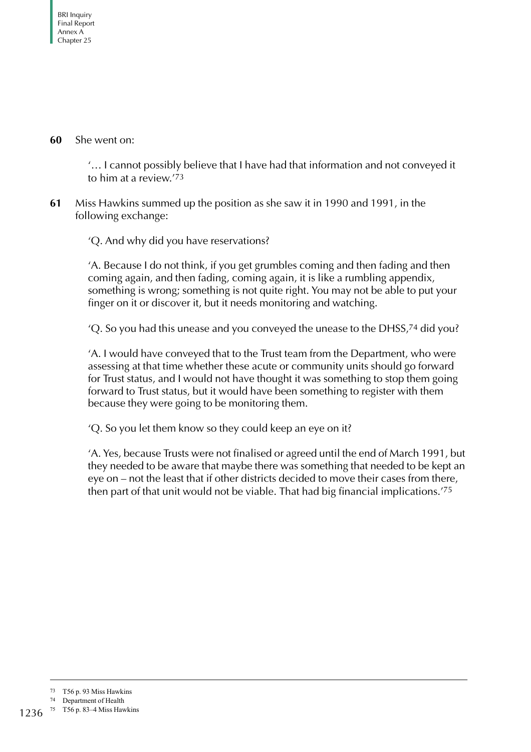**60** She went on:

'… I cannot possibly believe that I have had that information and not conveyed it to him at a review.'73

**61** Miss Hawkins summed up the position as she saw it in 1990 and 1991, in the following exchange:

'Q. And why did you have reservations?

'A. Because I do not think, if you get grumbles coming and then fading and then coming again, and then fading, coming again, it is like a rumbling appendix, something is wrong; something is not quite right. You may not be able to put your finger on it or discover it, but it needs monitoring and watching.

'Q. So you had this unease and you conveyed the unease to the DHSS,74 did you?

'A. I would have conveyed that to the Trust team from the Department, who were assessing at that time whether these acute or community units should go forward for Trust status, and I would not have thought it was something to stop them going forward to Trust status, but it would have been something to register with them because they were going to be monitoring them.

'Q. So you let them know so they could keep an eye on it?

'A. Yes, because Trusts were not finalised or agreed until the end of March 1991, but they needed to be aware that maybe there was something that needed to be kept an eye on – not the least that if other districts decided to move their cases from there, then part of that unit would not be viable. That had big financial implications.'75

<sup>73</sup> T56 p. 93 Miss Hawkins

<sup>74</sup> Department of Health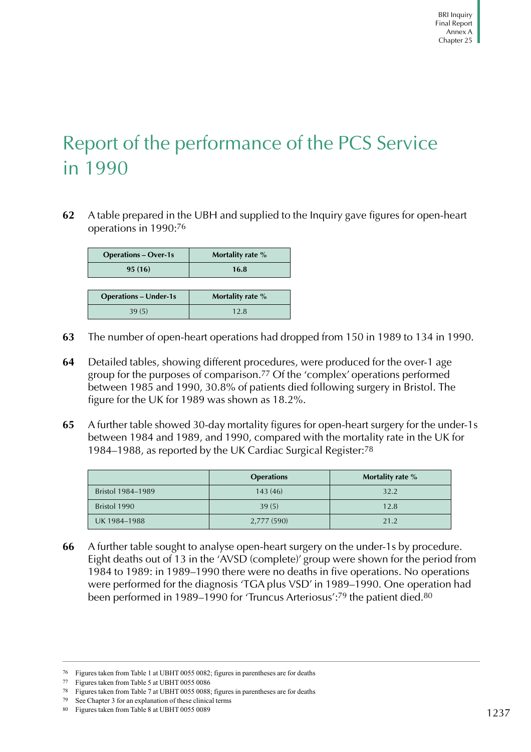## <span id="page-16-0"></span>Report of the performance of the PCS Service in 1990

**62** A table prepared in the UBH and supplied to the Inquiry gave figures for open-heart operations in 1990:76

**Operations – Over-1s Mortality rate % 95 (16) 16.8 Operations – Under-1s** Mortality rate %  $39(5)$  12.8

- **63** The number of open-heart operations had dropped from 150 in 1989 to 134 in 1990.
- **64** Detailed tables, showing different procedures, were produced for the over-1 age group for the purposes of comparison.77 Of the 'complex' operations performed between 1985 and 1990, 30.8% of patients died following surgery in Bristol. The figure for the UK for 1989 was shown as 18.2%.
- **65** A further table showed 30-day mortality figures for open-heart surgery for the under-1s between 1984 and 1989, and 1990, compared with the mortality rate in the UK for 1984–1988, as reported by the UK Cardiac Surgical Register:78

|                   | <b>Operations</b> | Mortality rate $\%$ |
|-------------------|-------------------|---------------------|
| Bristol 1984-1989 | 143(46)           | 32.2                |
| Bristol 1990      | 39(5)             | 12.8                |
| UK 1984-1988      | 2,777 (590)       | 21.2                |

**66** A further table sought to analyse open-heart surgery on the under-1s by procedure. Eight deaths out of 13 in the 'AVSD (complete)' group were shown for the period from 1984 to 1989: in 1989–1990 there were no deaths in five operations. No operations were performed for the diagnosis 'TGA plus VSD' in 1989–1990. One operation had been performed in 1989–1990 for 'Truncus Arteriosus':79 the patient died.80

<sup>76</sup> Figures taken from Table 1 at UBHT 0055 0082; figures in parentheses are for deaths

<sup>77</sup> Figures taken from Table 5 at UBHT 0055 0086

<sup>78</sup> Figures taken from Table 7 at UBHT 0055 0088; figures in parentheses are for deaths

<sup>79</sup> See Chapter 3 for an explanation of these clinical terms

<sup>80</sup> Figures taken from Table 8 at UBHT 0055 0089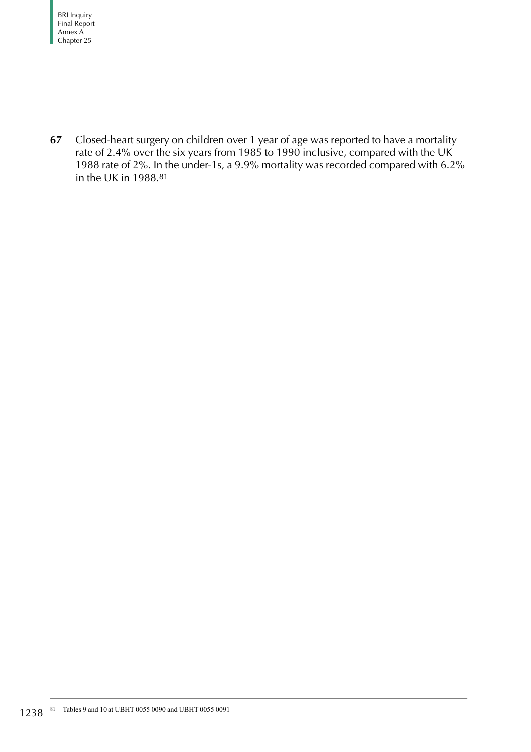**67** Closed-heart surgery on children over 1 year of age was reported to have a mortality rate of 2.4% over the six years from 1985 to 1990 inclusive, compared with the UK 1988 rate of 2%. In the under-1s, a 9.9% mortality was recorded compared with 6.2% in the UK in 1988.81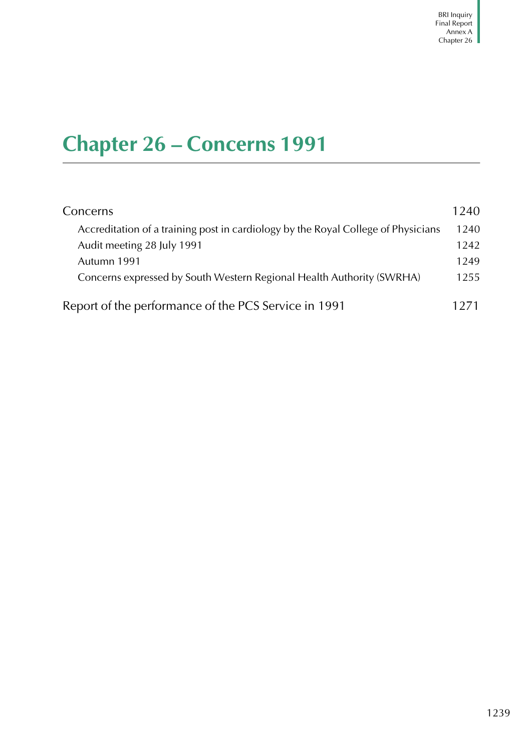# **Chapter 26 – Concerns 1991**

| Concerns                                                                          | 1240 |
|-----------------------------------------------------------------------------------|------|
| Accreditation of a training post in cardiology by the Royal College of Physicians | 1240 |
| Audit meeting 28 July 1991                                                        | 1242 |
| Autumn 1991                                                                       | 1249 |
| Concerns expressed by South Western Regional Health Authority (SWRHA)             | 1255 |
| Report of the performance of the PCS Service in 1991                              | 1271 |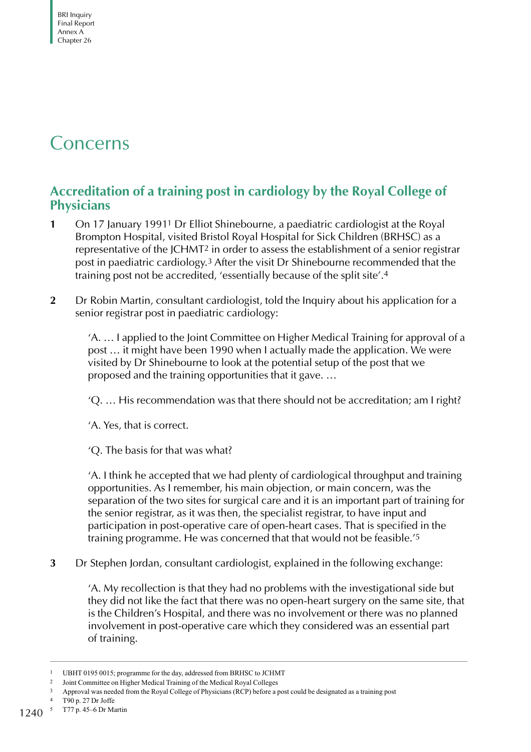## <span id="page-19-0"></span>Concerns

## <span id="page-19-1"></span>**Accreditation of a training post in cardiology by the Royal College of Physicians**

- **1** On 17 January 19911 Dr Elliot Shinebourne, a paediatric cardiologist at the Royal Brompton Hospital, visited Bristol Royal Hospital for Sick Children (BRHSC) as a representative of the JCHMT2 in order to assess the establishment of a senior registrar post in paediatric cardiology.3 After the visit Dr Shinebourne recommended that the training post not be accredited, 'essentially because of the split site'.4
- **2** Dr Robin Martin, consultant cardiologist, told the Inquiry about his application for a senior registrar post in paediatric cardiology:

'A. … I applied to the Joint Committee on Higher Medical Training for approval of a post … it might have been 1990 when I actually made the application. We were visited by Dr Shinebourne to look at the potential setup of the post that we proposed and the training opportunities that it gave. …

'Q. … His recommendation was that there should not be accreditation; am I right?

'A. Yes, that is correct.

'Q. The basis for that was what?

'A. I think he accepted that we had plenty of cardiological throughput and training opportunities. As I remember, his main objection, or main concern, was the separation of the two sites for surgical care and it is an important part of training for the senior registrar, as it was then, the specialist registrar, to have input and participation in post-operative care of open-heart cases. That is specified in the training programme. He was concerned that that would not be feasible.'5

**3** Dr Stephen Jordan, consultant cardiologist, explained in the following exchange:

'A. My recollection is that they had no problems with the investigational side but they did not like the fact that there was no open-heart surgery on the same site, that is the Children's Hospital, and there was no involvement or there was no planned involvement in post-operative care which they considered was an essential part of training.

- 4 T90 p. 27 Dr Joffe
- 1240 5 T77 p. 45–6 Dr Martin

<sup>1</sup> UBHT 0195 0015; programme for the day, addressed from BRHSC to JCHMT

<sup>2</sup> Joint Committee on Higher Medical Training of the Medical Royal Colleges

<sup>3</sup> Approval was needed from the Royal College of Physicians (RCP) before a post could be designated as a training post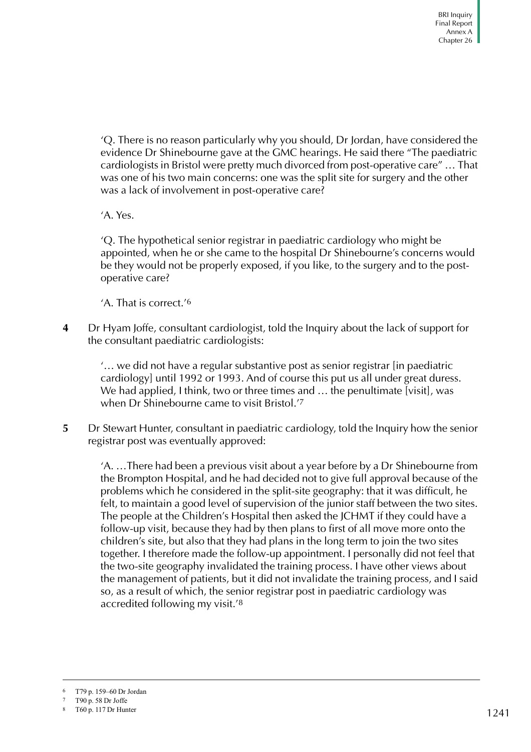'Q. There is no reason particularly why you should, Dr Jordan, have considered the evidence Dr Shinebourne gave at the GMC hearings. He said there "The paediatric cardiologists in Bristol were pretty much divorced from post-operative care" … That was one of his two main concerns: one was the split site for surgery and the other was a lack of involvement in post-operative care?

'A. Yes.

'Q. The hypothetical senior registrar in paediatric cardiology who might be appointed, when he or she came to the hospital Dr Shinebourne's concerns would be they would not be properly exposed, if you like, to the surgery and to the postoperative care?

'A. That is correct.'6

**4** Dr Hyam Joffe, consultant cardiologist, told the Inquiry about the lack of support for the consultant paediatric cardiologists:

'… we did not have a regular substantive post as senior registrar [in paediatric cardiology] until 1992 or 1993. And of course this put us all under great duress. We had applied, I think, two or three times and … the penultimate [visit], was when Dr Shinebourne came to visit Bristol.'7

**5** Dr Stewart Hunter, consultant in paediatric cardiology, told the Inquiry how the senior registrar post was eventually approved:

'A. …There had been a previous visit about a year before by a Dr Shinebourne from the Brompton Hospital, and he had decided not to give full approval because of the problems which he considered in the split-site geography: that it was difficult, he felt, to maintain a good level of supervision of the junior staff between the two sites. The people at the Children's Hospital then asked the JCHMT if they could have a follow-up visit, because they had by then plans to first of all move more onto the children's site, but also that they had plans in the long term to join the two sites together. I therefore made the follow-up appointment. I personally did not feel that the two-site geography invalidated the training process. I have other views about the management of patients, but it did not invalidate the training process, and I said so, as a result of which, the senior registrar post in paediatric cardiology was accredited following my visit.'8

<sup>6</sup> T79 p. 159–60 Dr Jordan

<sup>7</sup> T90 p. 58 Dr Joffe

<sup>8</sup> T60 p. 117 Dr Hunter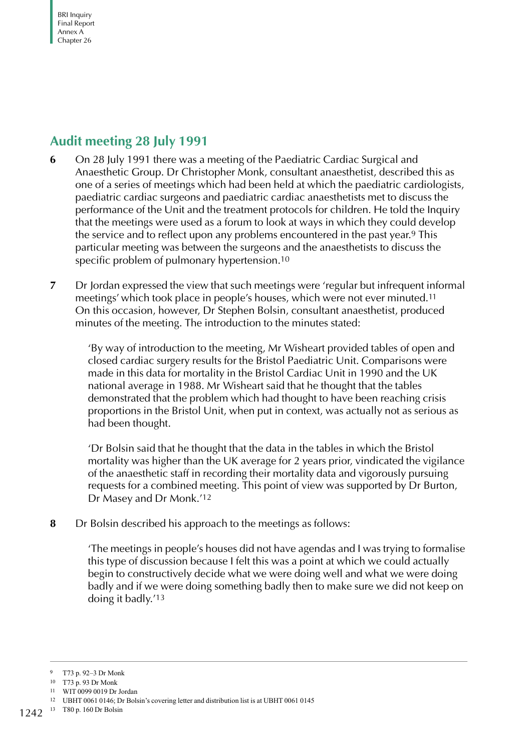## <span id="page-21-0"></span>**Audit meeting 28 July 1991**

- **6** On 28 July 1991 there was a meeting of the Paediatric Cardiac Surgical and Anaesthetic Group. Dr Christopher Monk, consultant anaesthetist, described this as one of a series of meetings which had been held at which the paediatric cardiologists, paediatric cardiac surgeons and paediatric cardiac anaesthetists met to discuss the performance of the Unit and the treatment protocols for children. He told the Inquiry that the meetings were used as a forum to look at ways in which they could develop the service and to reflect upon any problems encountered in the past year.<sup>9</sup> This particular meeting was between the surgeons and the anaesthetists to discuss the specific problem of pulmonary hypertension.10
- **7** Dr Jordan expressed the view that such meetings were 'regular but infrequent informal meetings' which took place in people's houses, which were not ever minuted.11 On this occasion, however, Dr Stephen Bolsin, consultant anaesthetist, produced minutes of the meeting. The introduction to the minutes stated:

'By way of introduction to the meeting, Mr Wisheart provided tables of open and closed cardiac surgery results for the Bristol Paediatric Unit. Comparisons were made in this data for mortality in the Bristol Cardiac Unit in 1990 and the UK national average in 1988. Mr Wisheart said that he thought that the tables demonstrated that the problem which had thought to have been reaching crisis proportions in the Bristol Unit, when put in context, was actually not as serious as had been thought.

'Dr Bolsin said that he thought that the data in the tables in which the Bristol mortality was higher than the UK average for 2 years prior, vindicated the vigilance of the anaesthetic staff in recording their mortality data and vigorously pursuing requests for a combined meeting. This point of view was supported by Dr Burton, Dr Masey and Dr Monk.'12

**8** Dr Bolsin described his approach to the meetings as follows:

'The meetings in people's houses did not have agendas and I was trying to formalise this type of discussion because I felt this was a point at which we could actually begin to constructively decide what we were doing well and what we were doing badly and if we were doing something badly then to make sure we did not keep on doing it badly.'13

<sup>9</sup> T73 p. 92–3 Dr Monk

<sup>10</sup> T73 p. 93 Dr Monk

<sup>11</sup> WIT 0099 0019 Dr Jordan

<sup>12</sup> UBHT 0061 0146; Dr Bolsin's covering letter and distribution list is at UBHT 0061 0145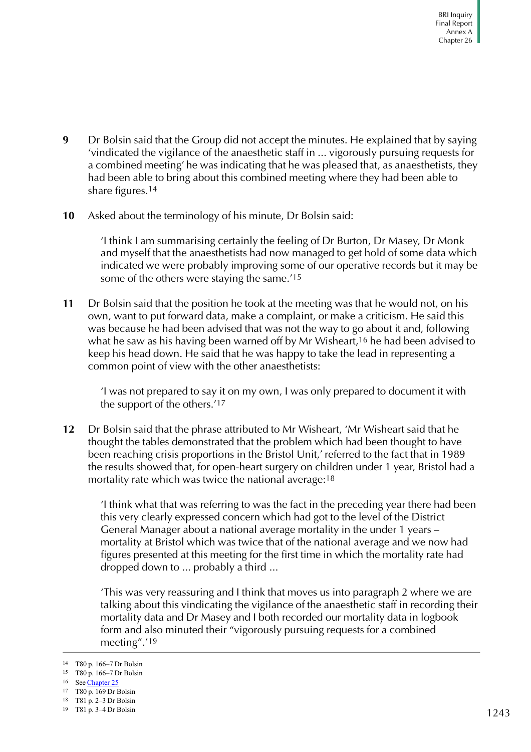- **9** Dr Bolsin said that the Group did not accept the minutes. He explained that by saying 'vindicated the vigilance of the anaesthetic staff in ... vigorously pursuing requests for a combined meeting' he was indicating that he was pleased that, as anaesthetists, they had been able to bring about this combined meeting where they had been able to share figures.14
- **10** Asked about the terminology of his minute, Dr Bolsin said:

'I think I am summarising certainly the feeling of Dr Burton, Dr Masey, Dr Monk and myself that the anaesthetists had now managed to get hold of some data which indicated we were probably improving some of our operative records but it may be some of the others were staying the same.'15

**11** Dr Bolsin said that the position he took at the meeting was that he would not, on his own, want to put forward data, make a complaint, or make a criticism. He said this was because he had been advised that was not the way to go about it and, following what he saw as his having been warned off by Mr Wisheart,<sup>16</sup> he had been advised to keep his head down. He said that he was happy to take the lead in representing a common point of view with the other anaesthetists:

'I was not prepared to say it on my own, I was only prepared to document it with the support of the others.'17

**12** Dr Bolsin said that the phrase attributed to Mr Wisheart, 'Mr Wisheart said that he thought the tables demonstrated that the problem which had been thought to have been reaching crisis proportions in the Bristol Unit,' referred to the fact that in 1989 the results showed that, for open-heart surgery on children under 1 year, Bristol had a mortality rate which was twice the national average:18

'I think what that was referring to was the fact in the preceding year there had been this very clearly expressed concern which had got to the level of the District General Manager about a national average mortality in the under 1 years – mortality at Bristol which was twice that of the national average and we now had figures presented at this meeting for the first time in which the mortality rate had dropped down to ... probably a third ...

'This was very reassuring and I think that moves us into paragraph 2 where we are talking about this vindicating the vigilance of the anaesthetic staff in recording their mortality data and Dr Masey and I both recorded our mortality data in logbook form and also minuted their "vigorously pursuing requests for a combined meeting".'19

16 See [Chapter 25](#page-0-0)

<sup>14</sup> T80 p. 166–7 Dr Bolsin

<sup>15</sup> T80 p. 166–7 Dr Bolsin

<sup>17</sup> T80 p. 169 Dr Bolsin

<sup>18</sup> T81 p. 2–3 Dr Bolsin

<sup>19</sup> T81 p. 3–4 Dr Bolsin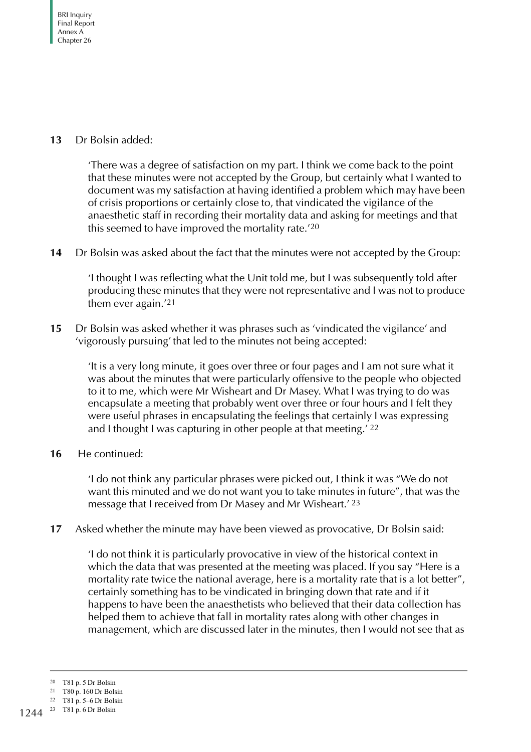#### **13** Dr Bolsin added:

'There was a degree of satisfaction on my part. I think we come back to the point that these minutes were not accepted by the Group, but certainly what I wanted to document was my satisfaction at having identified a problem which may have been of crisis proportions or certainly close to, that vindicated the vigilance of the anaesthetic staff in recording their mortality data and asking for meetings and that this seemed to have improved the mortality rate.'20

**14** Dr Bolsin was asked about the fact that the minutes were not accepted by the Group:

'I thought I was reflecting what the Unit told me, but I was subsequently told after producing these minutes that they were not representative and I was not to produce them ever again.'21

**15** Dr Bolsin was asked whether it was phrases such as 'vindicated the vigilance' and 'vigorously pursuing' that led to the minutes not being accepted:

'It is a very long minute, it goes over three or four pages and I am not sure what it was about the minutes that were particularly offensive to the people who objected to it to me, which were Mr Wisheart and Dr Masey. What I was trying to do was encapsulate a meeting that probably went over three or four hours and I felt they were useful phrases in encapsulating the feelings that certainly I was expressing and I thought I was capturing in other people at that meeting.' 22

**16** He continued:

'I do not think any particular phrases were picked out, I think it was "We do not want this minuted and we do not want you to take minutes in future", that was the message that I received from Dr Masey and Mr Wisheart.' 23

**17** Asked whether the minute may have been viewed as provocative, Dr Bolsin said:

'I do not think it is particularly provocative in view of the historical context in which the data that was presented at the meeting was placed. If you say "Here is a mortality rate twice the national average, here is a mortality rate that is a lot better", certainly something has to be vindicated in bringing down that rate and if it happens to have been the anaesthetists who believed that their data collection has helped them to achieve that fall in mortality rates along with other changes in management, which are discussed later in the minutes, then I would not see that as

<sup>20</sup> T81 p. 5 Dr Bolsin

<sup>21</sup> T80 p. 160 Dr Bolsin

<sup>22</sup> T81 p. 5–6 Dr Bolsin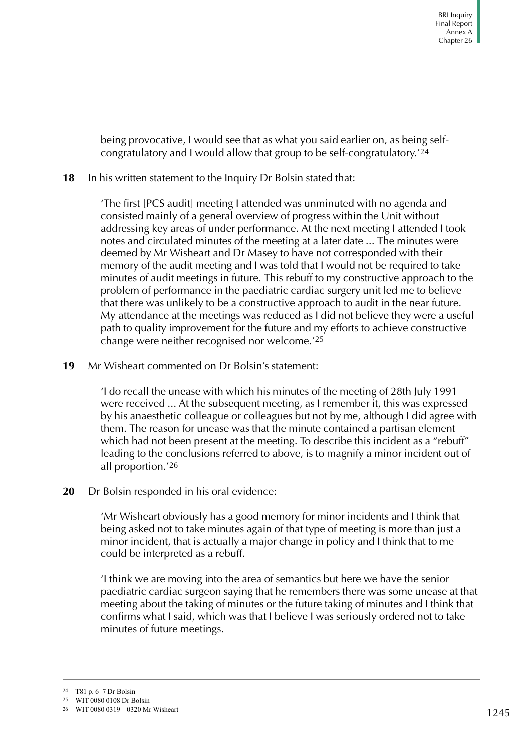being provocative, I would see that as what you said earlier on, as being selfcongratulatory and I would allow that group to be self-congratulatory.'24

#### **18** In his written statement to the Inquiry Dr Bolsin stated that:

'The first [PCS audit] meeting I attended was unminuted with no agenda and consisted mainly of a general overview of progress within the Unit without addressing key areas of under performance. At the next meeting I attended I took notes and circulated minutes of the meeting at a later date ... The minutes were deemed by Mr Wisheart and Dr Masey to have not corresponded with their memory of the audit meeting and I was told that I would not be required to take minutes of audit meetings in future. This rebuff to my constructive approach to the problem of performance in the paediatric cardiac surgery unit led me to believe that there was unlikely to be a constructive approach to audit in the near future. My attendance at the meetings was reduced as I did not believe they were a useful path to quality improvement for the future and my efforts to achieve constructive change were neither recognised nor welcome.'25

**19** Mr Wisheart commented on Dr Bolsin's statement:

'I do recall the unease with which his minutes of the meeting of 28th July 1991 were received ... At the subsequent meeting, as I remember it, this was expressed by his anaesthetic colleague or colleagues but not by me, although I did agree with them. The reason for unease was that the minute contained a partisan element which had not been present at the meeting. To describe this incident as a "rebuff" leading to the conclusions referred to above, is to magnify a minor incident out of all proportion.'26

#### **20** Dr Bolsin responded in his oral evidence:

'Mr Wisheart obviously has a good memory for minor incidents and I think that being asked not to take minutes again of that type of meeting is more than just a minor incident, that is actually a major change in policy and I think that to me could be interpreted as a rebuff.

'I think we are moving into the area of semantics but here we have the senior paediatric cardiac surgeon saying that he remembers there was some unease at that meeting about the taking of minutes or the future taking of minutes and I think that confirms what I said, which was that I believe I was seriously ordered not to take minutes of future meetings.

<sup>24</sup> T81 p. 6–7 Dr Bolsin

<sup>25</sup> WIT 0080 0108 Dr Bolsin

<sup>26</sup> WIT 0080 0319 – 0320 Mr Wisheart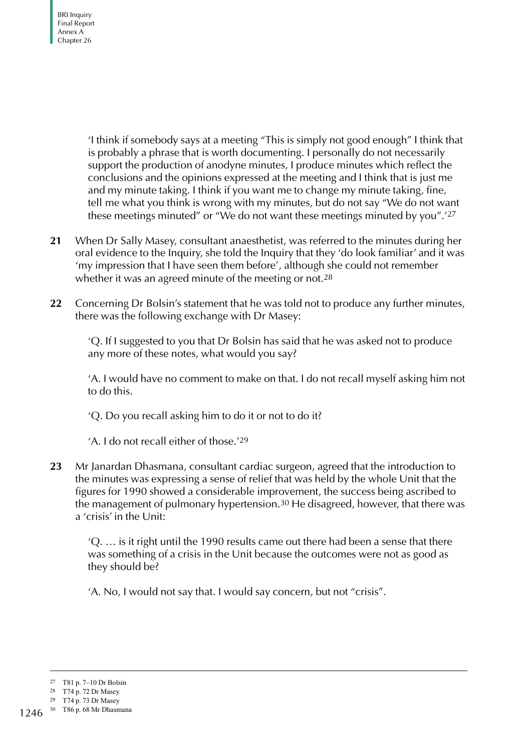'I think if somebody says at a meeting "This is simply not good enough" I think that is probably a phrase that is worth documenting. I personally do not necessarily support the production of anodyne minutes, I produce minutes which reflect the conclusions and the opinions expressed at the meeting and I think that is just me and my minute taking. I think if you want me to change my minute taking, fine, tell me what you think is wrong with my minutes, but do not say "We do not want these meetings minuted" or "We do not want these meetings minuted by you".'27

- **21** When Dr Sally Masey, consultant anaesthetist, was referred to the minutes during her oral evidence to the Inquiry, she told the Inquiry that they 'do look familiar' and it was 'my impression that I have seen them before', although she could not remember whether it was an agreed minute of the meeting or not.<sup>28</sup>
- **22** Concerning Dr Bolsin's statement that he was told not to produce any further minutes, there was the following exchange with Dr Masey:

'Q. If I suggested to you that Dr Bolsin has said that he was asked not to produce any more of these notes, what would you say?

'A. I would have no comment to make on that. I do not recall myself asking him not to do this.

'Q. Do you recall asking him to do it or not to do it?

'A. I do not recall either of those.'29

**23** Mr Janardan Dhasmana, consultant cardiac surgeon, agreed that the introduction to the minutes was expressing a sense of relief that was held by the whole Unit that the figures for 1990 showed a considerable improvement, the success being ascribed to the management of pulmonary hypertension.<sup>30</sup> He disagreed, however, that there was a 'crisis' in the Unit:

'Q. … is it right until the 1990 results came out there had been a sense that there was something of a crisis in the Unit because the outcomes were not as good as they should be?

'A. No, I would not say that. I would say concern, but not "crisis".

<sup>27</sup> T81 p. 7–10 Dr Bolsin

<sup>28</sup> T74 p. 72 Dr Masey

<sup>29</sup> T74 p. 73 Dr Masey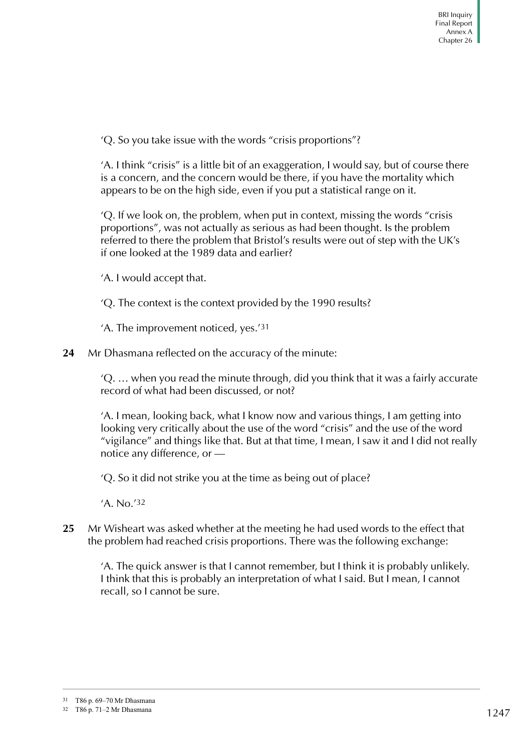'Q. So you take issue with the words "crisis proportions"?

'A. I think "crisis" is a little bit of an exaggeration, I would say, but of course there is a concern, and the concern would be there, if you have the mortality which appears to be on the high side, even if you put a statistical range on it.

'Q. If we look on, the problem, when put in context, missing the words "crisis proportions", was not actually as serious as had been thought. Is the problem referred to there the problem that Bristol's results were out of step with the UK's if one looked at the 1989 data and earlier?

'A. I would accept that.

'Q. The context is the context provided by the 1990 results?

- 'A. The improvement noticed, yes.'31
- **24** Mr Dhasmana reflected on the accuracy of the minute:

'Q. … when you read the minute through, did you think that it was a fairly accurate record of what had been discussed, or not?

'A. I mean, looking back, what I know now and various things, I am getting into looking very critically about the use of the word "crisis" and the use of the word "vigilance" and things like that. But at that time, I mean, I saw it and I did not really notice any difference, or —

'Q. So it did not strike you at the time as being out of place?

'A. No.'32

**25** Mr Wisheart was asked whether at the meeting he had used words to the effect that the problem had reached crisis proportions. There was the following exchange:

'A. The quick answer is that I cannot remember, but I think it is probably unlikely. I think that this is probably an interpretation of what I said. But I mean, I cannot recall, so I cannot be sure.

<sup>31</sup> T86 p. 69–70 Mr Dhasmana

<sup>32</sup> T86 p. 71–2 Mr Dhasmana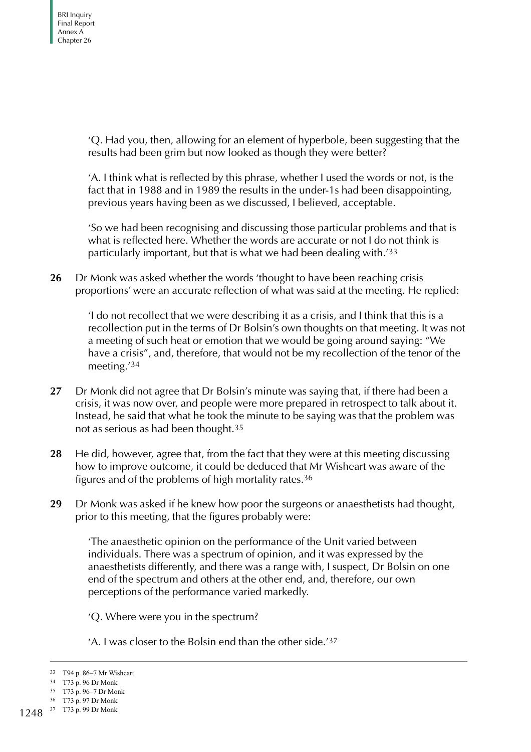'Q. Had you, then, allowing for an element of hyperbole, been suggesting that the results had been grim but now looked as though they were better?

'A. I think what is reflected by this phrase, whether I used the words or not, is the fact that in 1988 and in 1989 the results in the under-1s had been disappointing, previous years having been as we discussed, I believed, acceptable.

'So we had been recognising and discussing those particular problems and that is what is reflected here. Whether the words are accurate or not I do not think is particularly important, but that is what we had been dealing with.'33

**26** Dr Monk was asked whether the words 'thought to have been reaching crisis proportions' were an accurate reflection of what was said at the meeting. He replied:

'I do not recollect that we were describing it as a crisis, and I think that this is a recollection put in the terms of Dr Bolsin's own thoughts on that meeting. It was not a meeting of such heat or emotion that we would be going around saying: "We have a crisis", and, therefore, that would not be my recollection of the tenor of the meeting.'34

- **27** Dr Monk did not agree that Dr Bolsin's minute was saying that, if there had been a crisis, it was now over, and people were more prepared in retrospect to talk about it. Instead, he said that what he took the minute to be saying was that the problem was not as serious as had been thought.35
- **28** He did, however, agree that, from the fact that they were at this meeting discussing how to improve outcome, it could be deduced that Mr Wisheart was aware of the figures and of the problems of high mortality rates.36
- **29** Dr Monk was asked if he knew how poor the surgeons or anaesthetists had thought, prior to this meeting, that the figures probably were:

'The anaesthetic opinion on the performance of the Unit varied between individuals. There was a spectrum of opinion, and it was expressed by the anaesthetists differently, and there was a range with, I suspect, Dr Bolsin on one end of the spectrum and others at the other end, and, therefore, our own perceptions of the performance varied markedly.

'Q. Where were you in the spectrum?

'A. I was closer to the Bolsin end than the other side.'37

<sup>33</sup> T94 p. 86–7 Mr Wisheart

<sup>34</sup> T73 p. 96 Dr Monk

<sup>35</sup> T73 p. 96–7 Dr Monk

<sup>36</sup> T73 p. 97 Dr Monk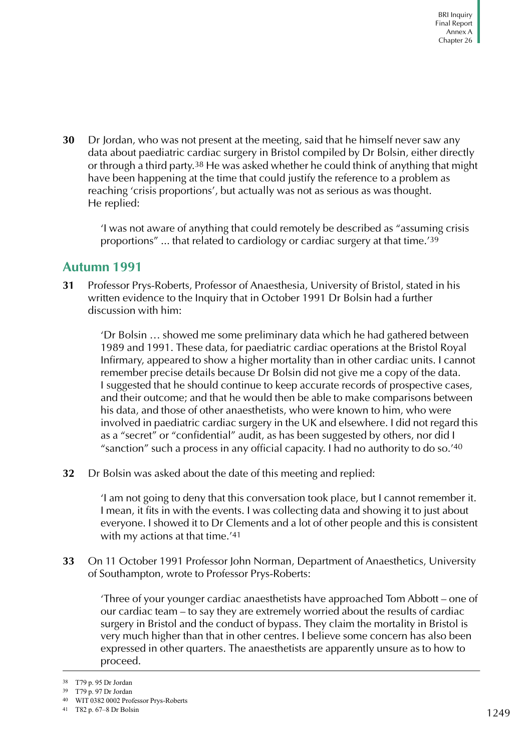**30** Dr Jordan, who was not present at the meeting, said that he himself never saw any data about paediatric cardiac surgery in Bristol compiled by Dr Bolsin, either directly or through a third party.38 He was asked whether he could think of anything that might have been happening at the time that could justify the reference to a problem as reaching 'crisis proportions', but actually was not as serious as was thought. He replied:

'I was not aware of anything that could remotely be described as "assuming crisis proportions" ... that related to cardiology or cardiac surgery at that time.'39

### <span id="page-28-0"></span>**Autumn 1991**

**31** Professor Prys-Roberts, Professor of Anaesthesia, University of Bristol, stated in his written evidence to the Inquiry that in October 1991 Dr Bolsin had a further discussion with him:

'Dr Bolsin … showed me some preliminary data which he had gathered between 1989 and 1991. These data, for paediatric cardiac operations at the Bristol Royal Infirmary, appeared to show a higher mortality than in other cardiac units. I cannot remember precise details because Dr Bolsin did not give me a copy of the data. I suggested that he should continue to keep accurate records of prospective cases, and their outcome; and that he would then be able to make comparisons between his data, and those of other anaesthetists, who were known to him, who were involved in paediatric cardiac surgery in the UK and elsewhere. I did not regard this as a "secret" or "confidential" audit, as has been suggested by others, nor did I "sanction" such a process in any official capacity. I had no authority to do so.'40

**32** Dr Bolsin was asked about the date of this meeting and replied:

'I am not going to deny that this conversation took place, but I cannot remember it. I mean, it fits in with the events. I was collecting data and showing it to just about everyone. I showed it to Dr Clements and a lot of other people and this is consistent with my actions at that time.<sup>'41</sup>

**33** On 11 October 1991 Professor John Norman, Department of Anaesthetics, University of Southampton, wrote to Professor Prys-Roberts:

'Three of your younger cardiac anaesthetists have approached Tom Abbott – one of our cardiac team – to say they are extremely worried about the results of cardiac surgery in Bristol and the conduct of bypass. They claim the mortality in Bristol is very much higher than that in other centres. I believe some concern has also been expressed in other quarters. The anaesthetists are apparently unsure as to how to proceed.

<sup>38</sup> T79 p. 95 Dr Jordan

<sup>39</sup> T79 p. 97 Dr Jordan

<sup>40</sup> WIT 0382 0002 Professor Prys-Roberts

<sup>41</sup> T82 p. 67–8 Dr Bolsin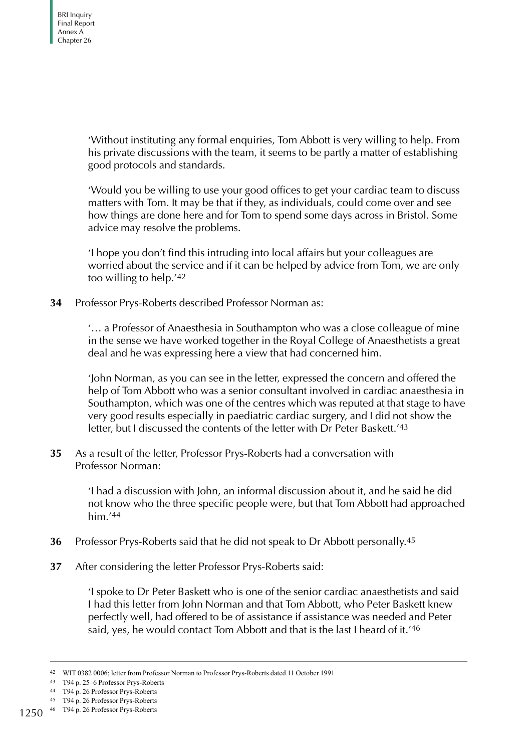'Without instituting any formal enquiries, Tom Abbott is very willing to help. From his private discussions with the team, it seems to be partly a matter of establishing good protocols and standards.

'Would you be willing to use your good offices to get your cardiac team to discuss matters with Tom. It may be that if they, as individuals, could come over and see how things are done here and for Tom to spend some days across in Bristol. Some advice may resolve the problems.

'I hope you don't find this intruding into local affairs but your colleagues are worried about the service and if it can be helped by advice from Tom, we are only too willing to help.'42

**34** Professor Prys-Roberts described Professor Norman as:

'… a Professor of Anaesthesia in Southampton who was a close colleague of mine in the sense we have worked together in the Royal College of Anaesthetists a great deal and he was expressing here a view that had concerned him.

'John Norman, as you can see in the letter, expressed the concern and offered the help of Tom Abbott who was a senior consultant involved in cardiac anaesthesia in Southampton, which was one of the centres which was reputed at that stage to have very good results especially in paediatric cardiac surgery, and I did not show the letter, but I discussed the contents of the letter with Dr Peter Baskett.'43

**35** As a result of the letter, Professor Prys-Roberts had a conversation with Professor Norman:

> 'I had a discussion with John, an informal discussion about it, and he said he did not know who the three specific people were, but that Tom Abbott had approached him.'44

- **36** Professor Prys-Roberts said that he did not speak to Dr Abbott personally.45
- **37** After considering the letter Professor Prys-Roberts said:

'I spoke to Dr Peter Baskett who is one of the senior cardiac anaesthetists and said I had this letter from John Norman and that Tom Abbott, who Peter Baskett knew perfectly well, had offered to be of assistance if assistance was needed and Peter said, yes, he would contact Tom Abbott and that is the last I heard of it.'46

<sup>42</sup> WIT 0382 0006; letter from Professor Norman to Professor Prys-Roberts dated 11 October 1991

<sup>43</sup> T94 p. 25–6 Professor Prys-Roberts

<sup>44</sup> T94 p. 26 Professor Prys-Roberts

<sup>45</sup> T94 p. 26 Professor Prys-Roberts

<sup>1250</sup> 46 T94 p. 26 Professor Prys-Roberts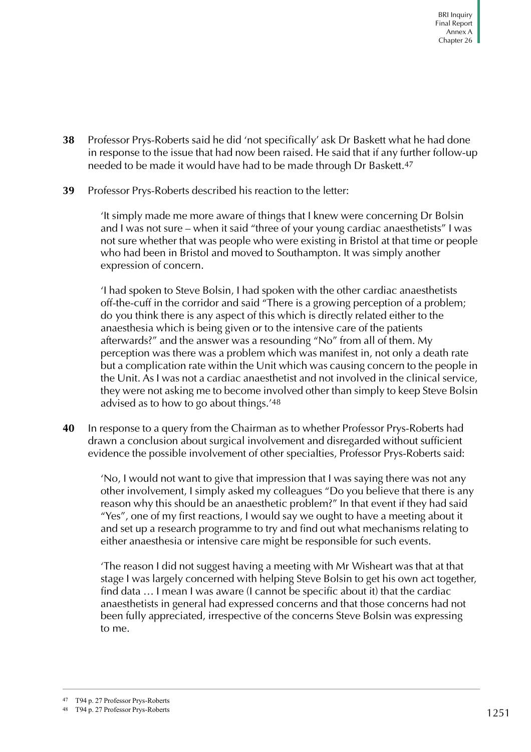- **38** Professor Prys-Roberts said he did 'not specifically' ask Dr Baskett what he had done in response to the issue that had now been raised. He said that if any further follow-up needed to be made it would have had to be made through Dr Baskett.<sup>47</sup>
- **39** Professor Prys-Roberts described his reaction to the letter:

'It simply made me more aware of things that I knew were concerning Dr Bolsin and I was not sure – when it said "three of your young cardiac anaesthetists" I was not sure whether that was people who were existing in Bristol at that time or people who had been in Bristol and moved to Southampton. It was simply another expression of concern.

'I had spoken to Steve Bolsin, I had spoken with the other cardiac anaesthetists off-the-cuff in the corridor and said "There is a growing perception of a problem; do you think there is any aspect of this which is directly related either to the anaesthesia which is being given or to the intensive care of the patients afterwards?" and the answer was a resounding "No" from all of them. My perception was there was a problem which was manifest in, not only a death rate but a complication rate within the Unit which was causing concern to the people in the Unit. As I was not a cardiac anaesthetist and not involved in the clinical service, they were not asking me to become involved other than simply to keep Steve Bolsin advised as to how to go about things.'48

**40** In response to a query from the Chairman as to whether Professor Prys-Roberts had drawn a conclusion about surgical involvement and disregarded without sufficient evidence the possible involvement of other specialties, Professor Prys-Roberts said:

'No, I would not want to give that impression that I was saying there was not any other involvement, I simply asked my colleagues "Do you believe that there is any reason why this should be an anaesthetic problem?" In that event if they had said "Yes", one of my first reactions, I would say we ought to have a meeting about it and set up a research programme to try and find out what mechanisms relating to either anaesthesia or intensive care might be responsible for such events.

'The reason I did not suggest having a meeting with Mr Wisheart was that at that stage I was largely concerned with helping Steve Bolsin to get his own act together, find data … I mean I was aware (I cannot be specific about it) that the cardiac anaesthetists in general had expressed concerns and that those concerns had not been fully appreciated, irrespective of the concerns Steve Bolsin was expressing to me.

<sup>47</sup> T94 p. 27 Professor Prys-Roberts

<sup>48</sup> T94 p. 27 Professor Prys-Roberts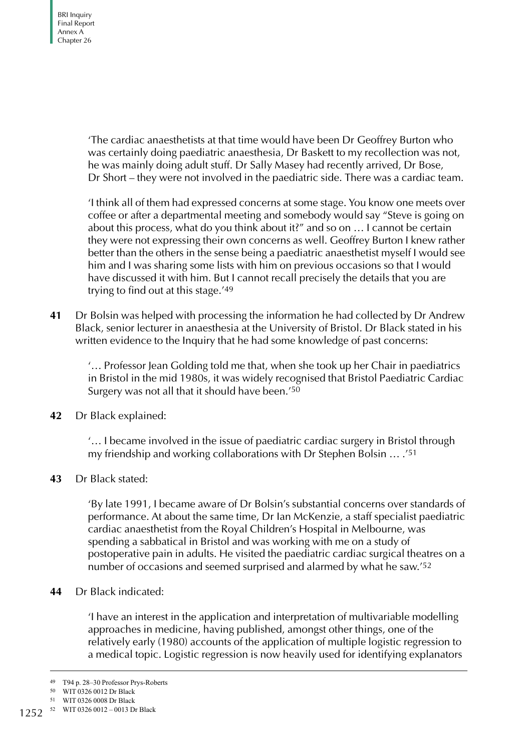'The cardiac anaesthetists at that time would have been Dr Geoffrey Burton who was certainly doing paediatric anaesthesia, Dr Baskett to my recollection was not, he was mainly doing adult stuff. Dr Sally Masey had recently arrived, Dr Bose, Dr Short – they were not involved in the paediatric side. There was a cardiac team.

'I think all of them had expressed concerns at some stage. You know one meets over coffee or after a departmental meeting and somebody would say "Steve is going on about this process, what do you think about it?" and so on … I cannot be certain they were not expressing their own concerns as well. Geoffrey Burton I knew rather better than the others in the sense being a paediatric anaesthetist myself I would see him and I was sharing some lists with him on previous occasions so that I would have discussed it with him. But I cannot recall precisely the details that you are trying to find out at this stage.'49

**41** Dr Bolsin was helped with processing the information he had collected by Dr Andrew Black, senior lecturer in anaesthesia at the University of Bristol. Dr Black stated in his written evidence to the Inquiry that he had some knowledge of past concerns:

'… Professor Jean Golding told me that, when she took up her Chair in paediatrics in Bristol in the mid 1980s, it was widely recognised that Bristol Paediatric Cardiac Surgery was not all that it should have been.'50

#### **42** Dr Black explained:

'… I became involved in the issue of paediatric cardiac surgery in Bristol through my friendship and working collaborations with Dr Stephen Bolsin … .'51

#### **43** Dr Black stated:

'By late 1991, I became aware of Dr Bolsin's substantial concerns over standards of performance. At about the same time, Dr Ian McKenzie, a staff specialist paediatric cardiac anaesthetist from the Royal Children's Hospital in Melbourne, was spending a sabbatical in Bristol and was working with me on a study of postoperative pain in adults. He visited the paediatric cardiac surgical theatres on a number of occasions and seemed surprised and alarmed by what he saw.'52

#### **44** Dr Black indicated:

'I have an interest in the application and interpretation of multivariable modelling approaches in medicine, having published, amongst other things, one of the relatively early (1980) accounts of the application of multiple logistic regression to a medical topic. Logistic regression is now heavily used for identifying explanators

<sup>49</sup> T94 p. 28–30 Professor Prys-Roberts

<sup>50</sup> WIT 0326 0012 Dr Black

<sup>51</sup> WIT 0326 0008 Dr Black

<sup>1252 &</sup>lt;sup>52</sup> WIT 0326 0012 - 0013 Dr Black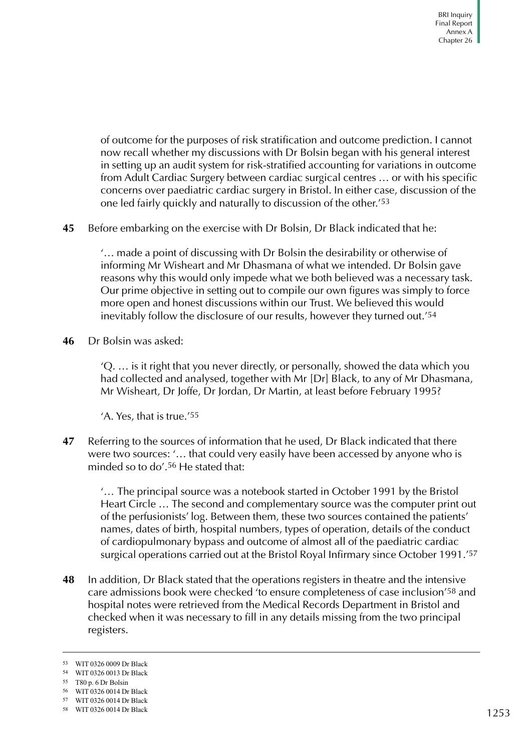of outcome for the purposes of risk stratification and outcome prediction. I cannot now recall whether my discussions with Dr Bolsin began with his general interest in setting up an audit system for risk-stratified accounting for variations in outcome from Adult Cardiac Surgery between cardiac surgical centres … or with his specific concerns over paediatric cardiac surgery in Bristol. In either case, discussion of the one led fairly quickly and naturally to discussion of the other.'53

**45** Before embarking on the exercise with Dr Bolsin, Dr Black indicated that he:

'… made a point of discussing with Dr Bolsin the desirability or otherwise of informing Mr Wisheart and Mr Dhasmana of what we intended. Dr Bolsin gave reasons why this would only impede what we both believed was a necessary task. Our prime objective in setting out to compile our own figures was simply to force more open and honest discussions within our Trust. We believed this would inevitably follow the disclosure of our results, however they turned out.'54

#### **46** Dr Bolsin was asked:

'Q. … is it right that you never directly, or personally, showed the data which you had collected and analysed, together with Mr [Dr] Black, to any of Mr Dhasmana, Mr Wisheart, Dr Joffe, Dr Jordan, Dr Martin, at least before February 1995?

'A. Yes, that is true.'55

**47** Referring to the sources of information that he used, Dr Black indicated that there were two sources: '… that could very easily have been accessed by anyone who is minded so to do'.56 He stated that:

'… The principal source was a notebook started in October 1991 by the Bristol Heart Circle … The second and complementary source was the computer print out of the perfusionists' log. Between them, these two sources contained the patients' names, dates of birth, hospital numbers, types of operation, details of the conduct of cardiopulmonary bypass and outcome of almost all of the paediatric cardiac surgical operations carried out at the Bristol Royal Infirmary since October 1991.'57

**48** In addition, Dr Black stated that the operations registers in theatre and the intensive care admissions book were checked 'to ensure completeness of case inclusion'58 and hospital notes were retrieved from the Medical Records Department in Bristol and checked when it was necessary to fill in any details missing from the two principal registers.

<sup>53</sup> WIT 0326 0009 Dr Black

<sup>54</sup> WIT 0326 0013 Dr Black

<sup>55</sup> T80 p. 6 Dr Bolsin

<sup>56</sup> WIT 0326 0014 Dr Black

<sup>57</sup> WIT 0326 0014 Dr Black

<sup>58</sup> WIT 0326 0014 Dr Black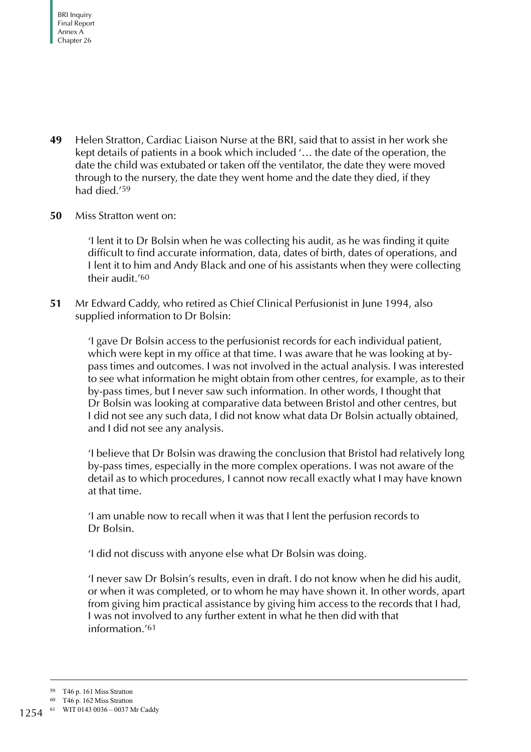- **49** Helen Stratton, Cardiac Liaison Nurse at the BRI, said that to assist in her work she kept details of patients in a book which included '… the date of the operation, the date the child was extubated or taken off the ventilator, the date they were moved through to the nursery, the date they went home and the date they died, if they had died.'59
- **50** Miss Stratton went on:

'I lent it to Dr Bolsin when he was collecting his audit, as he was finding it quite difficult to find accurate information, data, dates of birth, dates of operations, and I lent it to him and Andy Black and one of his assistants when they were collecting their audit.'60

**51** Mr Edward Caddy, who retired as Chief Clinical Perfusionist in June 1994, also supplied information to Dr Bolsin:

'I gave Dr Bolsin access to the perfusionist records for each individual patient, which were kept in my office at that time. I was aware that he was looking at bypass times and outcomes. I was not involved in the actual analysis. I was interested to see what information he might obtain from other centres, for example, as to their by-pass times, but I never saw such information. In other words, I thought that Dr Bolsin was looking at comparative data between Bristol and other centres, but I did not see any such data, I did not know what data Dr Bolsin actually obtained, and I did not see any analysis.

'I believe that Dr Bolsin was drawing the conclusion that Bristol had relatively long by-pass times, especially in the more complex operations. I was not aware of the detail as to which procedures, I cannot now recall exactly what I may have known at that time.

'I am unable now to recall when it was that I lent the perfusion records to Dr Bolsin.

'I did not discuss with anyone else what Dr Bolsin was doing.

'I never saw Dr Bolsin's results, even in draft. I do not know when he did his audit, or when it was completed, or to whom he may have shown it. In other words, apart from giving him practical assistance by giving him access to the records that I had, I was not involved to any further extent in what he then did with that information.'61

<sup>59</sup> T46 p. 161 Miss Stratton

<sup>60</sup> T46 p. 162 Miss Stratton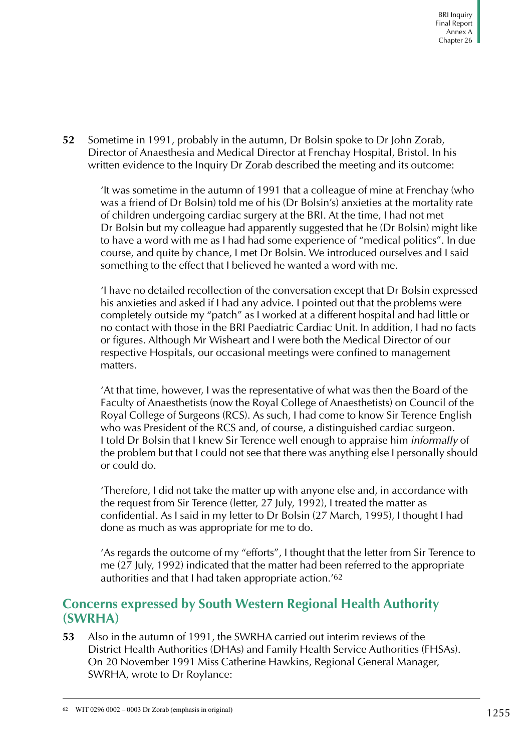**52** Sometime in 1991, probably in the autumn, Dr Bolsin spoke to Dr John Zorab, Director of Anaesthesia and Medical Director at Frenchay Hospital, Bristol. In his written evidence to the Inquiry Dr Zorab described the meeting and its outcome:

'It was sometime in the autumn of 1991 that a colleague of mine at Frenchay (who was a friend of Dr Bolsin) told me of his (Dr Bolsin's) anxieties at the mortality rate of children undergoing cardiac surgery at the BRI. At the time, I had not met Dr Bolsin but my colleague had apparently suggested that he (Dr Bolsin) might like to have a word with me as I had had some experience of "medical politics". In due course, and quite by chance, I met Dr Bolsin. We introduced ourselves and I said something to the effect that I believed he wanted a word with me.

'I have no detailed recollection of the conversation except that Dr Bolsin expressed his anxieties and asked if I had any advice. I pointed out that the problems were completely outside my "patch" as I worked at a different hospital and had little or no contact with those in the BRI Paediatric Cardiac Unit. In addition, I had no facts or figures. Although Mr Wisheart and I were both the Medical Director of our respective Hospitals, our occasional meetings were confined to management matters.

'At that time, however, I was the representative of what was then the Board of the Faculty of Anaesthetists (now the Royal College of Anaesthetists) on Council of the Royal College of Surgeons (RCS). As such, I had come to know Sir Terence English who was President of the RCS and, of course, a distinguished cardiac surgeon. I told Dr Bolsin that I knew Sir Terence well enough to appraise him informally of the problem but that I could not see that there was anything else I personally should or could do.

'Therefore, I did not take the matter up with anyone else and, in accordance with the request from Sir Terence (letter, 27 July, 1992), I treated the matter as confidential. As I said in my letter to Dr Bolsin (27 March, 1995), I thought I had done as much as was appropriate for me to do.

'As regards the outcome of my "efforts", I thought that the letter from Sir Terence to me (27 July, 1992) indicated that the matter had been referred to the appropriate authorities and that I had taken appropriate action.'62

### <span id="page-34-0"></span>**Concerns expressed by South Western Regional Health Authority (SWRHA)**

**53** Also in the autumn of 1991, the SWRHA carried out interim reviews of the District Health Authorities (DHAs) and Family Health Service Authorities (FHSAs). On 20 November 1991 Miss Catherine Hawkins, Regional General Manager, SWRHA, wrote to Dr Roylance: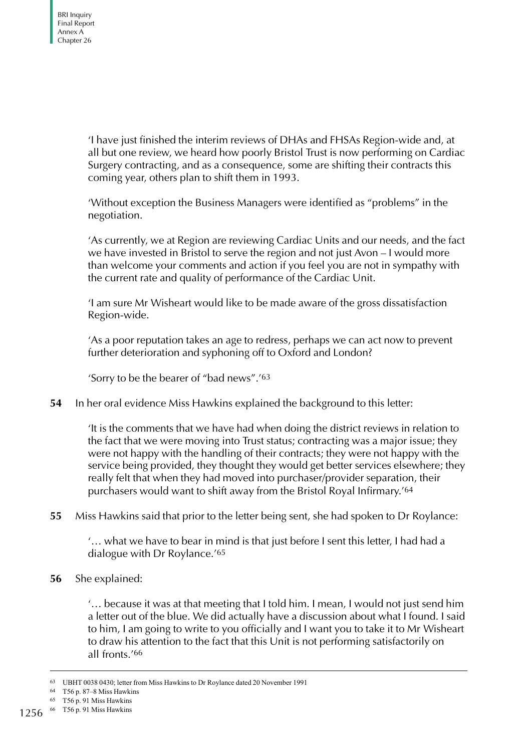'I have just finished the interim reviews of DHAs and FHSAs Region-wide and, at all but one review, we heard how poorly Bristol Trust is now performing on Cardiac Surgery contracting, and as a consequence, some are shifting their contracts this coming year, others plan to shift them in 1993.

'Without exception the Business Managers were identified as "problems" in the negotiation.

'As currently, we at Region are reviewing Cardiac Units and our needs, and the fact we have invested in Bristol to serve the region and not just Avon – I would more than welcome your comments and action if you feel you are not in sympathy with the current rate and quality of performance of the Cardiac Unit.

'I am sure Mr Wisheart would like to be made aware of the gross dissatisfaction Region-wide.

'As a poor reputation takes an age to redress, perhaps we can act now to prevent further deterioration and syphoning off to Oxford and London?

'Sorry to be the bearer of "bad news".'63

#### **54** In her oral evidence Miss Hawkins explained the background to this letter:

'It is the comments that we have had when doing the district reviews in relation to the fact that we were moving into Trust status; contracting was a major issue; they were not happy with the handling of their contracts; they were not happy with the service being provided, they thought they would get better services elsewhere; they really felt that when they had moved into purchaser/provider separation, their purchasers would want to shift away from the Bristol Royal Infirmary.'64

#### **55** Miss Hawkins said that prior to the letter being sent, she had spoken to Dr Roylance:

'… what we have to bear in mind is that just before I sent this letter, I had had a dialogue with Dr Roylance.'65

#### **56** She explained:

'… because it was at that meeting that I told him. I mean, I would not just send him a letter out of the blue. We did actually have a discussion about what I found. I said to him, I am going to write to you officially and I want you to take it to Mr Wisheart to draw his attention to the fact that this Unit is not performing satisfactorily on all fronts.'66

<sup>63</sup> UBHT 0038 0430; letter from Miss Hawkins to Dr Roylance dated 20 November 1991

<sup>64</sup> T56 p. 87–8 Miss Hawkins

<sup>65</sup> T56 p. 91 Miss Hawkins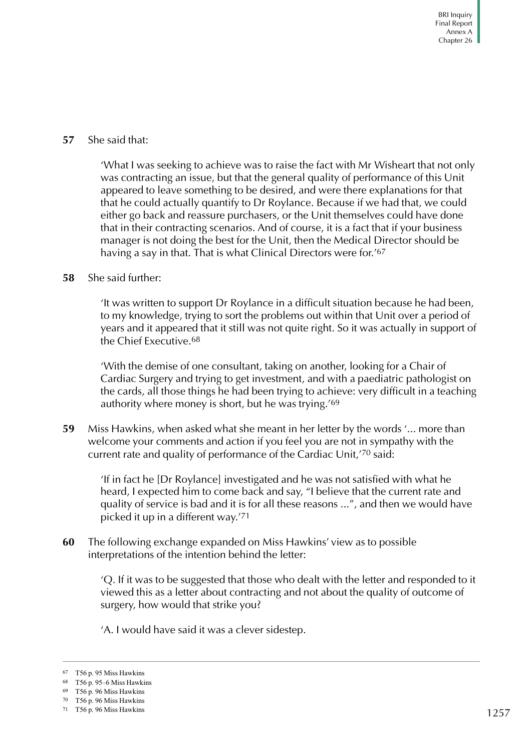#### **57** She said that:

'What I was seeking to achieve was to raise the fact with Mr Wisheart that not only was contracting an issue, but that the general quality of performance of this Unit appeared to leave something to be desired, and were there explanations for that that he could actually quantify to Dr Roylance. Because if we had that, we could either go back and reassure purchasers, or the Unit themselves could have done that in their contracting scenarios. And of course, it is a fact that if your business manager is not doing the best for the Unit, then the Medical Director should be having a say in that. That is what Clinical Directors were for.'67

#### **58** She said further:

'It was written to support Dr Roylance in a difficult situation because he had been, to my knowledge, trying to sort the problems out within that Unit over a period of years and it appeared that it still was not quite right. So it was actually in support of the Chief Executive.68

'With the demise of one consultant, taking on another, looking for a Chair of Cardiac Surgery and trying to get investment, and with a paediatric pathologist on the cards, all those things he had been trying to achieve: very difficult in a teaching authority where money is short, but he was trying.'69

**59** Miss Hawkins, when asked what she meant in her letter by the words '... more than welcome your comments and action if you feel you are not in sympathy with the current rate and quality of performance of the Cardiac Unit,'70 said:

'If in fact he [Dr Roylance] investigated and he was not satisfied with what he heard, I expected him to come back and say, "I believe that the current rate and quality of service is bad and it is for all these reasons ...", and then we would have picked it up in a different way.'71

**60** The following exchange expanded on Miss Hawkins' view as to possible interpretations of the intention behind the letter:

> 'Q. If it was to be suggested that those who dealt with the letter and responded to it viewed this as a letter about contracting and not about the quality of outcome of surgery, how would that strike you?

'A. I would have said it was a clever sidestep.

<sup>67</sup> T56 p. 95 Miss Hawkins

<sup>68</sup> T56 p. 95–6 Miss Hawkins

<sup>69</sup> T56 p. 96 Miss Hawkins

<sup>70</sup> T56 p. 96 Miss Hawkins

<sup>71</sup> T56 p. 96 Miss Hawkins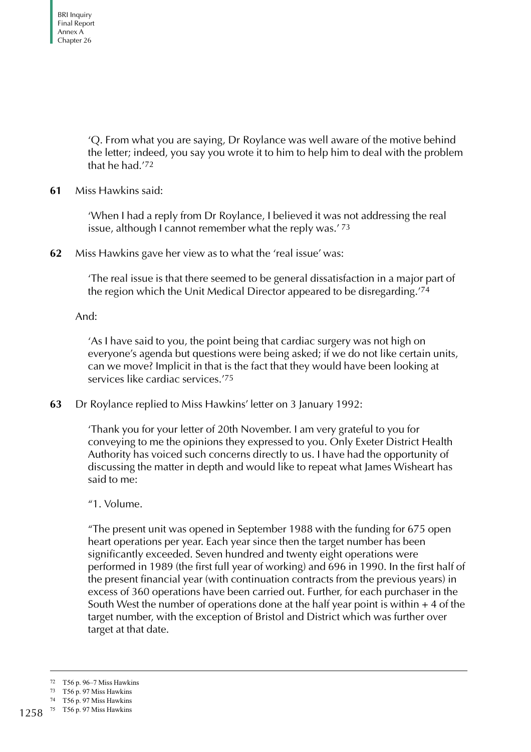'Q. From what you are saying, Dr Roylance was well aware of the motive behind the letter; indeed, you say you wrote it to him to help him to deal with the problem that he had.'72

#### **61** Miss Hawkins said:

'When I had a reply from Dr Roylance, I believed it was not addressing the real issue, although I cannot remember what the reply was.' 73

**62** Miss Hawkins gave her view as to what the 'real issue' was:

'The real issue is that there seemed to be general dissatisfaction in a major part of the region which the Unit Medical Director appeared to be disregarding.'74

#### And:

'As I have said to you, the point being that cardiac surgery was not high on everyone's agenda but questions were being asked; if we do not like certain units, can we move? Implicit in that is the fact that they would have been looking at services like cardiac services.'75

**63** Dr Roylance replied to Miss Hawkins' letter on 3 January 1992:

'Thank you for your letter of 20th November. I am very grateful to you for conveying to me the opinions they expressed to you. Only Exeter District Health Authority has voiced such concerns directly to us. I have had the opportunity of discussing the matter in depth and would like to repeat what James Wisheart has said to me:

#### "1. Volume.

"The present unit was opened in September 1988 with the funding for 675 open heart operations per year. Each year since then the target number has been significantly exceeded. Seven hundred and twenty eight operations were performed in 1989 (the first full year of working) and 696 in 1990. In the first half of the present financial year (with continuation contracts from the previous years) in excess of 360 operations have been carried out. Further, for each purchaser in the South West the number of operations done at the half year point is within  $+4$  of the target number, with the exception of Bristol and District which was further over target at that date.

<sup>72</sup> T56 p. 96–7 Miss Hawkins

<sup>73</sup> T56 p. 97 Miss Hawkins

<sup>74</sup> T56 p. 97 Miss Hawkins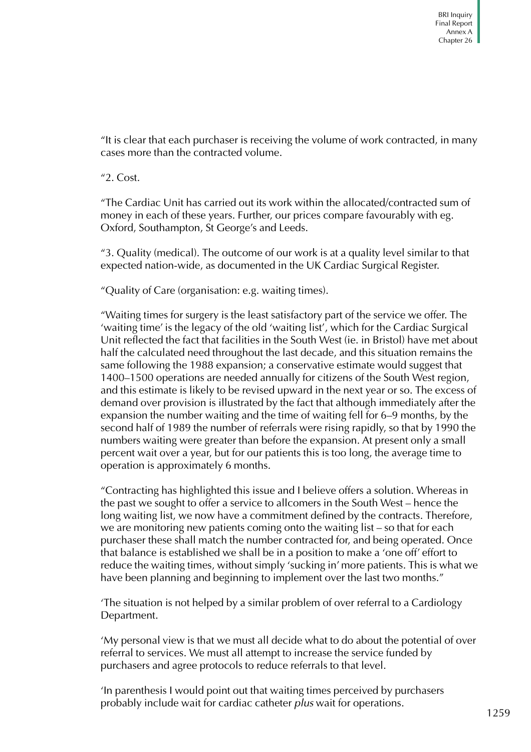"It is clear that each purchaser is receiving the volume of work contracted, in many cases more than the contracted volume.

"2. Cost.

"The Cardiac Unit has carried out its work within the allocated/contracted sum of money in each of these years. Further, our prices compare favourably with eg. Oxford, Southampton, St George's and Leeds.

"3. Quality (medical). The outcome of our work is at a quality level similar to that expected nation-wide, as documented in the UK Cardiac Surgical Register.

"Quality of Care (organisation: e.g. waiting times).

"Waiting times for surgery is the least satisfactory part of the service we offer. The 'waiting time' is the legacy of the old 'waiting list', which for the Cardiac Surgical Unit reflected the fact that facilities in the South West (ie. in Bristol) have met about half the calculated need throughout the last decade, and this situation remains the same following the 1988 expansion; a conservative estimate would suggest that 1400–1500 operations are needed annually for citizens of the South West region, and this estimate is likely to be revised upward in the next year or so. The excess of demand over provision is illustrated by the fact that although immediately after the expansion the number waiting and the time of waiting fell for 6–9 months, by the second half of 1989 the number of referrals were rising rapidly, so that by 1990 the numbers waiting were greater than before the expansion. At present only a small percent wait over a year, but for our patients this is too long, the average time to operation is approximately 6 months.

"Contracting has highlighted this issue and I believe offers a solution. Whereas in the past we sought to offer a service to allcomers in the South West – hence the long waiting list, we now have a commitment defined by the contracts. Therefore, we are monitoring new patients coming onto the waiting list – so that for each purchaser these shall match the number contracted for, and being operated. Once that balance is established we shall be in a position to make a 'one off' effort to reduce the waiting times, without simply 'sucking in' more patients. This is what we have been planning and beginning to implement over the last two months."

'The situation is not helped by a similar problem of over referral to a Cardiology Department.

'My personal view is that we must all decide what to do about the potential of over referral to services. We must all attempt to increase the service funded by purchasers and agree protocols to reduce referrals to that level.

'In parenthesis I would point out that waiting times perceived by purchasers probably include wait for cardiac catheter *plus* wait for operations.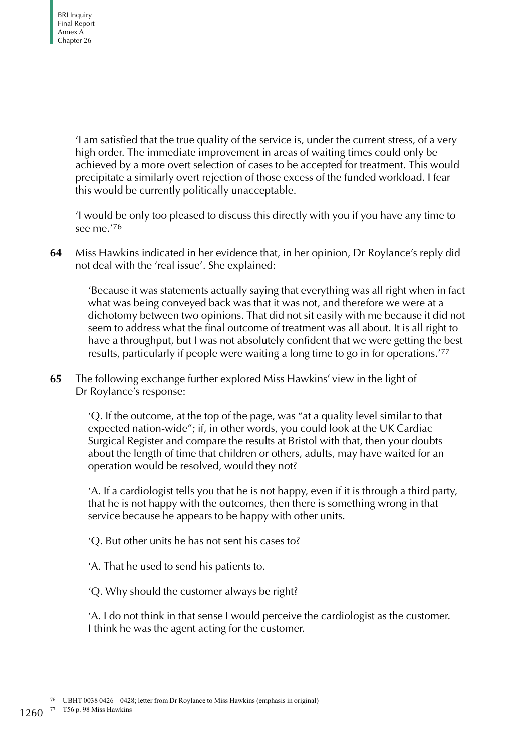'I am satisfied that the true quality of the service is, under the current stress, of a very high order. The immediate improvement in areas of waiting times could only be achieved by a more overt selection of cases to be accepted for treatment. This would precipitate a similarly overt rejection of those excess of the funded workload. I fear this would be currently politically unacceptable.

'I would be only too pleased to discuss this directly with you if you have any time to see me.'76

**64** Miss Hawkins indicated in her evidence that, in her opinion, Dr Roylance's reply did not deal with the 'real issue'. She explained:

'Because it was statements actually saying that everything was all right when in fact what was being conveyed back was that it was not, and therefore we were at a dichotomy between two opinions. That did not sit easily with me because it did not seem to address what the final outcome of treatment was all about. It is all right to have a throughput, but I was not absolutely confident that we were getting the best results, particularly if people were waiting a long time to go in for operations.'77

**65** The following exchange further explored Miss Hawkins' view in the light of Dr Roylance's response:

> 'Q. If the outcome, at the top of the page, was "at a quality level similar to that expected nation-wide"; if, in other words, you could look at the UK Cardiac Surgical Register and compare the results at Bristol with that, then your doubts about the length of time that children or others, adults, may have waited for an operation would be resolved, would they not?

'A. If a cardiologist tells you that he is not happy, even if it is through a third party, that he is not happy with the outcomes, then there is something wrong in that service because he appears to be happy with other units.

'Q. But other units he has not sent his cases to?

'A. That he used to send his patients to.

'Q. Why should the customer always be right?

'A. I do not think in that sense I would perceive the cardiologist as the customer. I think he was the agent acting for the customer.

76 UBHT 0038 0426 – 0428; letter from Dr Roylance to Miss Hawkins (emphasis in original)

1260 77 T56 p. 98 Miss Hawkins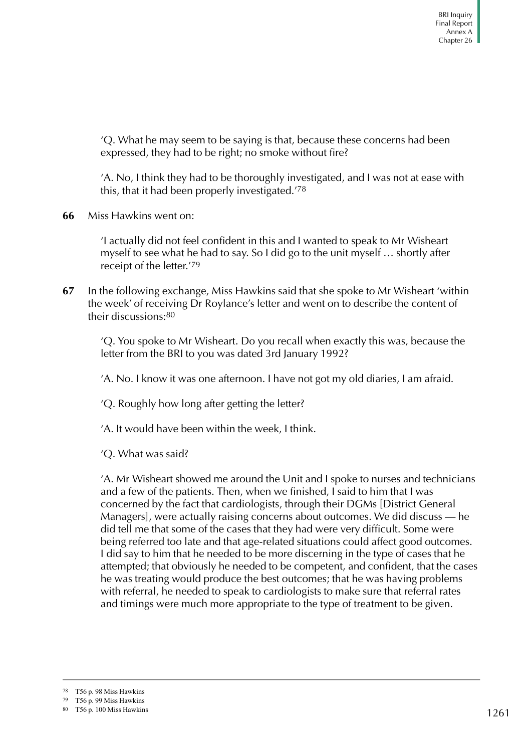'Q. What he may seem to be saying is that, because these concerns had been expressed, they had to be right; no smoke without fire?

'A. No, I think they had to be thoroughly investigated, and I was not at ease with this, that it had been properly investigated.'78

**66** Miss Hawkins went on:

'I actually did not feel confident in this and I wanted to speak to Mr Wisheart myself to see what he had to say. So I did go to the unit myself … shortly after receipt of the letter.'79

**67** In the following exchange, Miss Hawkins said that she spoke to Mr Wisheart 'within the week' of receiving Dr Roylance's letter and went on to describe the content of their discussions:80

'Q. You spoke to Mr Wisheart. Do you recall when exactly this was, because the letter from the BRI to you was dated 3rd January 1992?

'A. No. I know it was one afternoon. I have not got my old diaries, I am afraid.

'Q. Roughly how long after getting the letter?

'A. It would have been within the week, I think.

'Q. What was said?

'A. Mr Wisheart showed me around the Unit and I spoke to nurses and technicians and a few of the patients. Then, when we finished, I said to him that I was concerned by the fact that cardiologists, through their DGMs [District General Managers], were actually raising concerns about outcomes. We did discuss — he did tell me that some of the cases that they had were very difficult. Some were being referred too late and that age-related situations could affect good outcomes. I did say to him that he needed to be more discerning in the type of cases that he attempted; that obviously he needed to be competent, and confident, that the cases he was treating would produce the best outcomes; that he was having problems with referral, he needed to speak to cardiologists to make sure that referral rates and timings were much more appropriate to the type of treatment to be given.

<sup>78</sup> T56 p. 98 Miss Hawkins

<sup>79</sup> T56 p. 99 Miss Hawkins

<sup>80</sup> T56 p. 100 Miss Hawkins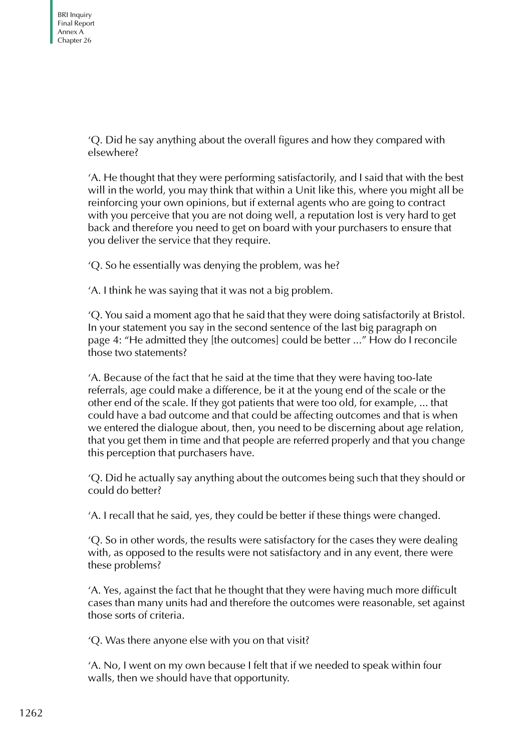'Q. Did he say anything about the overall figures and how they compared with elsewhere?

'A. He thought that they were performing satisfactorily, and I said that with the best will in the world, you may think that within a Unit like this, where you might all be reinforcing your own opinions, but if external agents who are going to contract with you perceive that you are not doing well, a reputation lost is very hard to get back and therefore you need to get on board with your purchasers to ensure that you deliver the service that they require.

'Q. So he essentially was denying the problem, was he?

'A. I think he was saying that it was not a big problem.

'Q. You said a moment ago that he said that they were doing satisfactorily at Bristol. In your statement you say in the second sentence of the last big paragraph on page 4: "He admitted they [the outcomes] could be better ..." How do I reconcile those two statements?

'A. Because of the fact that he said at the time that they were having too-late referrals, age could make a difference, be it at the young end of the scale or the other end of the scale. If they got patients that were too old, for example, ... that could have a bad outcome and that could be affecting outcomes and that is when we entered the dialogue about, then, you need to be discerning about age relation, that you get them in time and that people are referred properly and that you change this perception that purchasers have.

'Q. Did he actually say anything about the outcomes being such that they should or could do better?

'A. I recall that he said, yes, they could be better if these things were changed.

'Q. So in other words, the results were satisfactory for the cases they were dealing with, as opposed to the results were not satisfactory and in any event, there were these problems?

'A. Yes, against the fact that he thought that they were having much more difficult cases than many units had and therefore the outcomes were reasonable, set against those sorts of criteria.

'Q. Was there anyone else with you on that visit?

'A. No, I went on my own because I felt that if we needed to speak within four walls, then we should have that opportunity.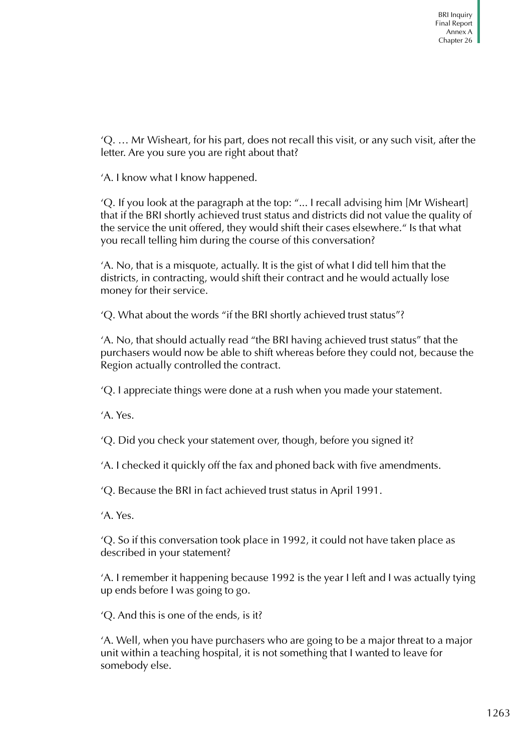'Q. … Mr Wisheart, for his part, does not recall this visit, or any such visit, after the letter. Are you sure you are right about that?

'A. I know what I know happened.

'Q. If you look at the paragraph at the top: "... I recall advising him [Mr Wisheart] that if the BRI shortly achieved trust status and districts did not value the quality of the service the unit offered, they would shift their cases elsewhere." Is that what you recall telling him during the course of this conversation?

'A. No, that is a misquote, actually. It is the gist of what I did tell him that the districts, in contracting, would shift their contract and he would actually lose money for their service.

'Q. What about the words "if the BRI shortly achieved trust status"?

'A. No, that should actually read "the BRI having achieved trust status" that the purchasers would now be able to shift whereas before they could not, because the Region actually controlled the contract.

'Q. I appreciate things were done at a rush when you made your statement.

'A. Yes.

'Q. Did you check your statement over, though, before you signed it?

'A. I checked it quickly off the fax and phoned back with five amendments.

'Q. Because the BRI in fact achieved trust status in April 1991.

'A. Yes.

'Q. So if this conversation took place in 1992, it could not have taken place as described in your statement?

'A. I remember it happening because 1992 is the year I left and I was actually tying up ends before I was going to go.

'Q. And this is one of the ends, is it?

'A. Well, when you have purchasers who are going to be a major threat to a major unit within a teaching hospital, it is not something that I wanted to leave for somebody else.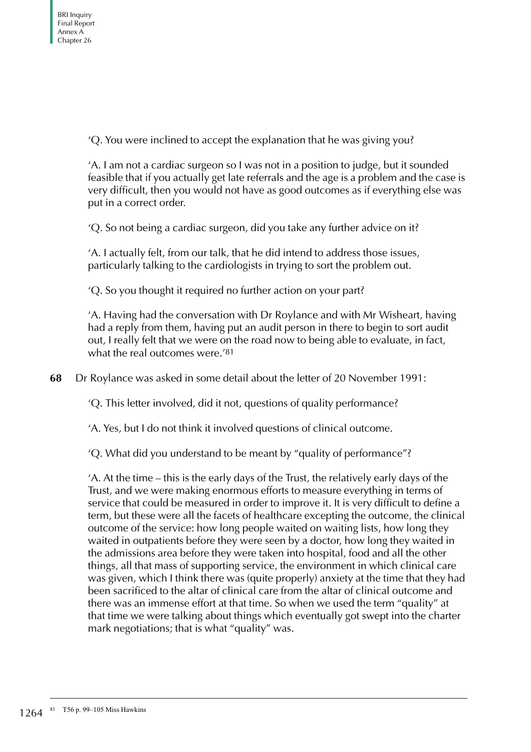'Q. You were inclined to accept the explanation that he was giving you?

'A. I am not a cardiac surgeon so I was not in a position to judge, but it sounded feasible that if you actually get late referrals and the age is a problem and the case is very difficult, then you would not have as good outcomes as if everything else was put in a correct order.

'Q. So not being a cardiac surgeon, did you take any further advice on it?

'A. I actually felt, from our talk, that he did intend to address those issues, particularly talking to the cardiologists in trying to sort the problem out.

'Q. So you thought it required no further action on your part?

'A. Having had the conversation with Dr Roylance and with Mr Wisheart, having had a reply from them, having put an audit person in there to begin to sort audit out, I really felt that we were on the road now to being able to evaluate, in fact, what the real outcomes were.<sup>'81</sup>

**68** Dr Roylance was asked in some detail about the letter of 20 November 1991:

'Q. This letter involved, did it not, questions of quality performance?

'A. Yes, but I do not think it involved questions of clinical outcome.

'Q. What did you understand to be meant by "quality of performance"?

'A. At the time – this is the early days of the Trust, the relatively early days of the Trust, and we were making enormous efforts to measure everything in terms of service that could be measured in order to improve it. It is very difficult to define a term, but these were all the facets of healthcare excepting the outcome, the clinical outcome of the service: how long people waited on waiting lists, how long they waited in outpatients before they were seen by a doctor, how long they waited in the admissions area before they were taken into hospital, food and all the other things, all that mass of supporting service, the environment in which clinical care was given, which I think there was (quite properly) anxiety at the time that they had been sacrificed to the altar of clinical care from the altar of clinical outcome and there was an immense effort at that time. So when we used the term "quality" at that time we were talking about things which eventually got swept into the charter mark negotiations; that is what "quality" was.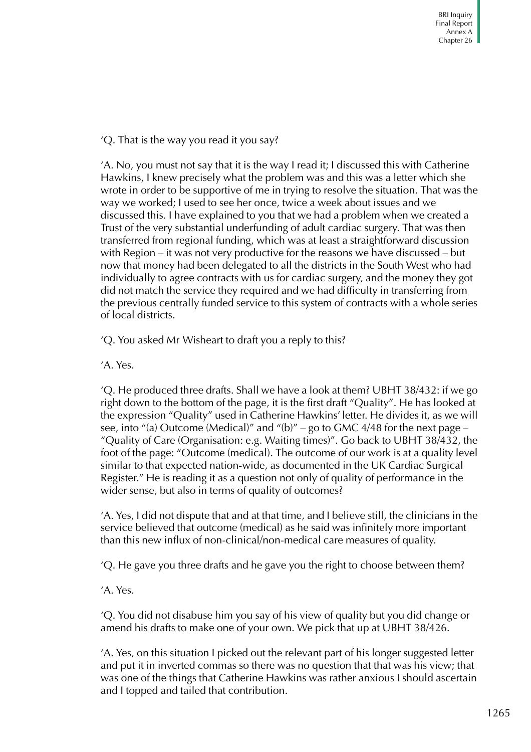'Q. That is the way you read it you say?

'A. No, you must not say that it is the way I read it; I discussed this with Catherine Hawkins, I knew precisely what the problem was and this was a letter which she wrote in order to be supportive of me in trying to resolve the situation. That was the way we worked; I used to see her once, twice a week about issues and we discussed this. I have explained to you that we had a problem when we created a Trust of the very substantial underfunding of adult cardiac surgery. That was then transferred from regional funding, which was at least a straightforward discussion with Region – it was not very productive for the reasons we have discussed – but now that money had been delegated to all the districts in the South West who had individually to agree contracts with us for cardiac surgery, and the money they got did not match the service they required and we had difficulty in transferring from the previous centrally funded service to this system of contracts with a whole series of local districts.

'Q. You asked Mr Wisheart to draft you a reply to this?

'A. Yes.

'Q. He produced three drafts. Shall we have a look at them? UBHT 38/432: if we go right down to the bottom of the page, it is the first draft "Quality". He has looked at the expression "Quality" used in Catherine Hawkins' letter. He divides it, as we will see, into  $\degree$ (a) Outcome (Medical) $\degree$  and  $\degree$ (b) $\degree$  – go to GMC 4/48 for the next page – "Quality of Care (Organisation: e.g. Waiting times)". Go back to UBHT 38/432, the foot of the page: "Outcome (medical). The outcome of our work is at a quality level similar to that expected nation-wide, as documented in the UK Cardiac Surgical Register." He is reading it as a question not only of quality of performance in the wider sense, but also in terms of quality of outcomes?

'A. Yes, I did not dispute that and at that time, and I believe still, the clinicians in the service believed that outcome (medical) as he said was infinitely more important than this new influx of non-clinical/non-medical care measures of quality.

'Q. He gave you three drafts and he gave you the right to choose between them?

'A. Yes.

'Q. You did not disabuse him you say of his view of quality but you did change or amend his drafts to make one of your own. We pick that up at UBHT 38/426.

'A. Yes, on this situation I picked out the relevant part of his longer suggested letter and put it in inverted commas so there was no question that that was his view; that was one of the things that Catherine Hawkins was rather anxious I should ascertain and I topped and tailed that contribution.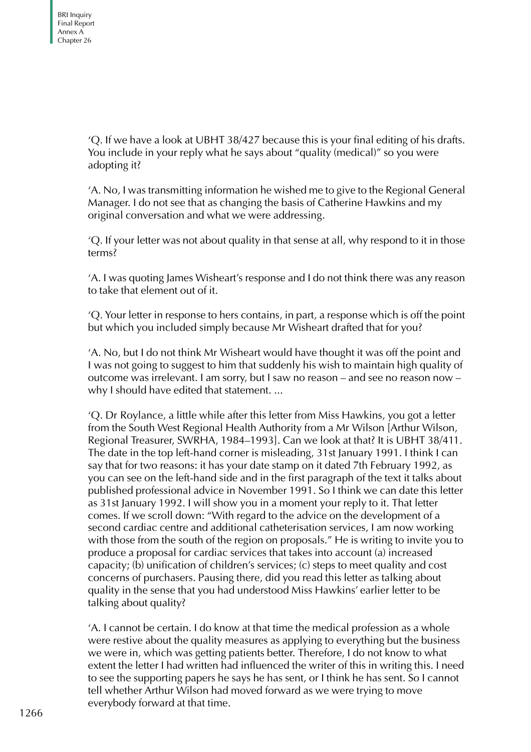'Q. If we have a look at UBHT 38/427 because this is your final editing of his drafts. You include in your reply what he says about "quality (medical)" so you were adopting it?

'A. No, I was transmitting information he wished me to give to the Regional General Manager. I do not see that as changing the basis of Catherine Hawkins and my original conversation and what we were addressing.

'Q. If your letter was not about quality in that sense at all, why respond to it in those terms?

'A. I was quoting James Wisheart's response and I do not think there was any reason to take that element out of it.

'Q. Your letter in response to hers contains, in part, a response which is off the point but which you included simply because Mr Wisheart drafted that for you?

'A. No, but I do not think Mr Wisheart would have thought it was off the point and I was not going to suggest to him that suddenly his wish to maintain high quality of outcome was irrelevant. I am sorry, but I saw no reason – and see no reason now – why I should have edited that statement. ...

'Q. Dr Roylance, a little while after this letter from Miss Hawkins, you got a letter from the South West Regional Health Authority from a Mr Wilson [Arthur Wilson, Regional Treasurer, SWRHA, 1984–1993]. Can we look at that? It is UBHT 38/411. The date in the top left-hand corner is misleading, 31st January 1991. I think I can say that for two reasons: it has your date stamp on it dated 7th February 1992, as you can see on the left-hand side and in the first paragraph of the text it talks about published professional advice in November 1991. So I think we can date this letter as 31st January 1992. I will show you in a moment your reply to it. That letter comes. If we scroll down: "With regard to the advice on the development of a second cardiac centre and additional catheterisation services, I am now working with those from the south of the region on proposals." He is writing to invite you to produce a proposal for cardiac services that takes into account (a) increased capacity; (b) unification of children's services; (c) steps to meet quality and cost concerns of purchasers. Pausing there, did you read this letter as talking about quality in the sense that you had understood Miss Hawkins' earlier letter to be talking about quality?

'A. I cannot be certain. I do know at that time the medical profession as a whole were restive about the quality measures as applying to everything but the business we were in, which was getting patients better. Therefore, I do not know to what extent the letter I had written had influenced the writer of this in writing this. I need to see the supporting papers he says he has sent, or I think he has sent. So I cannot tell whether Arthur Wilson had moved forward as we were trying to move everybody forward at that time.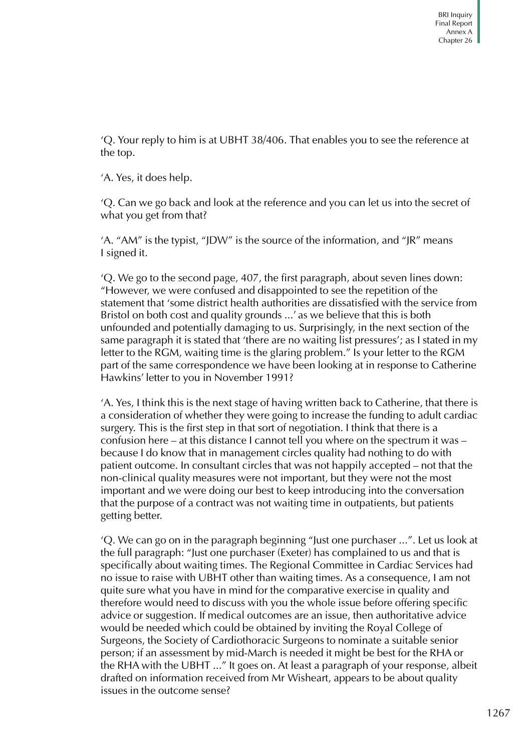'Q. Your reply to him is at UBHT 38/406. That enables you to see the reference at the top.

'A. Yes, it does help.

'Q. Can we go back and look at the reference and you can let us into the secret of what you get from that?

'A. "AM" is the typist, "JDW" is the source of the information, and "JR" means I signed it.

'Q. We go to the second page, 407, the first paragraph, about seven lines down: "However, we were confused and disappointed to see the repetition of the statement that 'some district health authorities are dissatisfied with the service from Bristol on both cost and quality grounds ...' as we believe that this is both unfounded and potentially damaging to us. Surprisingly, in the next section of the same paragraph it is stated that 'there are no waiting list pressures'; as I stated in my letter to the RGM, waiting time is the glaring problem." Is your letter to the RGM part of the same correspondence we have been looking at in response to Catherine Hawkins' letter to you in November 1991?

'A. Yes, I think this is the next stage of having written back to Catherine, that there is a consideration of whether they were going to increase the funding to adult cardiac surgery. This is the first step in that sort of negotiation. I think that there is a confusion here – at this distance I cannot tell you where on the spectrum it was – because I do know that in management circles quality had nothing to do with patient outcome. In consultant circles that was not happily accepted – not that the non-clinical quality measures were not important, but they were not the most important and we were doing our best to keep introducing into the conversation that the purpose of a contract was not waiting time in outpatients, but patients getting better.

'Q. We can go on in the paragraph beginning "Just one purchaser ...". Let us look at the full paragraph: "Just one purchaser (Exeter) has complained to us and that is specifically about waiting times. The Regional Committee in Cardiac Services had no issue to raise with UBHT other than waiting times. As a consequence, I am not quite sure what you have in mind for the comparative exercise in quality and therefore would need to discuss with you the whole issue before offering specific advice or suggestion. If medical outcomes are an issue, then authoritative advice would be needed which could be obtained by inviting the Royal College of Surgeons, the Society of Cardiothoracic Surgeons to nominate a suitable senior person; if an assessment by mid-March is needed it might be best for the RHA or the RHA with the UBHT ..." It goes on. At least a paragraph of your response, albeit drafted on information received from Mr Wisheart, appears to be about quality issues in the outcome sense?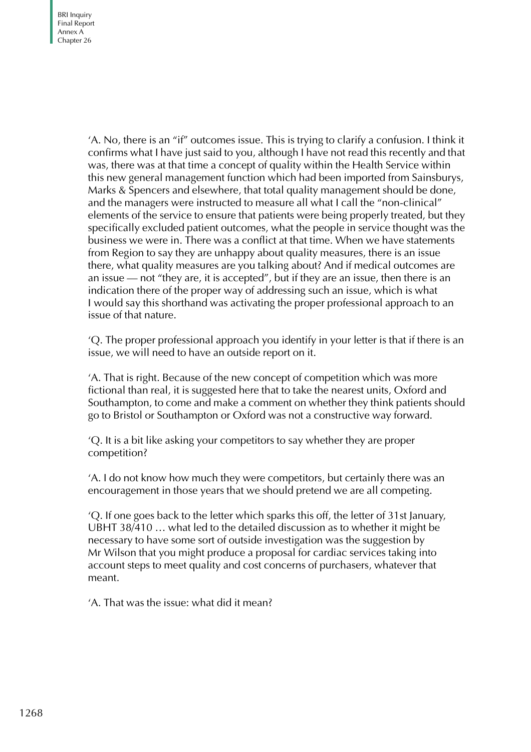'A. No, there is an "if" outcomes issue. This is trying to clarify a confusion. I think it confirms what I have just said to you, although I have not read this recently and that was, there was at that time a concept of quality within the Health Service within this new general management function which had been imported from Sainsburys, Marks & Spencers and elsewhere, that total quality management should be done, and the managers were instructed to measure all what I call the "non-clinical" elements of the service to ensure that patients were being properly treated, but they specifically excluded patient outcomes, what the people in service thought was the business we were in. There was a conflict at that time. When we have statements from Region to say they are unhappy about quality measures, there is an issue there, what quality measures are you talking about? And if medical outcomes are an issue — not "they are, it is accepted", but if they are an issue, then there is an indication there of the proper way of addressing such an issue, which is what I would say this shorthand was activating the proper professional approach to an issue of that nature.

'Q. The proper professional approach you identify in your letter is that if there is an issue, we will need to have an outside report on it.

'A. That is right. Because of the new concept of competition which was more fictional than real, it is suggested here that to take the nearest units, Oxford and Southampton, to come and make a comment on whether they think patients should go to Bristol or Southampton or Oxford was not a constructive way forward.

'Q. It is a bit like asking your competitors to say whether they are proper competition?

'A. I do not know how much they were competitors, but certainly there was an encouragement in those years that we should pretend we are all competing.

'Q. If one goes back to the letter which sparks this off, the letter of 31st January, UBHT 38/410 … what led to the detailed discussion as to whether it might be necessary to have some sort of outside investigation was the suggestion by Mr Wilson that you might produce a proposal for cardiac services taking into account steps to meet quality and cost concerns of purchasers, whatever that meant.

'A. That was the issue: what did it mean?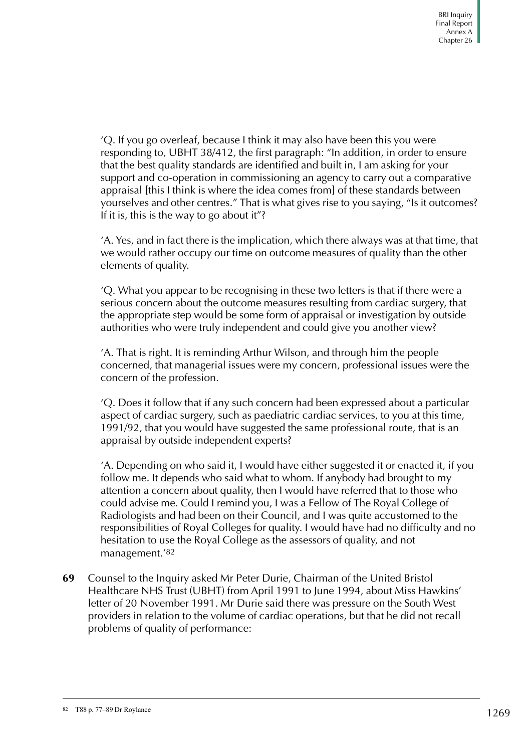'Q. If you go overleaf, because I think it may also have been this you were responding to, UBHT 38/412, the first paragraph: "In addition, in order to ensure that the best quality standards are identified and built in, I am asking for your support and co-operation in commissioning an agency to carry out a comparative appraisal [this I think is where the idea comes from] of these standards between yourselves and other centres." That is what gives rise to you saying, "Is it outcomes? If it is, this is the way to go about it"?

'A. Yes, and in fact there is the implication, which there always was at that time, that we would rather occupy our time on outcome measures of quality than the other elements of quality.

'Q. What you appear to be recognising in these two letters is that if there were a serious concern about the outcome measures resulting from cardiac surgery, that the appropriate step would be some form of appraisal or investigation by outside authorities who were truly independent and could give you another view?

'A. That is right. It is reminding Arthur Wilson, and through him the people concerned, that managerial issues were my concern, professional issues were the concern of the profession.

'Q. Does it follow that if any such concern had been expressed about a particular aspect of cardiac surgery, such as paediatric cardiac services, to you at this time, 1991/92, that you would have suggested the same professional route, that is an appraisal by outside independent experts?

'A. Depending on who said it, I would have either suggested it or enacted it, if you follow me. It depends who said what to whom. If anybody had brought to my attention a concern about quality, then I would have referred that to those who could advise me. Could I remind you, I was a Fellow of The Royal College of Radiologists and had been on their Council, and I was quite accustomed to the responsibilities of Royal Colleges for quality. I would have had no difficulty and no hesitation to use the Royal College as the assessors of quality, and not management.'82

**69** Counsel to the Inquiry asked Mr Peter Durie, Chairman of the United Bristol Healthcare NHS Trust (UBHT) from April 1991 to June 1994, about Miss Hawkins' letter of 20 November 1991. Mr Durie said there was pressure on the South West providers in relation to the volume of cardiac operations, but that he did not recall problems of quality of performance: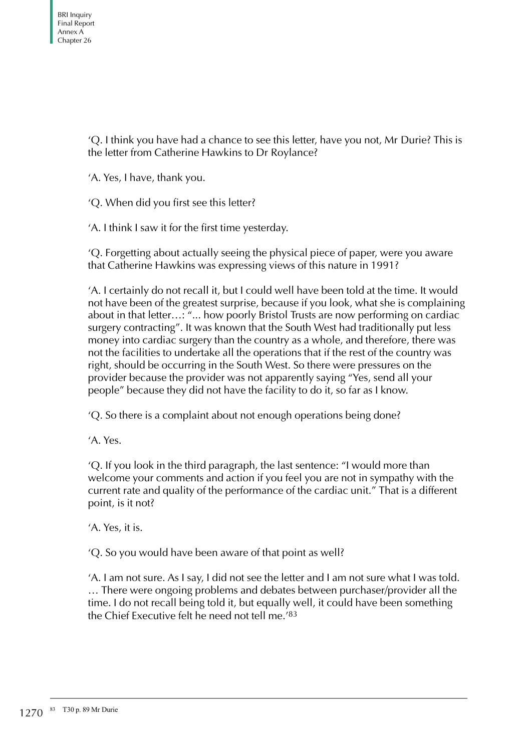'Q. I think you have had a chance to see this letter, have you not, Mr Durie? This is the letter from Catherine Hawkins to Dr Roylance?

'A. Yes, I have, thank you.

'Q. When did you first see this letter?

'A. I think I saw it for the first time yesterday.

'Q. Forgetting about actually seeing the physical piece of paper, were you aware that Catherine Hawkins was expressing views of this nature in 1991?

'A. I certainly do not recall it, but I could well have been told at the time. It would not have been of the greatest surprise, because if you look, what she is complaining about in that letter…: "... how poorly Bristol Trusts are now performing on cardiac surgery contracting". It was known that the South West had traditionally put less money into cardiac surgery than the country as a whole, and therefore, there was not the facilities to undertake all the operations that if the rest of the country was right, should be occurring in the South West. So there were pressures on the provider because the provider was not apparently saying "Yes, send all your people" because they did not have the facility to do it, so far as I know.

'Q. So there is a complaint about not enough operations being done?

'A. Yes.

'Q. If you look in the third paragraph, the last sentence: "I would more than welcome your comments and action if you feel you are not in sympathy with the current rate and quality of the performance of the cardiac unit." That is a different point, is it not?

'A. Yes, it is.

'Q. So you would have been aware of that point as well?

'A. I am not sure. As I say, I did not see the letter and I am not sure what I was told. … There were ongoing problems and debates between purchaser/provider all the time. I do not recall being told it, but equally well, it could have been something the Chief Executive felt he need not tell me.'83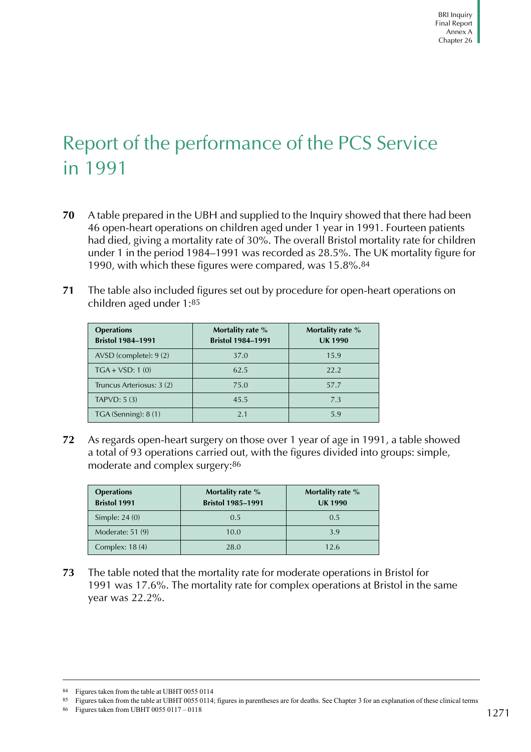## Report of the performance of the PCS Service in 1991

- **70** A table prepared in the UBH and supplied to the Inquiry showed that there had been 46 open-heart operations on children aged under 1 year in 1991. Fourteen patients had died, giving a mortality rate of 30%. The overall Bristol mortality rate for children under 1 in the period 1984–1991 was recorded as 28.5%. The UK mortality figure for 1990, with which these figures were compared, was 15.8%.84
- **71** The table also included figures set out by procedure for open-heart operations on children aged under 1:85

| <b>Operations</b><br><b>Bristol 1984-1991</b> | Mortality rate %<br><b>Bristol 1984-1991</b> | Mortality rate %<br><b>UK1990</b> |
|-----------------------------------------------|----------------------------------------------|-----------------------------------|
| $AVSD$ (complete): 9 (2)                      | 37.0                                         | 15.9                              |
| $TGA + VSD: 1(0)$                             | 62.5                                         | 22.2                              |
| Truncus Arteriosus: 3 (2)                     | 75.0                                         | 57.7                              |
| TAPVD: $5(3)$                                 | 45.5                                         | 7.3                               |
| TGA (Senning): $8(1)$                         | 2.1                                          | 5.9                               |

**72** As regards open-heart surgery on those over 1 year of age in 1991, a table showed a total of 93 operations carried out, with the figures divided into groups: simple, moderate and complex surgery:86

| <b>Operations</b><br><b>Bristol 1991</b> | Mortality rate $\%$<br><b>Bristol 1985-1991</b> | Mortality rate %<br><b>UK1990</b> |
|------------------------------------------|-------------------------------------------------|-----------------------------------|
| Simple: $24(0)$                          | 0.5                                             | 0.5                               |
| Moderate: 51 (9)                         | 10.0                                            | 3.9                               |
| Complex: $18(4)$                         | 28.0                                            | 12.6                              |

**73** The table noted that the mortality rate for moderate operations in Bristol for 1991 was 17.6%. The mortality rate for complex operations at Bristol in the same year was 22.2%.

<sup>84</sup> Figures taken from the table at UBHT 0055 0114

<sup>85</sup> Figures taken from the table at UBHT 0055 0114; figures in parentheses are for deaths. See Chapter 3 for an explanation of these clinical terms

<sup>86</sup> Figures taken from UBHT 0055 0117 – 0118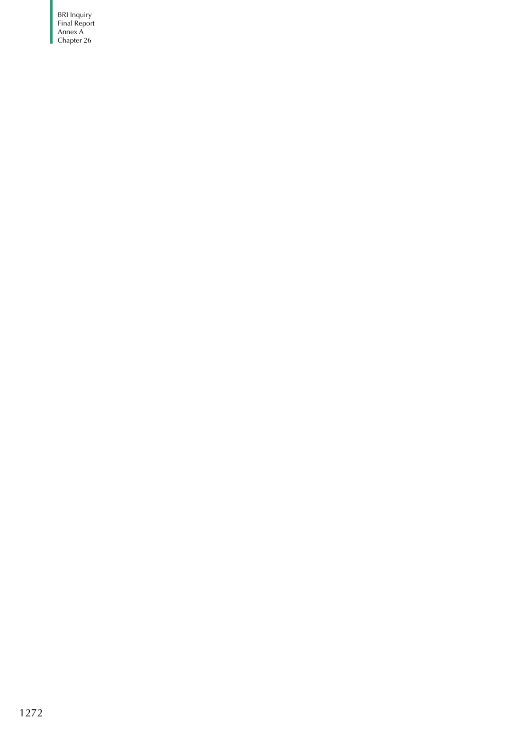BRI Inquiry Final Report Annex A Chapter 26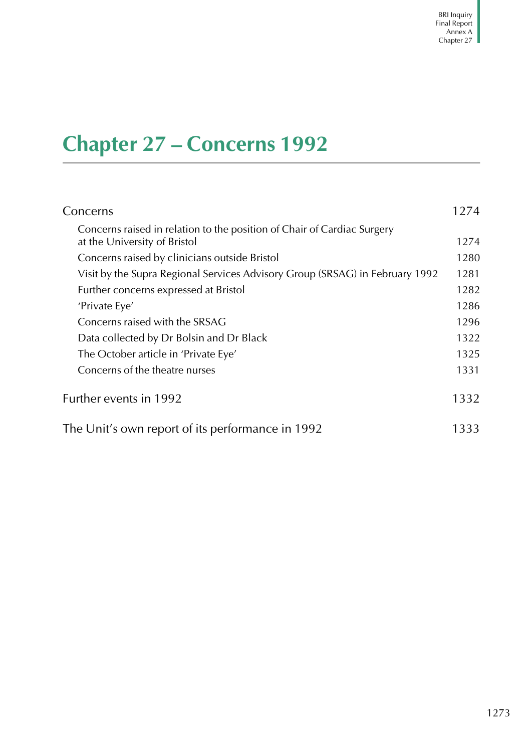# **Chapter 27 – Concerns 1992**

| Concerns                                                                                                |      |
|---------------------------------------------------------------------------------------------------------|------|
| Concerns raised in relation to the position of Chair of Cardiac Surgery<br>at the University of Bristol | 1274 |
| Concerns raised by clinicians outside Bristol                                                           | 1280 |
| Visit by the Supra Regional Services Advisory Group (SRSAG) in February 1992                            |      |
| Further concerns expressed at Bristol                                                                   | 1282 |
| 'Private Eye'                                                                                           | 1286 |
| Concerns raised with the SRSAG                                                                          | 1296 |
| Data collected by Dr Bolsin and Dr Black                                                                | 1322 |
| The October article in 'Private Eye'                                                                    | 1325 |
| Concerns of the theatre nurses                                                                          | 1331 |
| Further events in 1992                                                                                  | 1332 |
| The Unit's own report of its performance in 1992                                                        | 1333 |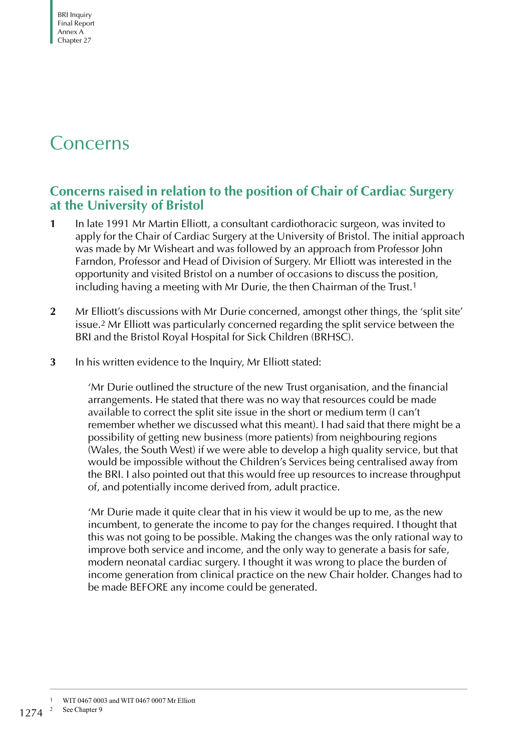BRI Inquiry Final Report Annex A Chapter 27

## <span id="page-53-0"></span>Concerns

## <span id="page-53-1"></span>**Concerns raised in relation to the position of Chair of Cardiac Surgery at the University of Bristol**

- **1** In late 1991 Mr Martin Elliott, a consultant cardiothoracic surgeon, was invited to apply for the Chair of Cardiac Surgery at the University of Bristol. The initial approach was made by Mr Wisheart and was followed by an approach from Professor John Farndon, Professor and Head of Division of Surgery. Mr Elliott was interested in the opportunity and visited Bristol on a number of occasions to discuss the position, including having a meeting with Mr Durie, the then Chairman of the Trust.1
- **2** Mr Elliott's discussions with Mr Durie concerned, amongst other things, the 'split site' issue.2 Mr Elliott was particularly concerned regarding the split service between the BRI and the Bristol Royal Hospital for Sick Children (BRHSC).
- **3** In his written evidence to the Inquiry, Mr Elliott stated:

'Mr Durie outlined the structure of the new Trust organisation, and the financial arrangements. He stated that there was no way that resources could be made available to correct the split site issue in the short or medium term (I can't remember whether we discussed what this meant). I had said that there might be a possibility of getting new business (more patients) from neighbouring regions (Wales, the South West) if we were able to develop a high quality service, but that would be impossible without the Children's Services being centralised away from the BRI. I also pointed out that this would free up resources to increase throughput of, and potentially income derived from, adult practice.

'Mr Durie made it quite clear that in his view it would be up to me, as the new incumbent, to generate the income to pay for the changes required. I thought that this was not going to be possible. Making the changes was the only rational way to improve both service and income, and the only way to generate a basis for safe, modern neonatal cardiac surgery. I thought it was wrong to place the burden of income generation from clinical practice on the new Chair holder. Changes had to be made BEFORE any income could be generated.

1 WIT 0467 0003 and WIT 0467 0007 Mr Elliott

1274<sup>2</sup> See Chapter 9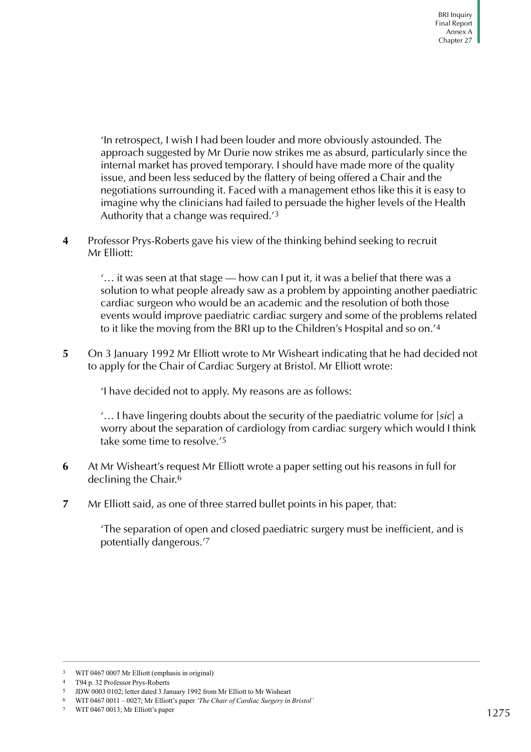'In retrospect, I wish I had been louder and more obviously astounded. The approach suggested by Mr Durie now strikes me as absurd, particularly since the internal market has proved temporary. I should have made more of the quality issue, and been less seduced by the flattery of being offered a Chair and the negotiations surrounding it. Faced with a management ethos like this it is easy to imagine why the clinicians had failed to persuade the higher levels of the Health Authority that a change was required.'3

**4** Professor Prys-Roberts gave his view of the thinking behind seeking to recruit Mr Elliott:

'… it was seen at that stage — how can I put it, it was a belief that there was a solution to what people already saw as a problem by appointing another paediatric cardiac surgeon who would be an academic and the resolution of both those events would improve paediatric cardiac surgery and some of the problems related to it like the moving from the BRI up to the Children's Hospital and so on.'4

**5** On 3 January 1992 Mr Elliott wrote to Mr Wisheart indicating that he had decided not to apply for the Chair of Cardiac Surgery at Bristol. Mr Elliott wrote:

'I have decided not to apply. My reasons are as follows:

'… I have lingering doubts about the security of the paediatric volume for [sic] a worry about the separation of cardiology from cardiac surgery which would I think take some time to resolve.'5

- **6** At Mr Wisheart's request Mr Elliott wrote a paper setting out his reasons in full for declining the Chair.<sup>6</sup>
- **7** Mr Elliott said, as one of three starred bullet points in his paper, that:

'The separation of open and closed paediatric surgery must be inefficient, and is potentially dangerous.'7

<sup>3</sup> WIT 0467 0007 Mr Elliott (emphasis in original)

<sup>4</sup> T94 p. 32 Professor Prys-Roberts

<sup>5</sup> JDW 0003 0102; letter dated 3 January 1992 from Mr Elliott to Mr Wisheart

<sup>6</sup> WIT 0467 0011 – 0027; Mr Elliott's paper *'The Chair of Cardiac Surgery in Bristol'*

<sup>7</sup> WIT 0467 0013; Mr Elliott's paper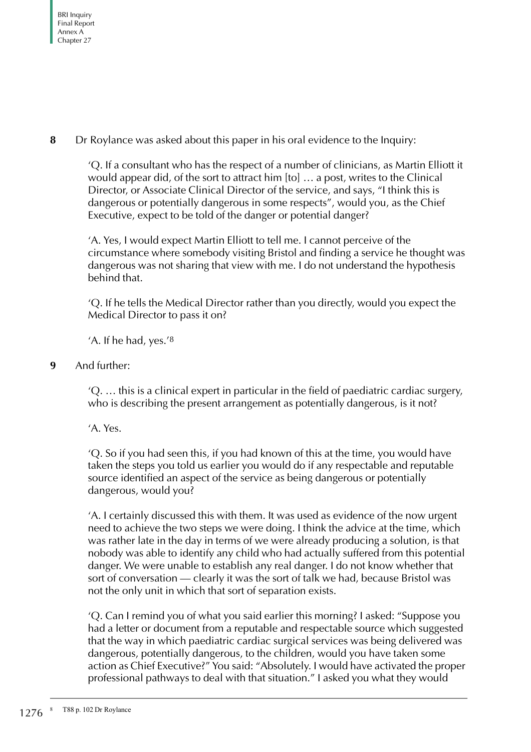**8** Dr Roylance was asked about this paper in his oral evidence to the Inquiry:

'Q. If a consultant who has the respect of a number of clinicians, as Martin Elliott it would appear did, of the sort to attract him [to] … a post, writes to the Clinical Director, or Associate Clinical Director of the service, and says, "I think this is dangerous or potentially dangerous in some respects", would you, as the Chief Executive, expect to be told of the danger or potential danger?

'A. Yes, I would expect Martin Elliott to tell me. I cannot perceive of the circumstance where somebody visiting Bristol and finding a service he thought was dangerous was not sharing that view with me. I do not understand the hypothesis behind that.

'Q. If he tells the Medical Director rather than you directly, would you expect the Medical Director to pass it on?

'A. If he had, yes.'8

### **9** And further:

'Q. … this is a clinical expert in particular in the field of paediatric cardiac surgery, who is describing the present arrangement as potentially dangerous, is it not?

'A. Yes.

'Q. So if you had seen this, if you had known of this at the time, you would have taken the steps you told us earlier you would do if any respectable and reputable source identified an aspect of the service as being dangerous or potentially dangerous, would you?

'A. I certainly discussed this with them. It was used as evidence of the now urgent need to achieve the two steps we were doing. I think the advice at the time, which was rather late in the day in terms of we were already producing a solution, is that nobody was able to identify any child who had actually suffered from this potential danger. We were unable to establish any real danger. I do not know whether that sort of conversation — clearly it was the sort of talk we had, because Bristol was not the only unit in which that sort of separation exists.

'Q. Can I remind you of what you said earlier this morning? I asked: "Suppose you had a letter or document from a reputable and respectable source which suggested that the way in which paediatric cardiac surgical services was being delivered was dangerous, potentially dangerous, to the children, would you have taken some action as Chief Executive?" You said: "Absolutely. I would have activated the proper professional pathways to deal with that situation." I asked you what they would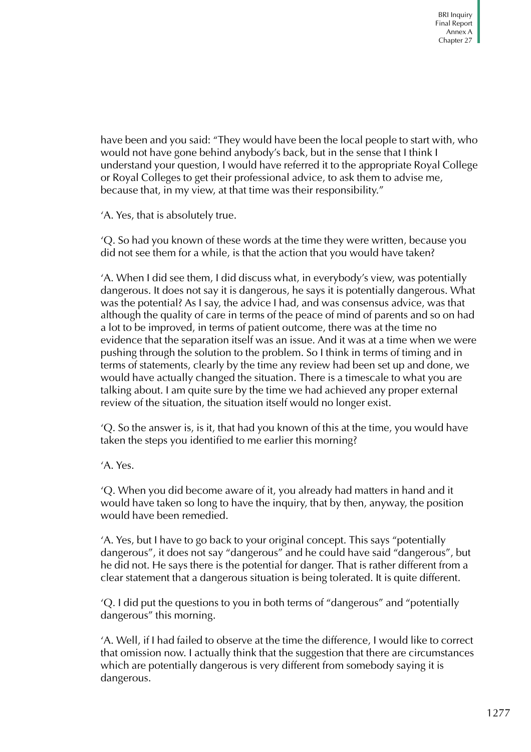have been and you said: "They would have been the local people to start with, who would not have gone behind anybody's back, but in the sense that I think I understand your question, I would have referred it to the appropriate Royal College or Royal Colleges to get their professional advice, to ask them to advise me, because that, in my view, at that time was their responsibility."

'A. Yes, that is absolutely true.

'Q. So had you known of these words at the time they were written, because you did not see them for a while, is that the action that you would have taken?

'A. When I did see them, I did discuss what, in everybody's view, was potentially dangerous. It does not say it is dangerous, he says it is potentially dangerous. What was the potential? As I say, the advice I had, and was consensus advice, was that although the quality of care in terms of the peace of mind of parents and so on had a lot to be improved, in terms of patient outcome, there was at the time no evidence that the separation itself was an issue. And it was at a time when we were pushing through the solution to the problem. So I think in terms of timing and in terms of statements, clearly by the time any review had been set up and done, we would have actually changed the situation. There is a timescale to what you are talking about. I am quite sure by the time we had achieved any proper external review of the situation, the situation itself would no longer exist.

'Q. So the answer is, is it, that had you known of this at the time, you would have taken the steps you identified to me earlier this morning?

'A. Yes.

'Q. When you did become aware of it, you already had matters in hand and it would have taken so long to have the inquiry, that by then, anyway, the position would have been remedied.

'A. Yes, but I have to go back to your original concept. This says "potentially dangerous", it does not say "dangerous" and he could have said "dangerous", but he did not. He says there is the potential for danger. That is rather different from a clear statement that a dangerous situation is being tolerated. It is quite different.

'Q. I did put the questions to you in both terms of "dangerous" and "potentially dangerous" this morning.

'A. Well, if I had failed to observe at the time the difference, I would like to correct that omission now. I actually think that the suggestion that there are circumstances which are potentially dangerous is very different from somebody saying it is dangerous.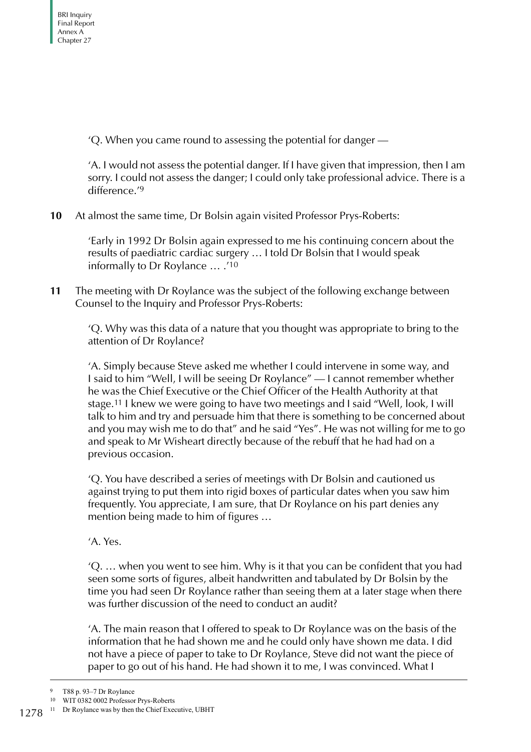'Q. When you came round to assessing the potential for danger —

'A. I would not assess the potential danger. If I have given that impression, then I am sorry. I could not assess the danger; I could only take professional advice. There is a difference.'9

**10** At almost the same time, Dr Bolsin again visited Professor Prys-Roberts:

'Early in 1992 Dr Bolsin again expressed to me his continuing concern about the results of paediatric cardiac surgery … I told Dr Bolsin that I would speak informally to Dr Roylance … .'10

**11** The meeting with Dr Roylance was the subject of the following exchange between Counsel to the Inquiry and Professor Prys-Roberts:

'Q. Why was this data of a nature that you thought was appropriate to bring to the attention of Dr Roylance?

'A. Simply because Steve asked me whether I could intervene in some way, and I said to him "Well, I will be seeing Dr Roylance" — I cannot remember whether he was the Chief Executive or the Chief Officer of the Health Authority at that stage.11 I knew we were going to have two meetings and I said "Well, look, I will talk to him and try and persuade him that there is something to be concerned about and you may wish me to do that" and he said "Yes". He was not willing for me to go and speak to Mr Wisheart directly because of the rebuff that he had had on a previous occasion.

'Q. You have described a series of meetings with Dr Bolsin and cautioned us against trying to put them into rigid boxes of particular dates when you saw him frequently. You appreciate, I am sure, that Dr Roylance on his part denies any mention being made to him of figures …

'A. Yes.

'Q. … when you went to see him. Why is it that you can be confident that you had seen some sorts of figures, albeit handwritten and tabulated by Dr Bolsin by the time you had seen Dr Roylance rather than seeing them at a later stage when there was further discussion of the need to conduct an audit?

'A. The main reason that I offered to speak to Dr Roylance was on the basis of the information that he had shown me and he could only have shown me data. I did not have a piece of paper to take to Dr Roylance, Steve did not want the piece of paper to go out of his hand. He had shown it to me, I was convinced. What I

<sup>9</sup> T88 p. 93–7 Dr Roylance

<sup>10</sup> WIT 0382 0002 Professor Prys-Roberts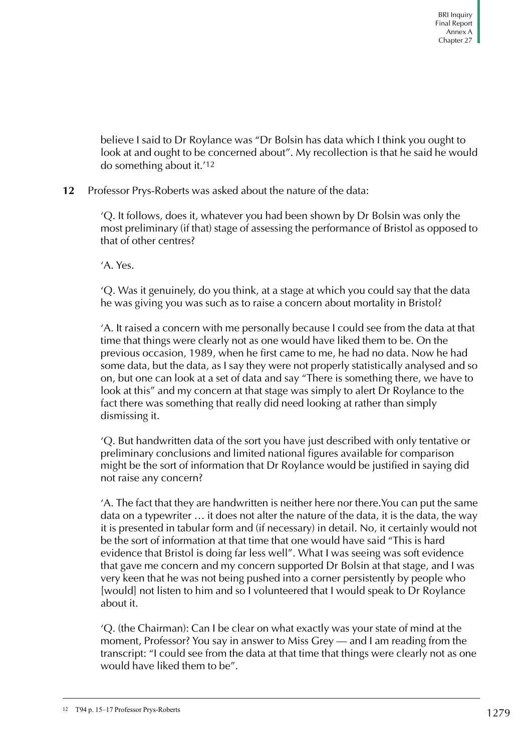believe I said to Dr Roylance was "Dr Bolsin has data which I think you ought to look at and ought to be concerned about". My recollection is that he said he would do something about it.'12

**12** Professor Prys-Roberts was asked about the nature of the data:

'Q. It follows, does it, whatever you had been shown by Dr Bolsin was only the most preliminary (if that) stage of assessing the performance of Bristol as opposed to that of other centres?

'A. Yes.

'Q. Was it genuinely, do you think, at a stage at which you could say that the data he was giving you was such as to raise a concern about mortality in Bristol?

'A. It raised a concern with me personally because I could see from the data at that time that things were clearly not as one would have liked them to be. On the previous occasion, 1989, when he first came to me, he had no data. Now he had some data, but the data, as I say they were not properly statistically analysed and so on, but one can look at a set of data and say "There is something there, we have to look at this" and my concern at that stage was simply to alert Dr Roylance to the fact there was something that really did need looking at rather than simply dismissing it.

'Q. But handwritten data of the sort you have just described with only tentative or preliminary conclusions and limited national figures available for comparison might be the sort of information that Dr Roylance would be justified in saying did not raise any concern?

'A. The fact that they are handwritten is neither here nor there.You can put the same data on a typewriter … it does not alter the nature of the data, it is the data, the way it is presented in tabular form and (if necessary) in detail. No, it certainly would not be the sort of information at that time that one would have said "This is hard evidence that Bristol is doing far less well". What I was seeing was soft evidence that gave me concern and my concern supported Dr Bolsin at that stage, and I was very keen that he was not being pushed into a corner persistently by people who [would] not listen to him and so I volunteered that I would speak to Dr Roylance about it.

'Q. (the Chairman): Can I be clear on what exactly was your state of mind at the moment, Professor? You say in answer to Miss Grey — and I am reading from the transcript: "I could see from the data at that time that things were clearly not as one would have liked them to be".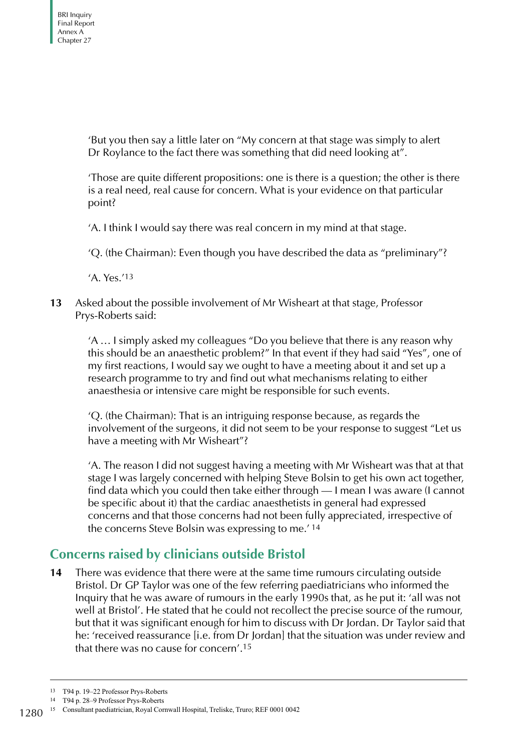'But you then say a little later on "My concern at that stage was simply to alert Dr Roylance to the fact there was something that did need looking at".

'Those are quite different propositions: one is there is a question; the other is there is a real need, real cause for concern. What is your evidence on that particular point?

'A. I think I would say there was real concern in my mind at that stage.

'Q. (the Chairman): Even though you have described the data as "preliminary"?

'A. Yes.'13

**13** Asked about the possible involvement of Mr Wisheart at that stage, Professor Prys-Roberts said:

> 'A … I simply asked my colleagues "Do you believe that there is any reason why this should be an anaesthetic problem?" In that event if they had said "Yes", one of my first reactions, I would say we ought to have a meeting about it and set up a research programme to try and find out what mechanisms relating to either anaesthesia or intensive care might be responsible for such events.

> 'Q. (the Chairman): That is an intriguing response because, as regards the involvement of the surgeons, it did not seem to be your response to suggest "Let us have a meeting with Mr Wisheart"?

> 'A. The reason I did not suggest having a meeting with Mr Wisheart was that at that stage I was largely concerned with helping Steve Bolsin to get his own act together, find data which you could then take either through — I mean I was aware (I cannot be specific about it) that the cardiac anaesthetists in general had expressed concerns and that those concerns had not been fully appreciated, irrespective of the concerns Steve Bolsin was expressing to me.' 14

## <span id="page-59-0"></span>**Concerns raised by clinicians outside Bristol**

**14** There was evidence that there were at the same time rumours circulating outside Bristol. Dr GP Taylor was one of the few referring paediatricians who informed the Inquiry that he was aware of rumours in the early 1990s that, as he put it: 'all was not well at Bristol'. He stated that he could not recollect the precise source of the rumour, but that it was significant enough for him to discuss with Dr Jordan. Dr Taylor said that he: 'received reassurance [i.e. from Dr Jordan] that the situation was under review and that there was no cause for concern'.15

<sup>13</sup> T94 p. 19–22 Professor Prys-Roberts

<sup>14</sup> T94 p. 28–9 Professor Prys-Roberts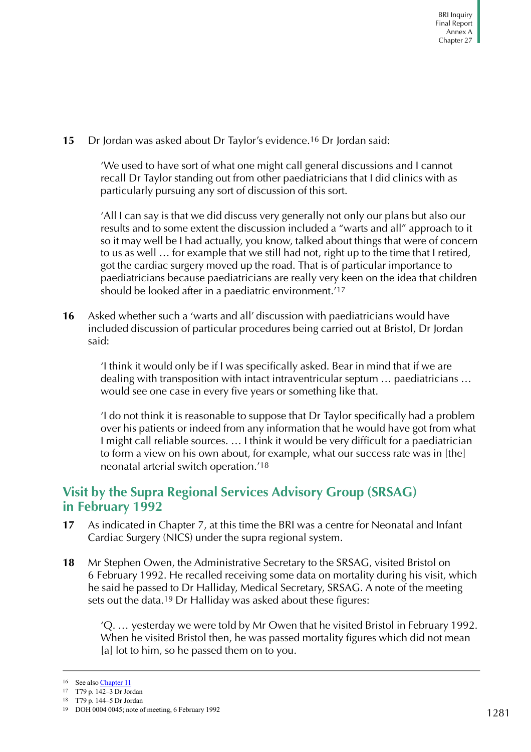**15** Dr Jordan was asked about Dr Taylor's evidence.16 Dr Jordan said:

'We used to have sort of what one might call general discussions and I cannot recall Dr Taylor standing out from other paediatricians that I did clinics with as particularly pursuing any sort of discussion of this sort.

'All I can say is that we did discuss very generally not only our plans but also our results and to some extent the discussion included a "warts and all" approach to it so it may well be I had actually, you know, talked about things that were of concern to us as well … for example that we still had not, right up to the time that I retired, got the cardiac surgery moved up the road. That is of particular importance to paediatricians because paediatricians are really very keen on the idea that children should be looked after in a paediatric environment.'17

**16** Asked whether such a 'warts and all' discussion with paediatricians would have included discussion of particular procedures being carried out at Bristol, Dr Jordan said:

'I think it would only be if I was specifically asked. Bear in mind that if we are dealing with transposition with intact intraventricular septum … paediatricians … would see one case in every five years or something like that.

'I do not think it is reasonable to suppose that Dr Taylor specifically had a problem over his patients or indeed from any information that he would have got from what I might call reliable sources. … I think it would be very difficult for a paediatrician to form a view on his own about, for example, what our success rate was in [the] neonatal arterial switch operation.'18

## <span id="page-60-0"></span>**Visit by the Supra Regional Services Advisory Group (SRSAG) in February 1992**

- **17** As indicated in Chapter 7, at this time the BRI was a centre for Neonatal and Infant Cardiac Surgery (NICS) under the supra regional system.
- **18** Mr Stephen Owen, the Administrative Secretary to the SRSAG, visited Bristol on 6 February 1992. He recalled receiving some data on mortality during his visit, which he said he passed to Dr Halliday, Medical Secretary, SRSAG. A note of the meeting sets out the data.<sup>19</sup> Dr Halliday was asked about these figures:

'Q. … yesterday we were told by Mr Owen that he visited Bristol in February 1992. When he visited Bristol then, he was passed mortality figures which did not mean [a] lot to him, so he passed them on to you.

<sup>&</sup>lt;sup>16</sup> See also **Chapter** 11

<sup>17</sup> T79 p. 142–3 Dr Jordan

<sup>18</sup> T79 p. 144–5 Dr Jordan

<sup>19</sup> DOH 0004 0045; note of meeting, 6 February 1992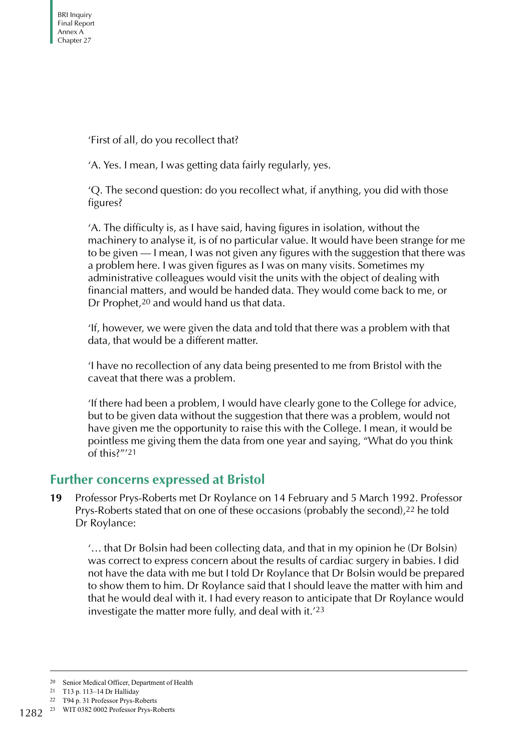'First of all, do you recollect that?

'A. Yes. I mean, I was getting data fairly regularly, yes.

'Q. The second question: do you recollect what, if anything, you did with those figures?

'A. The difficulty is, as I have said, having figures in isolation, without the machinery to analyse it, is of no particular value. It would have been strange for me to be given — I mean, I was not given any figures with the suggestion that there was a problem here. I was given figures as I was on many visits. Sometimes my administrative colleagues would visit the units with the object of dealing with financial matters, and would be handed data. They would come back to me, or Dr Prophet,20 and would hand us that data.

'If, however, we were given the data and told that there was a problem with that data, that would be a different matter.

'I have no recollection of any data being presented to me from Bristol with the caveat that there was a problem.

'If there had been a problem, I would have clearly gone to the College for advice, but to be given data without the suggestion that there was a problem, would not have given me the opportunity to raise this with the College. I mean, it would be pointless me giving them the data from one year and saying, "What do you think of this?"'21

## <span id="page-61-0"></span>**Further concerns expressed at Bristol**

**19** Professor Prys-Roberts met Dr Roylance on 14 February and 5 March 1992. Professor Prys-Roberts stated that on one of these occasions (probably the second),22 he told Dr Roylance:

'… that Dr Bolsin had been collecting data, and that in my opinion he (Dr Bolsin) was correct to express concern about the results of cardiac surgery in babies. I did not have the data with me but I told Dr Roylance that Dr Bolsin would be prepared to show them to him. Dr Roylance said that I should leave the matter with him and that he would deal with it. I had every reason to anticipate that Dr Roylance would investigate the matter more fully, and deal with it.'23

<sup>20</sup> Senior Medical Officer, Department of Health

<sup>21</sup> T13 p. 113–14 Dr Halliday

<sup>22</sup> T94 p. 31 Professor Prys-Roberts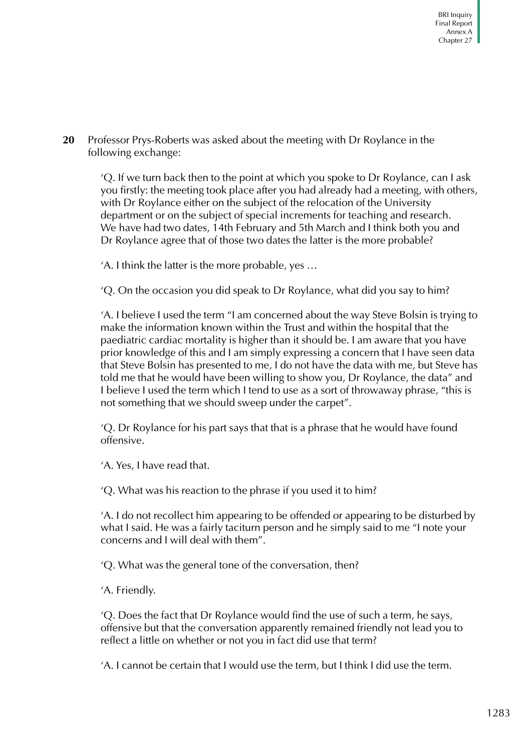**20** Professor Prys-Roberts was asked about the meeting with Dr Roylance in the following exchange:

> 'Q. If we turn back then to the point at which you spoke to Dr Roylance, can I ask you firstly: the meeting took place after you had already had a meeting, with others, with Dr Roylance either on the subject of the relocation of the University department or on the subject of special increments for teaching and research. We have had two dates, 14th February and 5th March and I think both you and Dr Roylance agree that of those two dates the latter is the more probable?

'A. I think the latter is the more probable, yes …

'Q. On the occasion you did speak to Dr Roylance, what did you say to him?

'A. I believe I used the term "I am concerned about the way Steve Bolsin is trying to make the information known within the Trust and within the hospital that the paediatric cardiac mortality is higher than it should be. I am aware that you have prior knowledge of this and I am simply expressing a concern that I have seen data that Steve Bolsin has presented to me, I do not have the data with me, but Steve has told me that he would have been willing to show you, Dr Roylance, the data" and I believe I used the term which I tend to use as a sort of throwaway phrase, "this is not something that we should sweep under the carpet".

'Q. Dr Roylance for his part says that that is a phrase that he would have found offensive.

'A. Yes, I have read that.

'Q. What was his reaction to the phrase if you used it to him?

'A. I do not recollect him appearing to be offended or appearing to be disturbed by what I said. He was a fairly taciturn person and he simply said to me "I note your concerns and I will deal with them".

'Q. What was the general tone of the conversation, then?

'A. Friendly.

'Q. Does the fact that Dr Roylance would find the use of such a term, he says, offensive but that the conversation apparently remained friendly not lead you to reflect a little on whether or not you in fact did use that term?

'A. I cannot be certain that I would use the term, but I think I did use the term.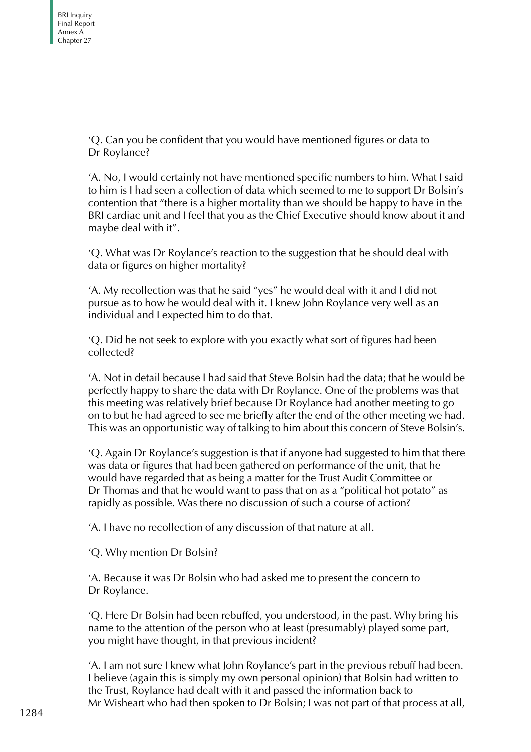'Q. Can you be confident that you would have mentioned figures or data to Dr Roylance?

'A. No, I would certainly not have mentioned specific numbers to him. What I said to him is I had seen a collection of data which seemed to me to support Dr Bolsin's contention that "there is a higher mortality than we should be happy to have in the BRI cardiac unit and I feel that you as the Chief Executive should know about it and maybe deal with it".

'Q. What was Dr Roylance's reaction to the suggestion that he should deal with data or figures on higher mortality?

'A. My recollection was that he said "yes" he would deal with it and I did not pursue as to how he would deal with it. I knew John Roylance very well as an individual and I expected him to do that.

'Q. Did he not seek to explore with you exactly what sort of figures had been collected?

'A. Not in detail because I had said that Steve Bolsin had the data; that he would be perfectly happy to share the data with Dr Roylance. One of the problems was that this meeting was relatively brief because Dr Roylance had another meeting to go on to but he had agreed to see me briefly after the end of the other meeting we had. This was an opportunistic way of talking to him about this concern of Steve Bolsin's.

'Q. Again Dr Roylance's suggestion is that if anyone had suggested to him that there was data or figures that had been gathered on performance of the unit, that he would have regarded that as being a matter for the Trust Audit Committee or Dr Thomas and that he would want to pass that on as a "political hot potato" as rapidly as possible. Was there no discussion of such a course of action?

'A. I have no recollection of any discussion of that nature at all.

'Q. Why mention Dr Bolsin?

'A. Because it was Dr Bolsin who had asked me to present the concern to Dr Roylance.

'Q. Here Dr Bolsin had been rebuffed, you understood, in the past. Why bring his name to the attention of the person who at least (presumably) played some part, you might have thought, in that previous incident?

'A. I am not sure I knew what John Roylance's part in the previous rebuff had been. I believe (again this is simply my own personal opinion) that Bolsin had written to the Trust, Roylance had dealt with it and passed the information back to Mr Wisheart who had then spoken to Dr Bolsin; I was not part of that process at all,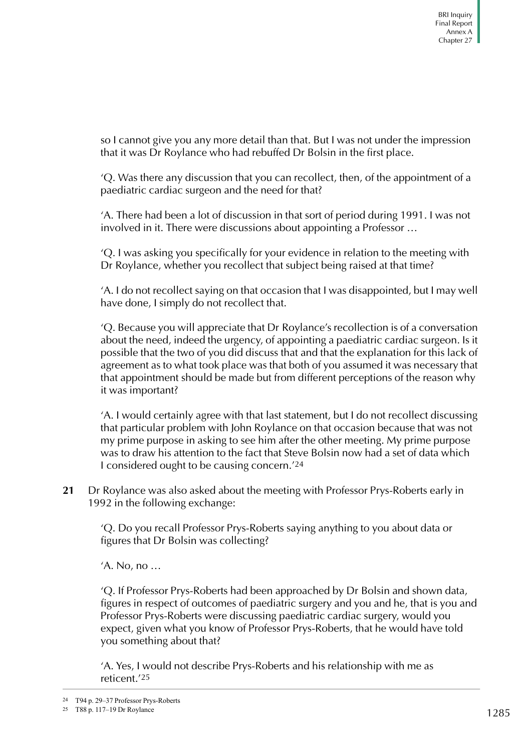so I cannot give you any more detail than that. But I was not under the impression that it was Dr Roylance who had rebuffed Dr Bolsin in the first place.

'Q. Was there any discussion that you can recollect, then, of the appointment of a paediatric cardiac surgeon and the need for that?

'A. There had been a lot of discussion in that sort of period during 1991. I was not involved in it. There were discussions about appointing a Professor …

'Q. I was asking you specifically for your evidence in relation to the meeting with Dr Roylance, whether you recollect that subject being raised at that time?

'A. I do not recollect saying on that occasion that I was disappointed, but I may well have done, I simply do not recollect that.

'Q. Because you will appreciate that Dr Roylance's recollection is of a conversation about the need, indeed the urgency, of appointing a paediatric cardiac surgeon. Is it possible that the two of you did discuss that and that the explanation for this lack of agreement as to what took place was that both of you assumed it was necessary that that appointment should be made but from different perceptions of the reason why it was important?

'A. I would certainly agree with that last statement, but I do not recollect discussing that particular problem with John Roylance on that occasion because that was not my prime purpose in asking to see him after the other meeting. My prime purpose was to draw his attention to the fact that Steve Bolsin now had a set of data which I considered ought to be causing concern.'24

**21** Dr Roylance was also asked about the meeting with Professor Prys-Roberts early in 1992 in the following exchange:

'Q. Do you recall Professor Prys-Roberts saying anything to you about data or figures that Dr Bolsin was collecting?

'A. No, no …

'Q. If Professor Prys-Roberts had been approached by Dr Bolsin and shown data, figures in respect of outcomes of paediatric surgery and you and he, that is you and Professor Prys-Roberts were discussing paediatric cardiac surgery, would you expect, given what you know of Professor Prys-Roberts, that he would have told you something about that?

'A. Yes, I would not describe Prys-Roberts and his relationship with me as reticent.'25

<sup>24</sup> T94 p. 29–37 Professor Prys-Roberts

<sup>25</sup> T88 p. 117–19 Dr Roylance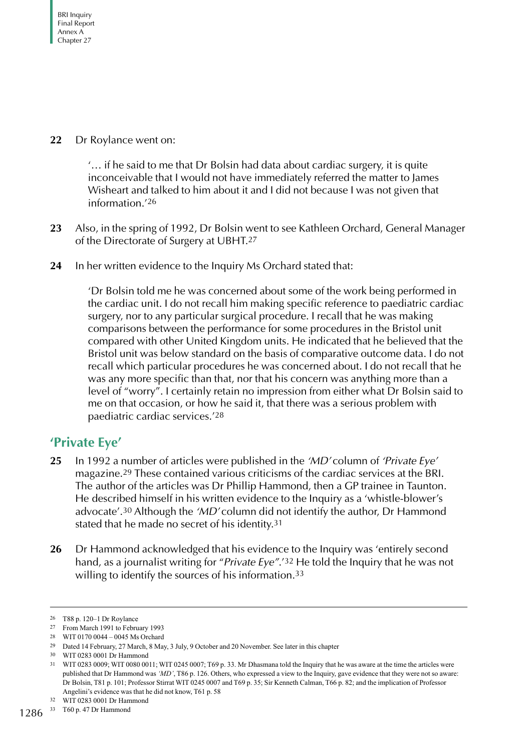### **22** Dr Roylance went on:

'… if he said to me that Dr Bolsin had data about cardiac surgery, it is quite inconceivable that I would not have immediately referred the matter to James Wisheart and talked to him about it and I did not because I was not given that information.'26

- **23** Also, in the spring of 1992, Dr Bolsin went to see Kathleen Orchard, General Manager of the Directorate of Surgery at UBHT.27
- **24** In her written evidence to the Inquiry Ms Orchard stated that:

'Dr Bolsin told me he was concerned about some of the work being performed in the cardiac unit. I do not recall him making specific reference to paediatric cardiac surgery, nor to any particular surgical procedure. I recall that he was making comparisons between the performance for some procedures in the Bristol unit compared with other United Kingdom units. He indicated that he believed that the Bristol unit was below standard on the basis of comparative outcome data. I do not recall which particular procedures he was concerned about. I do not recall that he was any more specific than that, nor that his concern was anything more than a level of "worry". I certainly retain no impression from either what Dr Bolsin said to me on that occasion, or how he said it, that there was a serious problem with paediatric cardiac services.'28

## <span id="page-65-0"></span>**'Private Eye'**

- **25** In 1992 a number of articles were published in the 'MD' column of 'Private Eye' magazine.29 These contained various criticisms of the cardiac services at the BRI. The author of the articles was Dr Phillip Hammond, then a GP trainee in Taunton. He described himself in his written evidence to the Inquiry as a 'whistle-blower's advocate'.30 Although the 'MD' column did not identify the author, Dr Hammond stated that he made no secret of his identity.31
- **26** Dr Hammond acknowledged that his evidence to the Inquiry was 'entirely second hand, as a journalist writing for "Private Eye".<sup>'32</sup> He told the Inquiry that he was not willing to identify the sources of his information.<sup>33</sup>

<sup>26</sup> T88 p. 120–1 Dr Roylance

<sup>27</sup> From March 1991 to February 1993

<sup>28</sup> WIT 0170 0044 – 0045 Ms Orchard

<sup>29</sup> Dated 14 February, 27 March, 8 May, 3 July, 9 October and 20 November. See later in this chapter

<sup>30</sup> WIT 0283 0001 Dr Hammond

<sup>31</sup> WIT 0283 0009; WIT 0080 0011; WIT 0245 0007; T69 p. 33. Mr Dhasmana told the Inquiry that he was aware at the time the articles were published that Dr Hammond was *'MD'*, T86 p. 126. Others, who expressed a view to the Inquiry, gave evidence that they were not so aware: Dr Bolsin, T81 p. 101; Professor Stirrat WIT 0245 0007 and T69 p. 35; Sir Kenneth Calman, T66 p. 82; and the implication of Professor Angelini's evidence was that he did not know, T61 p. 58

<sup>32</sup> WIT 0283 0001 Dr Hammond 33 T60 p. 47 Dr Hammond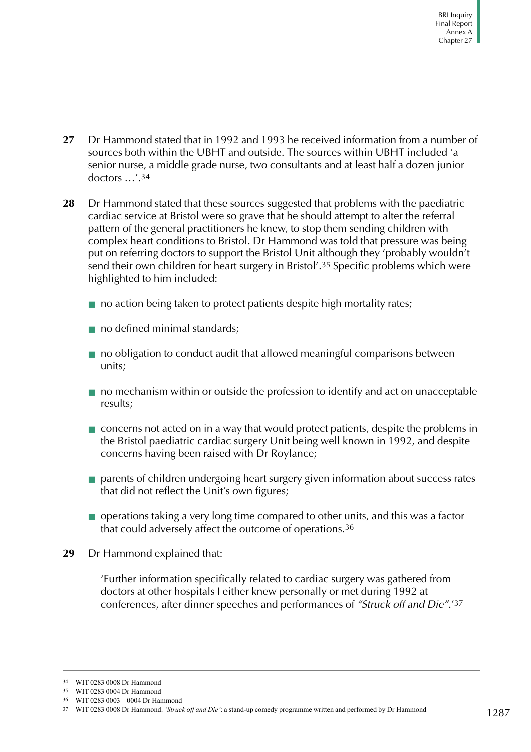- **27** Dr Hammond stated that in 1992 and 1993 he received information from a number of sources both within the UBHT and outside. The sources within UBHT included 'a senior nurse, a middle grade nurse, two consultants and at least half a dozen junior doctors …'.34
- **28** Dr Hammond stated that these sources suggested that problems with the paediatric cardiac service at Bristol were so grave that he should attempt to alter the referral pattern of the general practitioners he knew, to stop them sending children with complex heart conditions to Bristol. Dr Hammond was told that pressure was being put on referring doctors to support the Bristol Unit although they 'probably wouldn't send their own children for heart surgery in Bristol'.35 Specific problems which were highlighted to him included:
	- no action being taken to protect patients despite high mortality rates;
	- $\blacksquare$  no defined minimal standards:
	- no obligation to conduct audit that allowed meaningful comparisons between units;
	- no mechanism within or outside the profession to identify and act on unacceptable results;
	- concerns not acted on in a way that would protect patients, despite the problems in the Bristol paediatric cardiac surgery Unit being well known in 1992, and despite concerns having been raised with Dr Roylance;
	- parents of children undergoing heart surgery given information about success rates that did not reflect the Unit's own figures;
	- operations taking a very long time compared to other units, and this was a factor that could adversely affect the outcome of operations.36
- **29** Dr Hammond explained that:

'Further information specifically related to cardiac surgery was gathered from doctors at other hospitals I either knew personally or met during 1992 at conferences, after dinner speeches and performances of "Struck off and Die".'37

<sup>34</sup> WIT 0283 0008 Dr Hammond

<sup>35</sup> WIT 0283 0004 Dr Hammond

<sup>36</sup> WIT 0283 0003 – 0004 Dr Hammond

<sup>37</sup> WIT 0283 0008 Dr Hammond. *'Struck off and Die'*: a stand-up comedy programme written and performed by Dr Hammond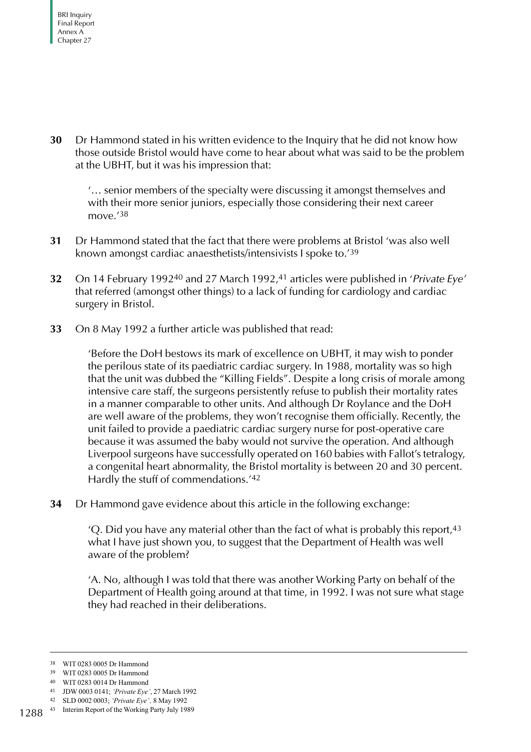**30** Dr Hammond stated in his written evidence to the Inquiry that he did not know how those outside Bristol would have come to hear about what was said to be the problem at the UBHT, but it was his impression that:

'… senior members of the specialty were discussing it amongst themselves and with their more senior juniors, especially those considering their next career  $m$   $\alpha$   $\gamma$   $38$ 

- **31** Dr Hammond stated that the fact that there were problems at Bristol 'was also well known amongst cardiac anaesthetists/intensivists I spoke to.'39
- **32** On 14 February 199240 and 27 March 1992,41 articles were published in 'Private Eye' that referred (amongst other things) to a lack of funding for cardiology and cardiac surgery in Bristol.
- **33** On 8 May 1992 a further article was published that read:

'Before the DoH bestows its mark of excellence on UBHT, it may wish to ponder the perilous state of its paediatric cardiac surgery. In 1988, mortality was so high that the unit was dubbed the "Killing Fields". Despite a long crisis of morale among intensive care staff, the surgeons persistently refuse to publish their mortality rates in a manner comparable to other units. And although Dr Roylance and the DoH are well aware of the problems, they won't recognise them officially. Recently, the unit failed to provide a paediatric cardiac surgery nurse for post-operative care because it was assumed the baby would not survive the operation. And although Liverpool surgeons have successfully operated on 160 babies with Fallot's tetralogy, a congenital heart abnormality, the Bristol mortality is between 20 and 30 percent. Hardly the stuff of commendations.'42

**34** Dr Hammond gave evidence about this article in the following exchange:

 $Q$ . Did you have any material other than the fact of what is probably this report,  $43$ what I have just shown you, to suggest that the Department of Health was well aware of the problem?

'A. No, although I was told that there was another Working Party on behalf of the Department of Health going around at that time, in 1992. I was not sure what stage they had reached in their deliberations.

<sup>38</sup> WIT 0283 0005 Dr Hammond

<sup>39</sup> WIT 0283 0005 Dr Hammond

<sup>40</sup> WIT 0283 0014 Dr Hammond

<sup>41</sup> JDW 0003 0141; *'Private Eye'*, 27 March 1992

<sup>1288 &</sup>lt;sup>43</sup> Interim Report of the Working Party July 1989 42 SLD 0002 0003; *'Private Eye' ,* 8 May 1992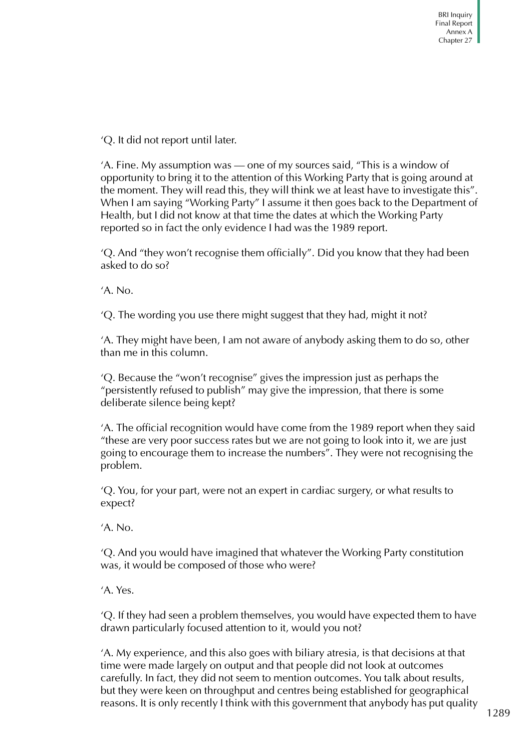'Q. It did not report until later.

'A. Fine. My assumption was — one of my sources said, "This is a window of opportunity to bring it to the attention of this Working Party that is going around at the moment. They will read this, they will think we at least have to investigate this". When I am saying "Working Party" I assume it then goes back to the Department of Health, but I did not know at that time the dates at which the Working Party reported so in fact the only evidence I had was the 1989 report.

'Q. And "they won't recognise them officially". Did you know that they had been asked to do so?

'A. No.

'Q. The wording you use there might suggest that they had, might it not?

'A. They might have been, I am not aware of anybody asking them to do so, other than me in this column.

'Q. Because the "won't recognise" gives the impression just as perhaps the "persistently refused to publish" may give the impression, that there is some deliberate silence being kept?

'A. The official recognition would have come from the 1989 report when they said "these are very poor success rates but we are not going to look into it, we are just going to encourage them to increase the numbers". They were not recognising the problem.

'Q. You, for your part, were not an expert in cardiac surgery, or what results to expect?

'A. No.

'Q. And you would have imagined that whatever the Working Party constitution was, it would be composed of those who were?

'A. Yes.

'Q. If they had seen a problem themselves, you would have expected them to have drawn particularly focused attention to it, would you not?

'A. My experience, and this also goes with biliary atresia, is that decisions at that time were made largely on output and that people did not look at outcomes carefully. In fact, they did not seem to mention outcomes. You talk about results, but they were keen on throughput and centres being established for geographical reasons. It is only recently I think with this government that anybody has put quality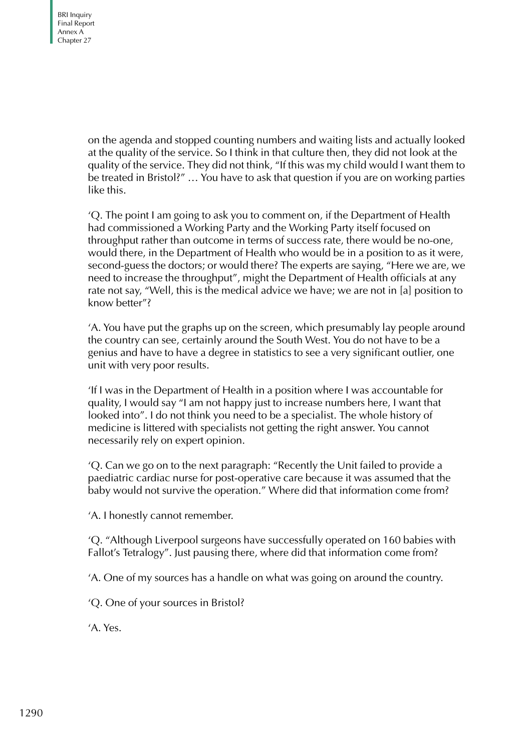on the agenda and stopped counting numbers and waiting lists and actually looked at the quality of the service. So I think in that culture then, they did not look at the quality of the service. They did not think, "If this was my child would I want them to be treated in Bristol?" … You have to ask that question if you are on working parties like this.

'Q. The point I am going to ask you to comment on, if the Department of Health had commissioned a Working Party and the Working Party itself focused on throughput rather than outcome in terms of success rate, there would be no-one, would there, in the Department of Health who would be in a position to as it were, second-guess the doctors; or would there? The experts are saying, "Here we are, we need to increase the throughput", might the Department of Health officials at any rate not say, "Well, this is the medical advice we have; we are not in [a] position to know better"?

'A. You have put the graphs up on the screen, which presumably lay people around the country can see, certainly around the South West. You do not have to be a genius and have to have a degree in statistics to see a very significant outlier, one unit with very poor results.

'If I was in the Department of Health in a position where I was accountable for quality, I would say "I am not happy just to increase numbers here, I want that looked into". I do not think you need to be a specialist. The whole history of medicine is littered with specialists not getting the right answer. You cannot necessarily rely on expert opinion.

'Q. Can we go on to the next paragraph: "Recently the Unit failed to provide a paediatric cardiac nurse for post-operative care because it was assumed that the baby would not survive the operation." Where did that information come from?

'A. I honestly cannot remember.

'Q. "Although Liverpool surgeons have successfully operated on 160 babies with Fallot's Tetralogy". Just pausing there, where did that information come from?

'A. One of my sources has a handle on what was going on around the country.

'Q. One of your sources in Bristol?

'A. Yes.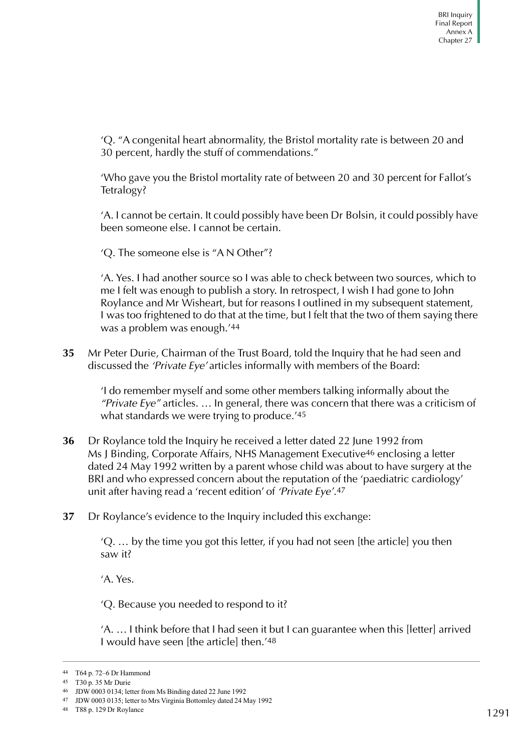'Q. "A congenital heart abnormality, the Bristol mortality rate is between 20 and 30 percent, hardly the stuff of commendations."

'Who gave you the Bristol mortality rate of between 20 and 30 percent for Fallot's Tetralogy?

'A. I cannot be certain. It could possibly have been Dr Bolsin, it could possibly have been someone else. I cannot be certain.

'Q. The someone else is "A N Other"?

'A. Yes. I had another source so I was able to check between two sources, which to me I felt was enough to publish a story. In retrospect, I wish I had gone to John Roylance and Mr Wisheart, but for reasons I outlined in my subsequent statement, I was too frightened to do that at the time, but I felt that the two of them saying there was a problem was enough.'44

**35** Mr Peter Durie, Chairman of the Trust Board, told the Inquiry that he had seen and discussed the 'Private Eye' articles informally with members of the Board:

'I do remember myself and some other members talking informally about the "Private Eye" articles.  $\ldots$  In general, there was concern that there was a criticism of what standards we were trying to produce.<sup>'45</sup>

- **36** Dr Roylance told the Inquiry he received a letter dated 22 June 1992 from Ms J Binding, Corporate Affairs, NHS Management Executive46 enclosing a letter dated 24 May 1992 written by a parent whose child was about to have surgery at the BRI and who expressed concern about the reputation of the 'paediatric cardiology' unit after having read a 'recent edition' of 'Private Eye'.47
- **37** Dr Roylance's evidence to the Inquiry included this exchange:

'Q. … by the time you got this letter, if you had not seen [the article] you then saw it?

'A. Yes.

'Q. Because you needed to respond to it?

'A. … I think before that I had seen it but I can guarantee when this [letter] arrived I would have seen [the article] then.'48

<sup>44</sup> T64 p. 72–6 Dr Hammond

<sup>45</sup> T30 p. 35 Mr Durie

<sup>46</sup> JDW 0003 0134; letter from Ms Binding dated 22 June 1992

<sup>47</sup> JDW 0003 0135; letter to Mrs Virginia Bottomley dated 24 May 1992

<sup>48</sup> T88 p. 129 Dr Roylance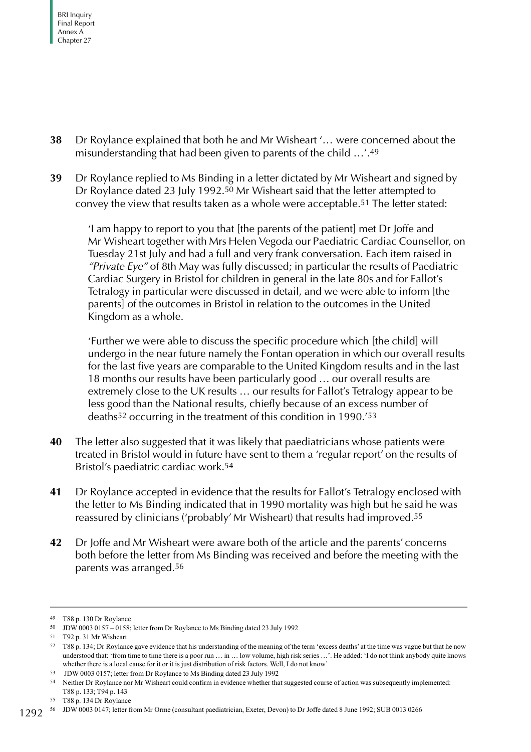- **38** Dr Roylance explained that both he and Mr Wisheart '… were concerned about the misunderstanding that had been given to parents of the child …'.49
- **39** Dr Roylance replied to Ms Binding in a letter dictated by Mr Wisheart and signed by Dr Roylance dated 23 July 1992.<sup>50</sup> Mr Wisheart said that the letter attempted to convey the view that results taken as a whole were acceptable.51 The letter stated:

'I am happy to report to you that [the parents of the patient] met Dr Joffe and Mr Wisheart together with Mrs Helen Vegoda our Paediatric Cardiac Counsellor, on Tuesday 21st July and had a full and very frank conversation. Each item raised in "Private Eye" of 8th May was fully discussed; in particular the results of Paediatric Cardiac Surgery in Bristol for children in general in the late 80s and for Fallot's Tetralogy in particular were discussed in detail, and we were able to inform [the parents] of the outcomes in Bristol in relation to the outcomes in the United Kingdom as a whole.

'Further we were able to discuss the specific procedure which [the child] will undergo in the near future namely the Fontan operation in which our overall results for the last five years are comparable to the United Kingdom results and in the last 18 months our results have been particularly good ... our overall results are extremely close to the UK results … our results for Fallot's Tetralogy appear to be less good than the National results, chiefly because of an excess number of deaths52 occurring in the treatment of this condition in 1990.'53

- **40** The letter also suggested that it was likely that paediatricians whose patients were treated in Bristol would in future have sent to them a 'regular report' on the results of Bristol's paediatric cardiac work.54
- **41** Dr Roylance accepted in evidence that the results for Fallot's Tetralogy enclosed with the letter to Ms Binding indicated that in 1990 mortality was high but he said he was reassured by clinicians ('probably' Mr Wisheart) that results had improved.55
- **42** Dr Joffe and Mr Wisheart were aware both of the article and the parents' concerns both before the letter from Ms Binding was received and before the meeting with the parents was arranged.56

<sup>49</sup> T88 p. 130 Dr Roylance

<sup>50</sup> JDW 0003 0157 – 0158; letter from Dr Roylance to Ms Binding dated 23 July 1992

<sup>51</sup> T92 p. 31 Mr Wisheart

<sup>52</sup> T88 p. 134; Dr Roylance gave evidence that his understanding of the meaning of the term 'excess deaths' at the time was vague but that he now understood that: 'from time to time there is a poor run … in … low volume, high risk series …'. He added: 'I do not think anybody quite knows whether there is a local cause for it or it is just distribution of risk factors. Well, I do not know'

<sup>53</sup> JDW 0003 0157; letter from Dr Roylance to Ms Binding dated 23 July 1992

<sup>54</sup> Neither Dr Roylance nor Mr Wisheart could confirm in evidence whether that suggested course of action was subsequently implemented: T88 p. 133; T94 p. 143

<sup>55</sup> T88 p. 134 Dr Roylance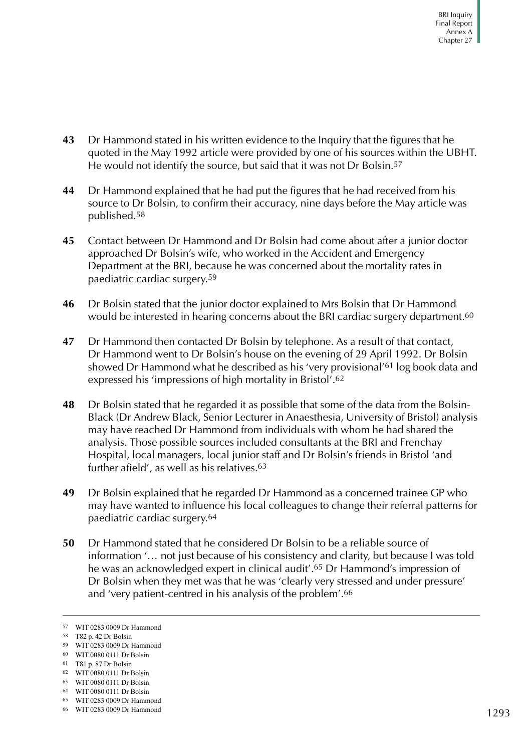- **43** Dr Hammond stated in his written evidence to the Inquiry that the figures that he quoted in the May 1992 article were provided by one of his sources within the UBHT. He would not identify the source, but said that it was not Dr Bolsin.57
- **44** Dr Hammond explained that he had put the figures that he had received from his source to Dr Bolsin, to confirm their accuracy, nine days before the May article was published.58
- **45** Contact between Dr Hammond and Dr Bolsin had come about after a junior doctor approached Dr Bolsin's wife, who worked in the Accident and Emergency Department at the BRI, because he was concerned about the mortality rates in paediatric cardiac surgery.59
- **46** Dr Bolsin stated that the junior doctor explained to Mrs Bolsin that Dr Hammond would be interested in hearing concerns about the BRI cardiac surgery department.<sup>60</sup>
- **47** Dr Hammond then contacted Dr Bolsin by telephone. As a result of that contact, Dr Hammond went to Dr Bolsin's house on the evening of 29 April 1992. Dr Bolsin showed Dr Hammond what he described as his 'very provisional'61 log book data and expressed his 'impressions of high mortality in Bristol'.62
- **48** Dr Bolsin stated that he regarded it as possible that some of the data from the Bolsin-Black (Dr Andrew Black, Senior Lecturer in Anaesthesia, University of Bristol) analysis may have reached Dr Hammond from individuals with whom he had shared the analysis. Those possible sources included consultants at the BRI and Frenchay Hospital, local managers, local junior staff and Dr Bolsin's friends in Bristol 'and further afield', as well as his relatives.<sup>63</sup>
- **49** Dr Bolsin explained that he regarded Dr Hammond as a concerned trainee GP who may have wanted to influence his local colleagues to change their referral patterns for paediatric cardiac surgery.64
- **50** Dr Hammond stated that he considered Dr Bolsin to be a reliable source of information '… not just because of his consistency and clarity, but because I was told he was an acknowledged expert in clinical audit'.65 Dr Hammond's impression of Dr Bolsin when they met was that he was 'clearly very stressed and under pressure' and 'very patient-centred in his analysis of the problem'.66

<sup>57</sup> WIT 0283 0009 Dr Hammond

<sup>58</sup> T82 p. 42 Dr Bolsin

<sup>59</sup> WIT 0283 0009 Dr Hammond

<sup>60</sup> WIT 0080 0111 Dr Bolsin

<sup>61</sup> T81 p. 87 Dr Bolsin

<sup>62</sup> WIT 0080 0111 Dr Bolsin

<sup>63</sup> WIT 0080 0111 Dr Bolsin

<sup>64</sup> WIT 0080 0111 Dr Bolsin

<sup>65</sup> WIT 0283 0009 Dr Hammond

<sup>66</sup> WIT 0283 0009 Dr Hammond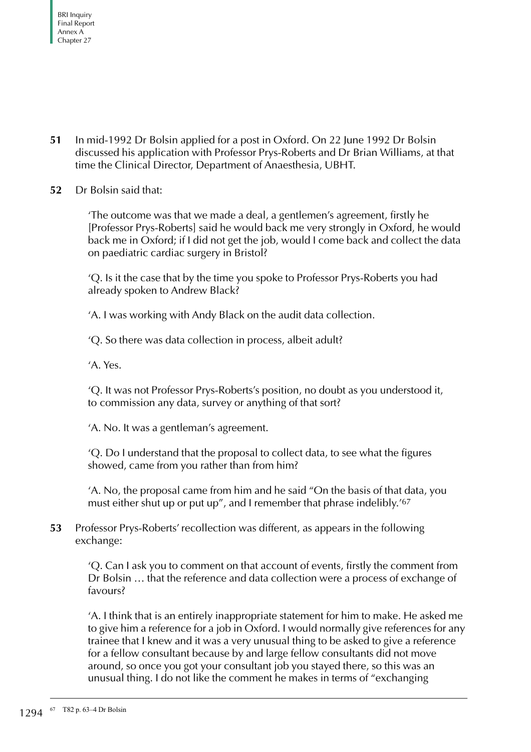- **51** In mid-1992 Dr Bolsin applied for a post in Oxford. On 22 June 1992 Dr Bolsin discussed his application with Professor Prys-Roberts and Dr Brian Williams, at that time the Clinical Director, Department of Anaesthesia, UBHT.
- **52** Dr Bolsin said that:

'The outcome was that we made a deal, a gentlemen's agreement, firstly he [Professor Prys-Roberts] said he would back me very strongly in Oxford, he would back me in Oxford; if I did not get the job, would I come back and collect the data on paediatric cardiac surgery in Bristol?

'Q. Is it the case that by the time you spoke to Professor Prys-Roberts you had already spoken to Andrew Black?

'A. I was working with Andy Black on the audit data collection.

'Q. So there was data collection in process, albeit adult?

'A. Yes.

'Q. It was not Professor Prys-Roberts's position, no doubt as you understood it, to commission any data, survey or anything of that sort?

'A. No. It was a gentleman's agreement.

'Q. Do I understand that the proposal to collect data, to see what the figures showed, came from you rather than from him?

'A. No, the proposal came from him and he said "On the basis of that data, you must either shut up or put up", and I remember that phrase indelibly.'67

**53** Professor Prys-Roberts' recollection was different, as appears in the following exchange:

'Q. Can I ask you to comment on that account of events, firstly the comment from Dr Bolsin … that the reference and data collection were a process of exchange of favours?

'A. I think that is an entirely inappropriate statement for him to make. He asked me to give him a reference for a job in Oxford. I would normally give references for any trainee that I knew and it was a very unusual thing to be asked to give a reference for a fellow consultant because by and large fellow consultants did not move around, so once you got your consultant job you stayed there, so this was an unusual thing. I do not like the comment he makes in terms of "exchanging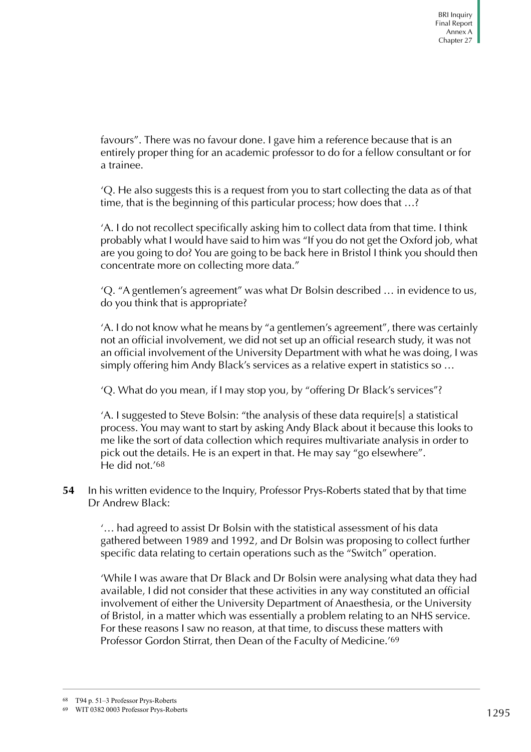favours". There was no favour done. I gave him a reference because that is an entirely proper thing for an academic professor to do for a fellow consultant or for a trainee.

'Q. He also suggests this is a request from you to start collecting the data as of that time, that is the beginning of this particular process; how does that …?

'A. I do not recollect specifically asking him to collect data from that time. I think probably what I would have said to him was "If you do not get the Oxford job, what are you going to do? You are going to be back here in Bristol I think you should then concentrate more on collecting more data."

'Q. "A gentlemen's agreement" was what Dr Bolsin described … in evidence to us, do you think that is appropriate?

'A. I do not know what he means by "a gentlemen's agreement", there was certainly not an official involvement, we did not set up an official research study, it was not an official involvement of the University Department with what he was doing, I was simply offering him Andy Black's services as a relative expert in statistics so …

'Q. What do you mean, if I may stop you, by "offering Dr Black's services"?

'A. I suggested to Steve Bolsin: "the analysis of these data require[s] a statistical process. You may want to start by asking Andy Black about it because this looks to me like the sort of data collection which requires multivariate analysis in order to pick out the details. He is an expert in that. He may say "go elsewhere". He did not.'68

**54** In his written evidence to the Inquiry, Professor Prys-Roberts stated that by that time Dr Andrew Black:

'… had agreed to assist Dr Bolsin with the statistical assessment of his data gathered between 1989 and 1992, and Dr Bolsin was proposing to collect further specific data relating to certain operations such as the "Switch" operation.

'While I was aware that Dr Black and Dr Bolsin were analysing what data they had available, I did not consider that these activities in any way constituted an official involvement of either the University Department of Anaesthesia, or the University of Bristol, in a matter which was essentially a problem relating to an NHS service. For these reasons I saw no reason, at that time, to discuss these matters with Professor Gordon Stirrat, then Dean of the Faculty of Medicine.'69

<sup>68</sup> T94 p. 51–3 Professor Prys-Roberts

<sup>69</sup> WIT 0382 0003 Professor Prys-Roberts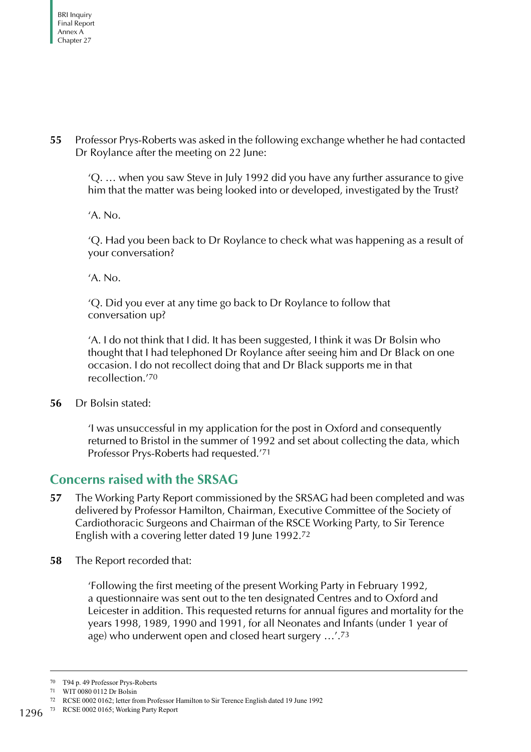**55** Professor Prys-Roberts was asked in the following exchange whether he had contacted Dr Roylance after the meeting on 22 June:

'Q. … when you saw Steve in July 1992 did you have any further assurance to give him that the matter was being looked into or developed, investigated by the Trust?

'A. No.

'Q. Had you been back to Dr Roylance to check what was happening as a result of your conversation?

'A. No.

'Q. Did you ever at any time go back to Dr Roylance to follow that conversation up?

'A. I do not think that I did. It has been suggested, I think it was Dr Bolsin who thought that I had telephoned Dr Roylance after seeing him and Dr Black on one occasion. I do not recollect doing that and Dr Black supports me in that recollection.'70

**56** Dr Bolsin stated:

'I was unsuccessful in my application for the post in Oxford and consequently returned to Bristol in the summer of 1992 and set about collecting the data, which Professor Prys-Roberts had requested.'71

## **Concerns raised with the SRSAG**

- **57** The Working Party Report commissioned by the SRSAG had been completed and was delivered by Professor Hamilton, Chairman, Executive Committee of the Society of Cardiothoracic Surgeons and Chairman of the RSCE Working Party, to Sir Terence English with a covering letter dated 19 June 1992.72
- **58** The Report recorded that:

'Following the first meeting of the present Working Party in February 1992, a questionnaire was sent out to the ten designated Centres and to Oxford and Leicester in addition. This requested returns for annual figures and mortality for the years 1998, 1989, 1990 and 1991, for all Neonates and Infants (under 1 year of age) who underwent open and closed heart surgery  $\ldots$ '.<sup>73</sup>

<sup>70</sup> T94 p. 49 Professor Prys-Roberts

<sup>71</sup> WIT 0080 0112 Dr Bolsin

<sup>72</sup> RCSE 0002 0162; letter from Professor Hamilton to Sir Terence English dated 19 June 1992

<sup>1296 &</sup>lt;sup>73</sup> RCSE 0002 0165; Working Party Report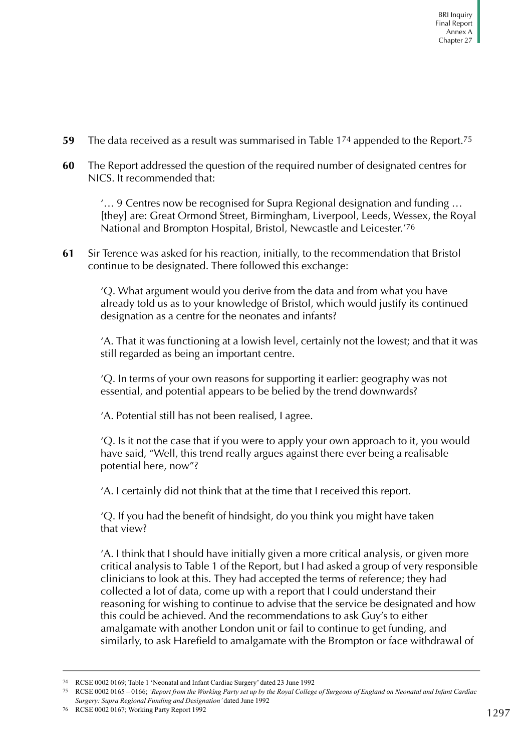- **59** The data received as a result was summarised in Table 174 appended to the Report.75
- **60** The Report addressed the question of the required number of designated centres for NICS. It recommended that:

'… 9 Centres now be recognised for Supra Regional designation and funding … [they] are: Great Ormond Street, Birmingham, Liverpool, Leeds, Wessex, the Royal National and Brompton Hospital, Bristol, Newcastle and Leicester.'76

**61** Sir Terence was asked for his reaction, initially, to the recommendation that Bristol continue to be designated. There followed this exchange:

'Q. What argument would you derive from the data and from what you have already told us as to your knowledge of Bristol, which would justify its continued designation as a centre for the neonates and infants?

'A. That it was functioning at a lowish level, certainly not the lowest; and that it was still regarded as being an important centre.

'Q. In terms of your own reasons for supporting it earlier: geography was not essential, and potential appears to be belied by the trend downwards?

'A. Potential still has not been realised, I agree.

'Q. Is it not the case that if you were to apply your own approach to it, you would have said, "Well, this trend really argues against there ever being a realisable potential here, now"?

'A. I certainly did not think that at the time that I received this report.

'Q. If you had the benefit of hindsight, do you think you might have taken that view?

'A. I think that I should have initially given a more critical analysis, or given more critical analysis to Table 1 of the Report, but I had asked a group of very responsible clinicians to look at this. They had accepted the terms of reference; they had collected a lot of data, come up with a report that I could understand their reasoning for wishing to continue to advise that the service be designated and how this could be achieved. And the recommendations to ask Guy's to either amalgamate with another London unit or fail to continue to get funding, and similarly, to ask Harefield to amalgamate with the Brompton or face withdrawal of

76 RCSE 0002 0167; Working Party Report 1992

<sup>74</sup> RCSE 0002 0169; Table 1 'Neonatal and Infant Cardiac Surgery' dated 23 June 1992

<sup>75</sup> RCSE 0002 0165 – 0166; *'Report from the Working Party set up by the Royal College of Surgeons of England on Neonatal and Infant Cardiac Surgery: Supra Regional Funding and Designation'* dated June 1992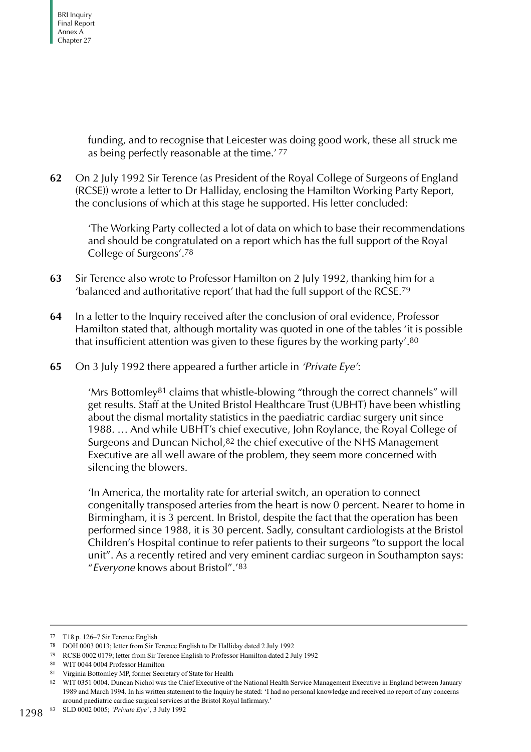funding, and to recognise that Leicester was doing good work, these all struck me as being perfectly reasonable at the time.' 77

**62** On 2 July 1992 Sir Terence (as President of the Royal College of Surgeons of England (RCSE)) wrote a letter to Dr Halliday, enclosing the Hamilton Working Party Report, the conclusions of which at this stage he supported. His letter concluded:

'The Working Party collected a lot of data on which to base their recommendations and should be congratulated on a report which has the full support of the Royal College of Surgeons'.78

- **63** Sir Terence also wrote to Professor Hamilton on 2 July 1992, thanking him for a 'balanced and authoritative report' that had the full support of the RCSE.79
- **64** In a letter to the Inquiry received after the conclusion of oral evidence, Professor Hamilton stated that, although mortality was quoted in one of the tables 'it is possible that insufficient attention was given to these figures by the working party'.80
- **65** On 3 July 1992 there appeared a further article in 'Private Eye':

'Mrs Bottomley81 claims that whistle-blowing "through the correct channels" will get results. Staff at the United Bristol Healthcare Trust (UBHT) have been whistling about the dismal mortality statistics in the paediatric cardiac surgery unit since 1988. … And while UBHT's chief executive, John Roylance, the Royal College of Surgeons and Duncan Nichol,82 the chief executive of the NHS Management Executive are all well aware of the problem, they seem more concerned with silencing the blowers.

'In America, the mortality rate for arterial switch, an operation to connect congenitally transposed arteries from the heart is now 0 percent. Nearer to home in Birmingham, it is 3 percent. In Bristol, despite the fact that the operation has been performed since 1988, it is 30 percent. Sadly, consultant cardiologists at the Bristol Children's Hospital continue to refer patients to their surgeons "to support the local unit". As a recently retired and very eminent cardiac surgeon in Southampton says: "Everyone knows about Bristol".'83

<sup>77</sup> T18 p. 126–7 Sir Terence English

<sup>78</sup> DOH 0003 0013; letter from Sir Terence English to Dr Halliday dated 2 July 1992

<sup>79</sup> RCSE 0002 0179; letter from Sir Terence English to Professor Hamilton dated 2 July 1992

<sup>80</sup> WIT 0044 0004 Professor Hamilton

<sup>81</sup> Virginia Bottomley MP, former Secretary of State for Health

<sup>82</sup> WIT 0351 0004. Duncan Nichol was the Chief Executive of the National Health Service Management Executive in England between January 1989 and March 1994. In his written statement to the Inquiry he stated: 'I had no personal knowledge and received no report of any concerns around paediatric cardiac surgical services at the Bristol Royal Infirmary.'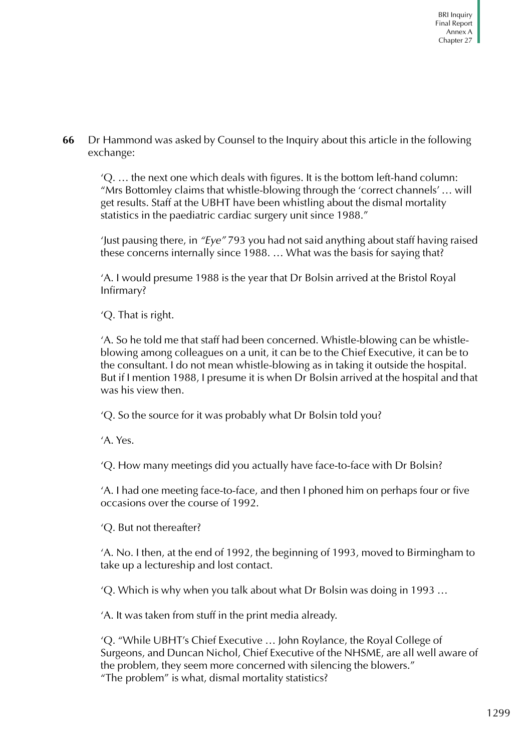**66** Dr Hammond was asked by Counsel to the Inquiry about this article in the following exchange:

'Q. … the next one which deals with figures. It is the bottom left-hand column: "Mrs Bottomley claims that whistle-blowing through the 'correct channels' … will get results. Staff at the UBHT have been whistling about the dismal mortality statistics in the paediatric cardiac surgery unit since 1988."

'Just pausing there, in "Eye" 793 you had not said anything about staff having raised these concerns internally since 1988. … What was the basis for saying that?

'A. I would presume 1988 is the year that Dr Bolsin arrived at the Bristol Royal Infirmary?

'Q. That is right.

'A. So he told me that staff had been concerned. Whistle-blowing can be whistleblowing among colleagues on a unit, it can be to the Chief Executive, it can be to the consultant. I do not mean whistle-blowing as in taking it outside the hospital. But if I mention 1988, I presume it is when Dr Bolsin arrived at the hospital and that was his view then.

'Q. So the source for it was probably what Dr Bolsin told you?

'A. Yes.

'Q. How many meetings did you actually have face-to-face with Dr Bolsin?

'A. I had one meeting face-to-face, and then I phoned him on perhaps four or five occasions over the course of 1992.

'Q. But not thereafter?

'A. No. I then, at the end of 1992, the beginning of 1993, moved to Birmingham to take up a lectureship and lost contact.

'Q. Which is why when you talk about what Dr Bolsin was doing in 1993 …

'A. It was taken from stuff in the print media already.

'Q. "While UBHT's Chief Executive … John Roylance, the Royal College of Surgeons, and Duncan Nichol, Chief Executive of the NHSME, are all well aware of the problem, they seem more concerned with silencing the blowers." "The problem" is what, dismal mortality statistics?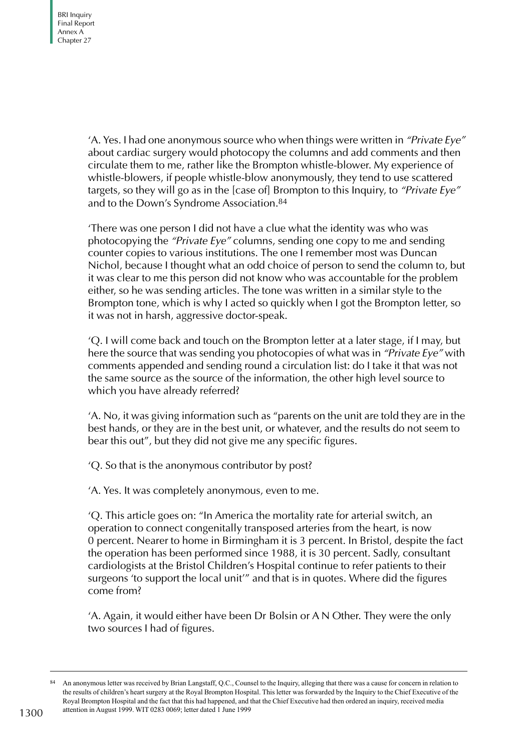'A. Yes. I had one anonymous source who when things were written in "Private Eye" about cardiac surgery would photocopy the columns and add comments and then circulate them to me, rather like the Brompton whistle-blower. My experience of whistle-blowers, if people whistle-blow anonymously, they tend to use scattered targets, so they will go as in the [case of] Brompton to this Inquiry, to "Private Eye" and to the Down's Syndrome Association.84

'There was one person I did not have a clue what the identity was who was photocopying the "Private Eye" columns, sending one copy to me and sending counter copies to various institutions. The one I remember most was Duncan Nichol, because I thought what an odd choice of person to send the column to, but it was clear to me this person did not know who was accountable for the problem either, so he was sending articles. The tone was written in a similar style to the Brompton tone, which is why I acted so quickly when I got the Brompton letter, so it was not in harsh, aggressive doctor-speak.

'Q. I will come back and touch on the Brompton letter at a later stage, if I may, but here the source that was sending you photocopies of what was in "Private Eye" with comments appended and sending round a circulation list: do I take it that was not the same source as the source of the information, the other high level source to which you have already referred?

'A. No, it was giving information such as "parents on the unit are told they are in the best hands, or they are in the best unit, or whatever, and the results do not seem to bear this out", but they did not give me any specific figures.

'Q. So that is the anonymous contributor by post?

'A. Yes. It was completely anonymous, even to me.

'Q. This article goes on: "In America the mortality rate for arterial switch, an operation to connect congenitally transposed arteries from the heart, is now 0 percent. Nearer to home in Birmingham it is 3 percent. In Bristol, despite the fact the operation has been performed since 1988, it is 30 percent. Sadly, consultant cardiologists at the Bristol Children's Hospital continue to refer patients to their surgeons 'to support the local unit'" and that is in quotes. Where did the figures come from?

'A. Again, it would either have been Dr Bolsin or A N Other. They were the only two sources I had of figures.

<sup>84</sup> An anonymous letter was received by Brian Langstaff, Q.C., Counsel to the Inquiry, alleging that there was a cause for concern in relation to the results of children's heart surgery at the Royal Brompton Hospital. This letter was forwarded by the Inquiry to the Chief Executive of the Royal Brompton Hospital and the fact that this had happened, and that the Chief Executive had then ordered an inquiry, received media attention in August 1999. WIT 0283 0069; letter dated 1 June 1999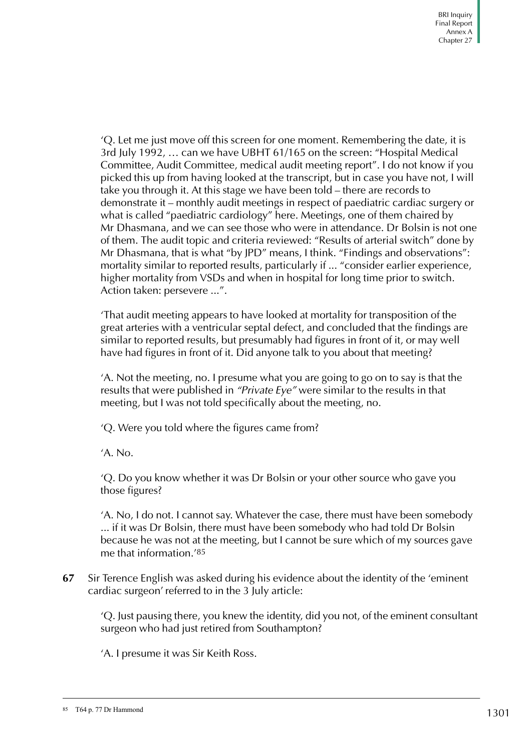'Q. Let me just move off this screen for one moment. Remembering the date, it is 3rd July 1992, … can we have UBHT 61/165 on the screen: "Hospital Medical Committee, Audit Committee, medical audit meeting report". I do not know if you picked this up from having looked at the transcript, but in case you have not, I will take you through it. At this stage we have been told – there are records to demonstrate it – monthly audit meetings in respect of paediatric cardiac surgery or what is called "paediatric cardiology" here. Meetings, one of them chaired by Mr Dhasmana, and we can see those who were in attendance. Dr Bolsin is not one of them. The audit topic and criteria reviewed: "Results of arterial switch" done by Mr Dhasmana, that is what "by JPD" means, I think. "Findings and observations": mortality similar to reported results, particularly if ... "consider earlier experience, higher mortality from VSDs and when in hospital for long time prior to switch. Action taken: persevere ...".

'That audit meeting appears to have looked at mortality for transposition of the great arteries with a ventricular septal defect, and concluded that the findings are similar to reported results, but presumably had figures in front of it, or may well have had figures in front of it. Did anyone talk to you about that meeting?

'A. Not the meeting, no. I presume what you are going to go on to say is that the results that were published in "Private Eye" were similar to the results in that meeting, but I was not told specifically about the meeting, no.

'Q. Were you told where the figures came from?

'A. No.

'Q. Do you know whether it was Dr Bolsin or your other source who gave you those figures?

'A. No, I do not. I cannot say. Whatever the case, there must have been somebody ... if it was Dr Bolsin, there must have been somebody who had told Dr Bolsin because he was not at the meeting, but I cannot be sure which of my sources gave me that information.'85

**67** Sir Terence English was asked during his evidence about the identity of the 'eminent cardiac surgeon' referred to in the 3 July article:

'Q. Just pausing there, you knew the identity, did you not, of the eminent consultant surgeon who had just retired from Southampton?

'A. I presume it was Sir Keith Ross.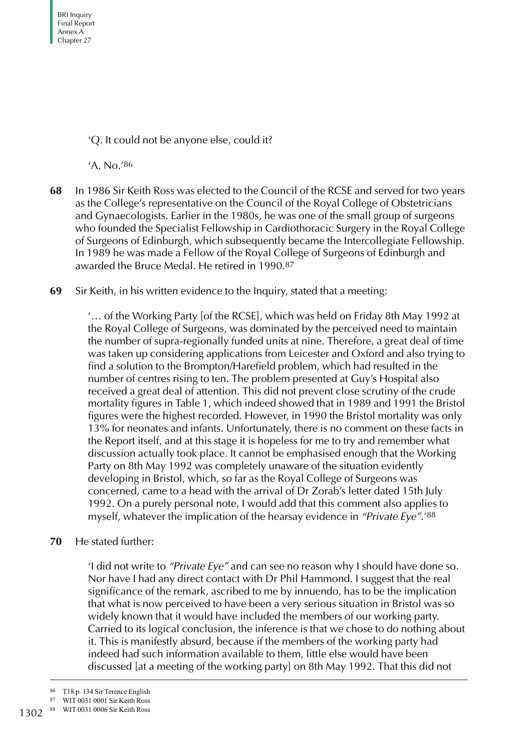BRI Inquiry Final Report Annex A Chapter 27

'Q. It could not be anyone else, could it?

'A. No.'86

- **68** In 1986 Sir Keith Ross was elected to the Council of the RCSE and served for two years as the College's representative on the Council of the Royal College of Obstetricians and Gynaecologists. Earlier in the 1980s, he was one of the small group of surgeons who founded the Specialist Fellowship in Cardiothoracic Surgery in the Royal College of Surgeons of Edinburgh, which subsequently became the Intercollegiate Fellowship. In 1989 he was made a Fellow of the Royal College of Surgeons of Edinburgh and awarded the Bruce Medal. He retired in 1990.87
- **69** Sir Keith, in his written evidence to the Inquiry, stated that a meeting:

'… of the Working Party [of the RCSE], which was held on Friday 8th May 1992 at the Royal College of Surgeons, was dominated by the perceived need to maintain the number of supra-regionally funded units at nine. Therefore, a great deal of time was taken up considering applications from Leicester and Oxford and also trying to find a solution to the Brompton/Harefield problem, which had resulted in the number of centres rising to ten. The problem presented at Guy's Hospital also received a great deal of attention. This did not prevent close scrutiny of the crude mortality figures in Table 1, which indeed showed that in 1989 and 1991 the Bristol figures were the highest recorded. However, in 1990 the Bristol mortality was only 13% for neonates and infants. Unfortunately, there is no comment on these facts in the Report itself, and at this stage it is hopeless for me to try and remember what discussion actually took place. It cannot be emphasised enough that the Working Party on 8th May 1992 was completely unaware of the situation evidently developing in Bristol, which, so far as the Royal College of Surgeons was concerned, came to a head with the arrival of Dr Zorab's letter dated 15th July 1992. On a purely personal note, I would add that this comment also applies to myself, whatever the implication of the hearsay evidence in "Private Eve".<sup>'88</sup>

## **70** He stated further:

'I did not write to "Private Eye" and can see no reason why I should have done so. Nor have I had any direct contact with Dr Phil Hammond. I suggest that the real significance of the remark, ascribed to me by innuendo, has to be the implication that what is now perceived to have been a very serious situation in Bristol was so widely known that it would have included the members of our working party. Carried to its logical conclusion, the inference is that we chose to do nothing about it. This is manifestly absurd, because if the members of the working party had indeed had such information available to them, little else would have been discussed [at a meeting of the working party] on 8th May 1992. That this did not

<sup>86</sup> T18 p. 134 Sir Terence English

<sup>87</sup> WIT 0031 0001 Sir Keith Ross 88 WIT 0031 0006 Sir Keith Ross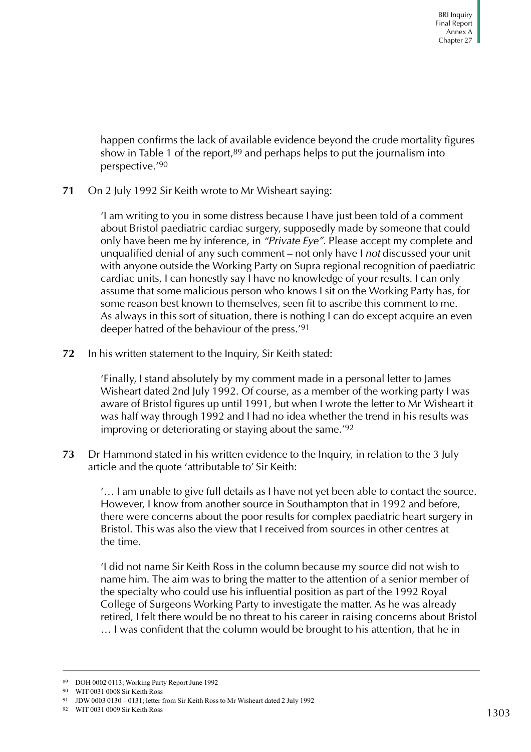happen confirms the lack of available evidence beyond the crude mortality figures show in Table 1 of the report,  $89$  and perhaps helps to put the journalism into perspective.'90

**71** On 2 July 1992 Sir Keith wrote to Mr Wisheart saying:

'I am writing to you in some distress because I have just been told of a comment about Bristol paediatric cardiac surgery, supposedly made by someone that could only have been me by inference, in "Private Eye". Please accept my complete and unqualified denial of any such comment – not only have I not discussed your unit with anyone outside the Working Party on Supra regional recognition of paediatric cardiac units, I can honestly say I have no knowledge of your results. I can only assume that some malicious person who knows I sit on the Working Party has, for some reason best known to themselves, seen fit to ascribe this comment to me. As always in this sort of situation, there is nothing I can do except acquire an even deeper hatred of the behaviour of the press.'91

**72** In his written statement to the Inquiry, Sir Keith stated:

'Finally, I stand absolutely by my comment made in a personal letter to James Wisheart dated 2nd July 1992. Of course, as a member of the working party I was aware of Bristol figures up until 1991, but when I wrote the letter to Mr Wisheart it was half way through 1992 and I had no idea whether the trend in his results was improving or deteriorating or staying about the same.'92

**73** Dr Hammond stated in his written evidence to the Inquiry, in relation to the 3 July article and the quote 'attributable to' Sir Keith:

'… I am unable to give full details as I have not yet been able to contact the source. However, I know from another source in Southampton that in 1992 and before, there were concerns about the poor results for complex paediatric heart surgery in Bristol. This was also the view that I received from sources in other centres at the time.

'I did not name Sir Keith Ross in the column because my source did not wish to name him. The aim was to bring the matter to the attention of a senior member of the specialty who could use his influential position as part of the 1992 Royal College of Surgeons Working Party to investigate the matter. As he was already retired, I felt there would be no threat to his career in raising concerns about Bristol … I was confident that the column would be brought to his attention, that he in

<sup>89</sup> DOH 0002 0113; Working Party Report June 1992

<sup>90</sup> WIT 0031 0008 Sir Keith Ross

<sup>91</sup> JDW 0003 0130 – 0131; letter from Sir Keith Ross to Mr Wisheart dated 2 July 1992

<sup>92</sup> WIT 0031 0009 Sir Keith Ross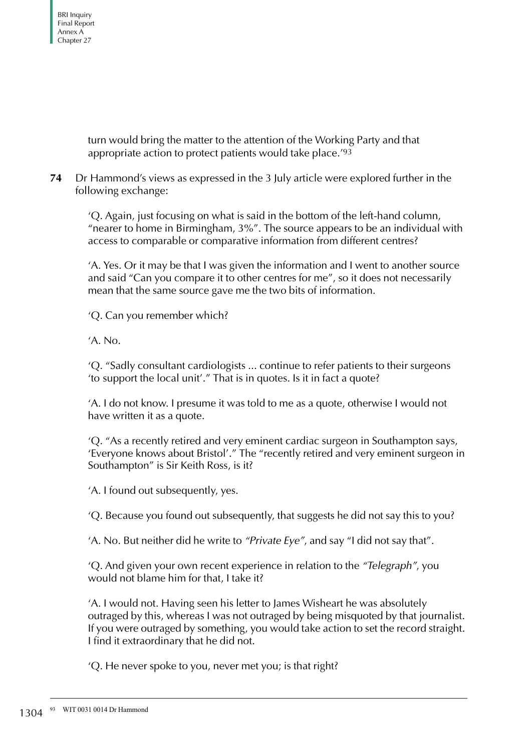turn would bring the matter to the attention of the Working Party and that appropriate action to protect patients would take place.'93

**74** Dr Hammond's views as expressed in the 3 July article were explored further in the following exchange:

'Q. Again, just focusing on what is said in the bottom of the left-hand column, "nearer to home in Birmingham, 3%". The source appears to be an individual with access to comparable or comparative information from different centres?

'A. Yes. Or it may be that I was given the information and I went to another source and said "Can you compare it to other centres for me", so it does not necessarily mean that the same source gave me the two bits of information.

'Q. Can you remember which?

'A. No.

'Q. "Sadly consultant cardiologists ... continue to refer patients to their surgeons 'to support the local unit'." That is in quotes. Is it in fact a quote?

'A. I do not know. I presume it was told to me as a quote, otherwise I would not have written it as a quote.

'Q. "As a recently retired and very eminent cardiac surgeon in Southampton says, 'Everyone knows about Bristol'." The "recently retired and very eminent surgeon in Southampton" is Sir Keith Ross, is it?

'A. I found out subsequently, yes.

'Q. Because you found out subsequently, that suggests he did not say this to you?

'A. No. But neither did he write to "Private Eye", and say "I did not say that".

'Q. And given your own recent experience in relation to the "Telegraph", you would not blame him for that, I take it?

'A. I would not. Having seen his letter to James Wisheart he was absolutely outraged by this, whereas I was not outraged by being misquoted by that journalist. If you were outraged by something, you would take action to set the record straight. I find it extraordinary that he did not.

'Q. He never spoke to you, never met you; is that right?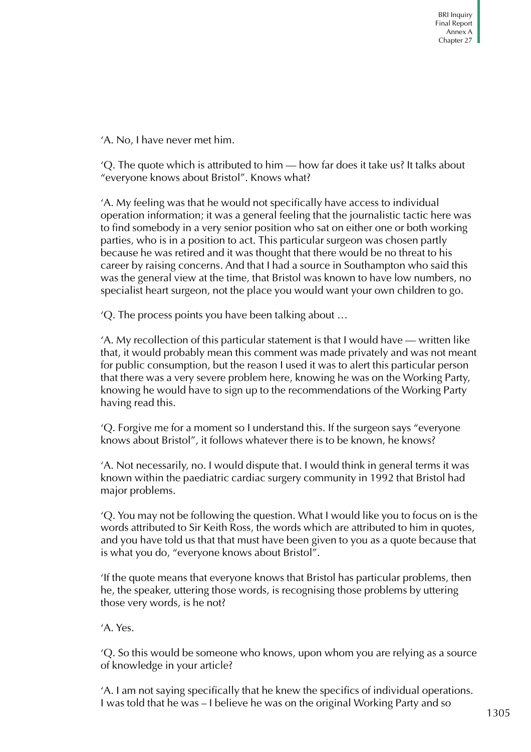'A. No, I have never met him.

'Q. The quote which is attributed to him — how far does it take us? It talks about "everyone knows about Bristol". Knows what?

'A. My feeling was that he would not specifically have access to individual operation information; it was a general feeling that the journalistic tactic here was to find somebody in a very senior position who sat on either one or both working parties, who is in a position to act. This particular surgeon was chosen partly because he was retired and it was thought that there would be no threat to his career by raising concerns. And that I had a source in Southampton who said this was the general view at the time, that Bristol was known to have low numbers, no specialist heart surgeon, not the place you would want your own children to go.

'Q. The process points you have been talking about …

'A. My recollection of this particular statement is that I would have — written like that, it would probably mean this comment was made privately and was not meant for public consumption, but the reason I used it was to alert this particular person that there was a very severe problem here, knowing he was on the Working Party, knowing he would have to sign up to the recommendations of the Working Party having read this.

'Q. Forgive me for a moment so I understand this. If the surgeon says "everyone knows about Bristol", it follows whatever there is to be known, he knows?

'A. Not necessarily, no. I would dispute that. I would think in general terms it was known within the paediatric cardiac surgery community in 1992 that Bristol had major problems.

'Q. You may not be following the question. What I would like you to focus on is the words attributed to Sir Keith Ross, the words which are attributed to him in quotes, and you have told us that that must have been given to you as a quote because that is what you do, "everyone knows about Bristol".

'If the quote means that everyone knows that Bristol has particular problems, then he, the speaker, uttering those words, is recognising those problems by uttering those very words, is he not?

'A. Yes.

'Q. So this would be someone who knows, upon whom you are relying as a source of knowledge in your article?

'A. I am not saying specifically that he knew the specifics of individual operations. I was told that he was – I believe he was on the original Working Party and so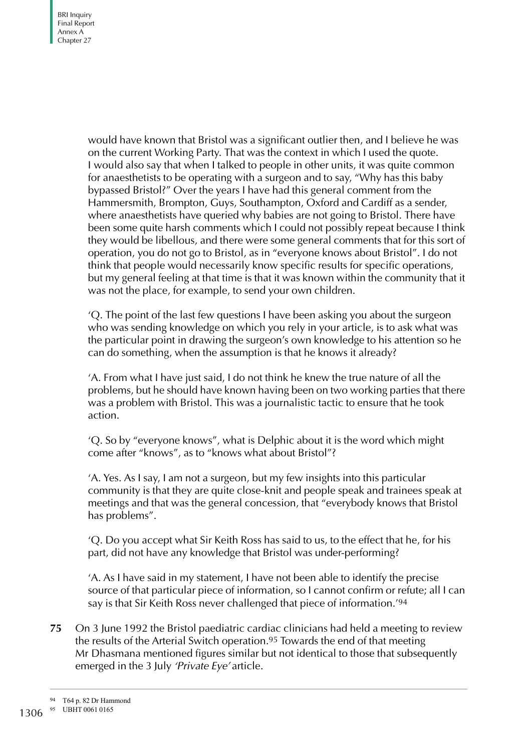would have known that Bristol was a significant outlier then, and I believe he was on the current Working Party. That was the context in which I used the quote. I would also say that when I talked to people in other units, it was quite common for anaesthetists to be operating with a surgeon and to say, "Why has this baby bypassed Bristol?" Over the years I have had this general comment from the Hammersmith, Brompton, Guys, Southampton, Oxford and Cardiff as a sender, where anaesthetists have queried why babies are not going to Bristol. There have been some quite harsh comments which I could not possibly repeat because I think they would be libellous, and there were some general comments that for this sort of operation, you do not go to Bristol, as in "everyone knows about Bristol". I do not think that people would necessarily know specific results for specific operations, but my general feeling at that time is that it was known within the community that it was not the place, for example, to send your own children.

'Q. The point of the last few questions I have been asking you about the surgeon who was sending knowledge on which you rely in your article, is to ask what was the particular point in drawing the surgeon's own knowledge to his attention so he can do something, when the assumption is that he knows it already?

'A. From what I have just said, I do not think he knew the true nature of all the problems, but he should have known having been on two working parties that there was a problem with Bristol. This was a journalistic tactic to ensure that he took action.

'Q. So by "everyone knows", what is Delphic about it is the word which might come after "knows", as to "knows what about Bristol"?

'A. Yes. As I say, I am not a surgeon, but my few insights into this particular community is that they are quite close-knit and people speak and trainees speak at meetings and that was the general concession, that "everybody knows that Bristol has problems".

'Q. Do you accept what Sir Keith Ross has said to us, to the effect that he, for his part, did not have any knowledge that Bristol was under-performing?

'A. As I have said in my statement, I have not been able to identify the precise source of that particular piece of information, so I cannot confirm or refute; all I can say is that Sir Keith Ross never challenged that piece of information.'94

**75** On 3 June 1992 the Bristol paediatric cardiac clinicians had held a meeting to review the results of the Arterial Switch operation.95 Towards the end of that meeting Mr Dhasmana mentioned figures similar but not identical to those that subsequently emerged in the 3 July 'Private Eye' article.

<sup>94</sup> T64 p. 82 Dr Hammond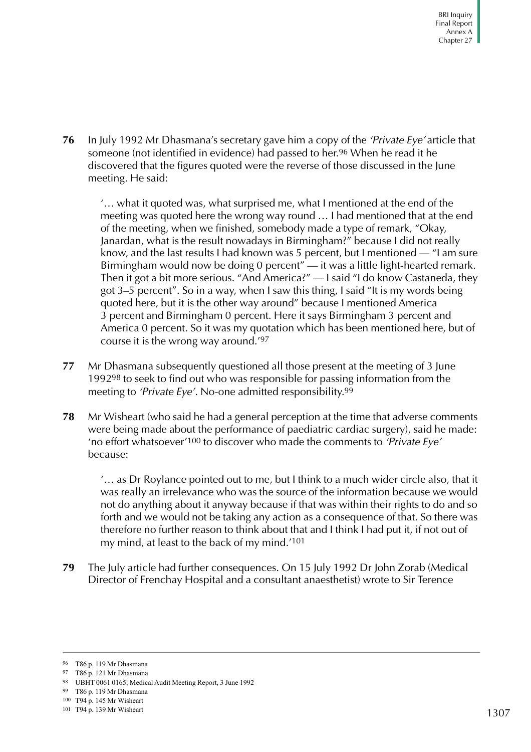**76** In July 1992 Mr Dhasmana's secretary gave him a copy of the 'Private Eye' article that someone (not identified in evidence) had passed to her.96 When he read it he discovered that the figures quoted were the reverse of those discussed in the June meeting. He said:

'… what it quoted was, what surprised me, what I mentioned at the end of the meeting was quoted here the wrong way round … I had mentioned that at the end of the meeting, when we finished, somebody made a type of remark, "Okay, Janardan, what is the result nowadays in Birmingham?" because I did not really know, and the last results I had known was 5 percent, but I mentioned — "I am sure Birmingham would now be doing 0 percent" — it was a little light-hearted remark. Then it got a bit more serious. "And America?" — I said "I do know Castaneda, they got 3–5 percent". So in a way, when I saw this thing, I said "It is my words being quoted here, but it is the other way around" because I mentioned America 3 percent and Birmingham 0 percent. Here it says Birmingham 3 percent and America 0 percent. So it was my quotation which has been mentioned here, but of course it is the wrong way around.'97

- **77** Mr Dhasmana subsequently questioned all those present at the meeting of 3 June 199298 to seek to find out who was responsible for passing information from the meeting to 'Private Eye'. No-one admitted responsibility.99
- **78** Mr Wisheart (who said he had a general perception at the time that adverse comments were being made about the performance of paediatric cardiac surgery), said he made: 'no effort whatsoever'100 to discover who made the comments to 'Private Eye' because:

'… as Dr Roylance pointed out to me, but I think to a much wider circle also, that it was really an irrelevance who was the source of the information because we would not do anything about it anyway because if that was within their rights to do and so forth and we would not be taking any action as a consequence of that. So there was therefore no further reason to think about that and I think I had put it, if not out of my mind, at least to the back of my mind.'101

**79** The July article had further consequences. On 15 July 1992 Dr John Zorab (Medical Director of Frenchay Hospital and a consultant anaesthetist) wrote to Sir Terence

<sup>96</sup> T86 p. 119 Mr Dhasmana

<sup>97</sup> T86 p. 121 Mr Dhasmana

<sup>98</sup> UBHT 0061 0165; Medical Audit Meeting Report, 3 June 1992

<sup>99</sup> T86 p. 119 Mr Dhasmana

<sup>100</sup> T94 p. 145 Mr Wisheart

<sup>101</sup> T94 p. 139 Mr Wisheart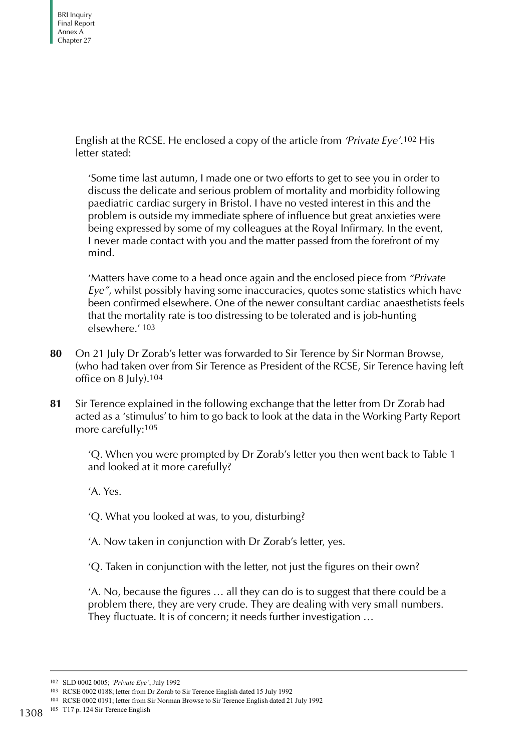English at the RCSE. He enclosed a copy of the article from 'Private Eye'.102 His letter stated:

'Some time last autumn, I made one or two efforts to get to see you in order to discuss the delicate and serious problem of mortality and morbidity following paediatric cardiac surgery in Bristol. I have no vested interest in this and the problem is outside my immediate sphere of influence but great anxieties were being expressed by some of my colleagues at the Royal Infirmary. In the event, I never made contact with you and the matter passed from the forefront of my mind.

'Matters have come to a head once again and the enclosed piece from "Private Eye", whilst possibly having some inaccuracies, quotes some statistics which have been confirmed elsewhere. One of the newer consultant cardiac anaesthetists feels that the mortality rate is too distressing to be tolerated and is job-hunting elsewhere.' 103

- **80** On 21 July Dr Zorab's letter was forwarded to Sir Terence by Sir Norman Browse, (who had taken over from Sir Terence as President of the RCSE, Sir Terence having left office on 8 July).104
- **81** Sir Terence explained in the following exchange that the letter from Dr Zorab had acted as a 'stimulus' to him to go back to look at the data in the Working Party Report more carefully:105

'Q. When you were prompted by Dr Zorab's letter you then went back to Table 1 and looked at it more carefully?

'A. Yes.

'Q. What you looked at was, to you, disturbing?

'A. Now taken in conjunction with Dr Zorab's letter, yes.

'Q. Taken in conjunction with the letter, not just the figures on their own?

'A. No, because the figures … all they can do is to suggest that there could be a problem there, they are very crude. They are dealing with very small numbers. They fluctuate. It is of concern; it needs further investigation …

105 T17 p. 124 Sir Terence English

<sup>102</sup> SLD 0002 0005; *'Private Eye'*, July 1992

<sup>103</sup> RCSE 0002 0188; letter from Dr Zorab to Sir Terence English dated 15 July 1992

<sup>104</sup> RCSE 0002 0191; letter from Sir Norman Browse to Sir Terence English dated 21 July 1992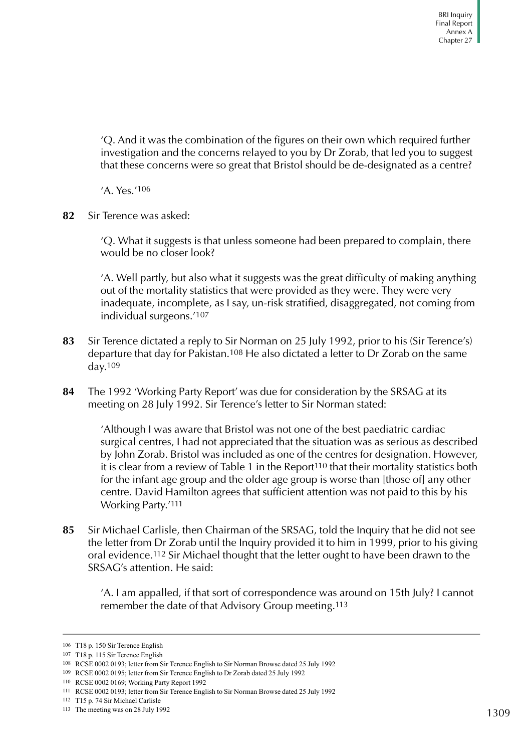'Q. And it was the combination of the figures on their own which required further investigation and the concerns relayed to you by Dr Zorab, that led you to suggest that these concerns were so great that Bristol should be de-designated as a centre?

'A. Yes.'106

**82** Sir Terence was asked:

'Q. What it suggests is that unless someone had been prepared to complain, there would be no closer look?

'A. Well partly, but also what it suggests was the great difficulty of making anything out of the mortality statistics that were provided as they were. They were very inadequate, incomplete, as I say, un-risk stratified, disaggregated, not coming from individual surgeons.'107

- **83** Sir Terence dictated a reply to Sir Norman on 25 July 1992, prior to his (Sir Terence's) departure that day for Pakistan.108 He also dictated a letter to Dr Zorab on the same day.109
- **84** The 1992 'Working Party Report' was due for consideration by the SRSAG at its meeting on 28 July 1992. Sir Terence's letter to Sir Norman stated:

'Although I was aware that Bristol was not one of the best paediatric cardiac surgical centres, I had not appreciated that the situation was as serious as described by John Zorab. Bristol was included as one of the centres for designation. However, it is clear from a review of Table 1 in the Report<sup>110</sup> that their mortality statistics both for the infant age group and the older age group is worse than [those of] any other centre. David Hamilton agrees that sufficient attention was not paid to this by his Working Party.'111

**85** Sir Michael Carlisle, then Chairman of the SRSAG, told the Inquiry that he did not see the letter from Dr Zorab until the Inquiry provided it to him in 1999, prior to his giving oral evidence.112 Sir Michael thought that the letter ought to have been drawn to the SRSAG's attention. He said:

'A. I am appalled, if that sort of correspondence was around on 15th July? I cannot remember the date of that Advisory Group meeting.113

<sup>106</sup> T18 p. 150 Sir Terence English

<sup>107</sup> T18 p. 115 Sir Terence English

<sup>108</sup> RCSE 0002 0193; letter from Sir Terence English to Sir Norman Browse dated 25 July 1992

<sup>109</sup> RCSE 0002 0195; letter from Sir Terence English to Dr Zorab dated 25 July 1992

<sup>110</sup> RCSE 0002 0169; Working Party Report 1992

<sup>111</sup> RCSE 0002 0193; letter from Sir Terence English to Sir Norman Browse dated 25 July 1992

<sup>112</sup> T15 p. 74 Sir Michael Carlisle

<sup>113</sup> The meeting was on 28 July 1992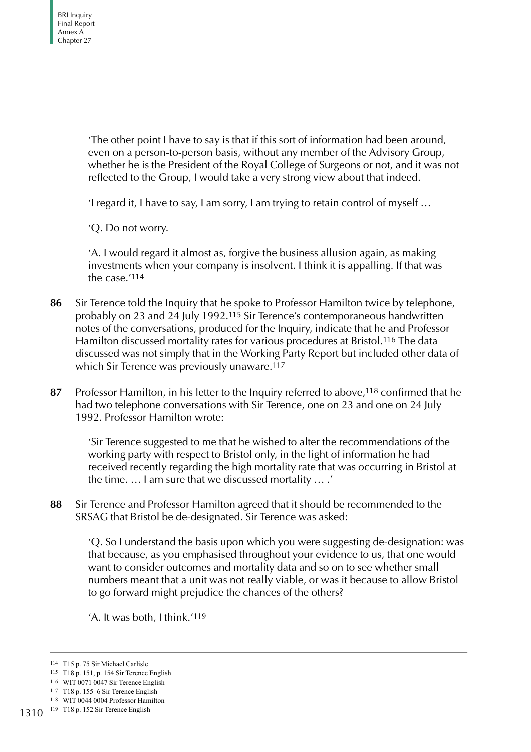'The other point I have to say is that if this sort of information had been around, even on a person-to-person basis, without any member of the Advisory Group, whether he is the President of the Royal College of Surgeons or not, and it was not reflected to the Group, I would take a very strong view about that indeed.

'I regard it, I have to say, I am sorry, I am trying to retain control of myself …

'Q. Do not worry.

'A. I would regard it almost as, forgive the business allusion again, as making investments when your company is insolvent. I think it is appalling. If that was the case.'114

- **86** Sir Terence told the Inquiry that he spoke to Professor Hamilton twice by telephone, probably on 23 and 24 July 1992.115 Sir Terence's contemporaneous handwritten notes of the conversations, produced for the Inquiry, indicate that he and Professor Hamilton discussed mortality rates for various procedures at Bristol.116 The data discussed was not simply that in the Working Party Report but included other data of which Sir Terence was previously unaware.<sup>117</sup>
- **87** Professor Hamilton, in his letter to the Inquiry referred to above,118 confirmed that he had two telephone conversations with Sir Terence, one on 23 and one on 24 July 1992. Professor Hamilton wrote:

'Sir Terence suggested to me that he wished to alter the recommendations of the working party with respect to Bristol only, in the light of information he had received recently regarding the high mortality rate that was occurring in Bristol at the time. … I am sure that we discussed mortality … .'

**88** Sir Terence and Professor Hamilton agreed that it should be recommended to the SRSAG that Bristol be de-designated. Sir Terence was asked:

'Q. So I understand the basis upon which you were suggesting de-designation: was that because, as you emphasised throughout your evidence to us, that one would want to consider outcomes and mortality data and so on to see whether small numbers meant that a unit was not really viable, or was it because to allow Bristol to go forward might prejudice the chances of the others?

'A. It was both, I think.'119

<sup>114</sup> T15 p. 75 Sir Michael Carlisle

<sup>115</sup> T18 p. 151, p. 154 Sir Terence English

<sup>116</sup> WIT 0071 0047 Sir Terence English

<sup>117</sup> T18 p. 155–6 Sir Terence English

<sup>118</sup> WIT 0044 0004 Professor Hamilton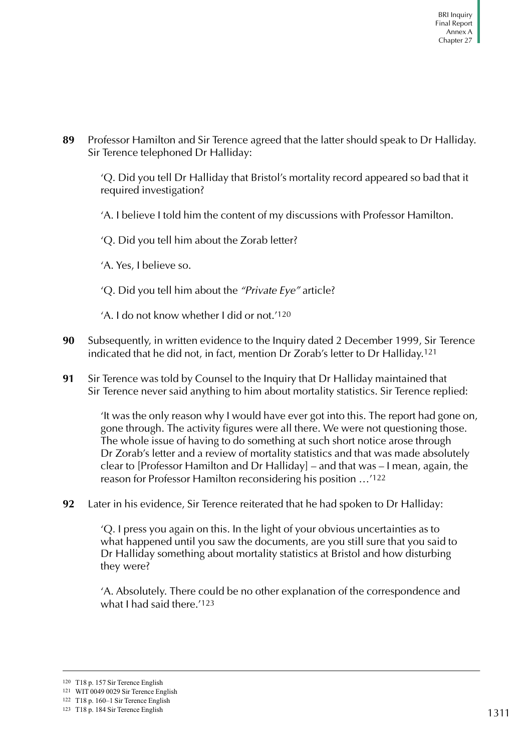**89** Professor Hamilton and Sir Terence agreed that the latter should speak to Dr Halliday. Sir Terence telephoned Dr Halliday:

'Q. Did you tell Dr Halliday that Bristol's mortality record appeared so bad that it required investigation?

'A. I believe I told him the content of my discussions with Professor Hamilton.

'Q. Did you tell him about the Zorab letter?

'A. Yes, I believe so.

'Q. Did you tell him about the "Private Eye" article?

'A. I do not know whether I did or not.'120

- **90** Subsequently, in written evidence to the Inquiry dated 2 December 1999, Sir Terence indicated that he did not, in fact, mention Dr Zorab's letter to Dr Halliday.121
- **91** Sir Terence was told by Counsel to the Inquiry that Dr Halliday maintained that Sir Terence never said anything to him about mortality statistics. Sir Terence replied:

'It was the only reason why I would have ever got into this. The report had gone on, gone through. The activity figures were all there. We were not questioning those. The whole issue of having to do something at such short notice arose through Dr Zorab's letter and a review of mortality statistics and that was made absolutely clear to [Professor Hamilton and Dr Halliday] – and that was – I mean, again, the reason for Professor Hamilton reconsidering his position …'122

**92** Later in his evidence, Sir Terence reiterated that he had spoken to Dr Halliday:

'Q. I press you again on this. In the light of your obvious uncertainties as to what happened until you saw the documents, are you still sure that you said to Dr Halliday something about mortality statistics at Bristol and how disturbing they were?

'A. Absolutely. There could be no other explanation of the correspondence and what I had said there.'123

<sup>120</sup> T18 p. 157 Sir Terence English

<sup>121</sup> WIT 0049 0029 Sir Terence English

<sup>122</sup> T18 p. 160–1 Sir Terence English

<sup>123</sup> T18 p. 184 Sir Terence English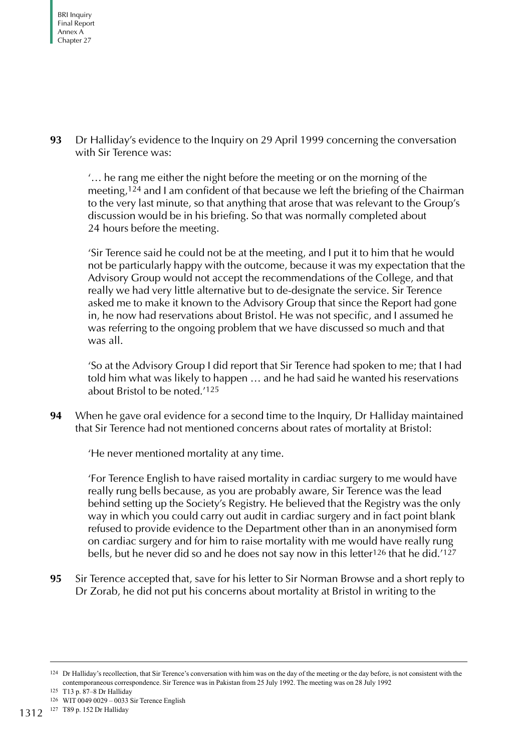**93** Dr Halliday's evidence to the Inquiry on 29 April 1999 concerning the conversation with Sir Terence was:

'… he rang me either the night before the meeting or on the morning of the meeting,124 and I am confident of that because we left the briefing of the Chairman to the very last minute, so that anything that arose that was relevant to the Group's discussion would be in his briefing. So that was normally completed about 24 hours before the meeting.

'Sir Terence said he could not be at the meeting, and I put it to him that he would not be particularly happy with the outcome, because it was my expectation that the Advisory Group would not accept the recommendations of the College, and that really we had very little alternative but to de-designate the service. Sir Terence asked me to make it known to the Advisory Group that since the Report had gone in, he now had reservations about Bristol. He was not specific, and I assumed he was referring to the ongoing problem that we have discussed so much and that was all.

'So at the Advisory Group I did report that Sir Terence had spoken to me; that I had told him what was likely to happen … and he had said he wanted his reservations about Bristol to be noted.'125

**94** When he gave oral evidence for a second time to the Inquiry, Dr Halliday maintained that Sir Terence had not mentioned concerns about rates of mortality at Bristol:

'He never mentioned mortality at any time.

'For Terence English to have raised mortality in cardiac surgery to me would have really rung bells because, as you are probably aware, Sir Terence was the lead behind setting up the Society's Registry. He believed that the Registry was the only way in which you could carry out audit in cardiac surgery and in fact point blank refused to provide evidence to the Department other than in an anonymised form on cardiac surgery and for him to raise mortality with me would have really rung bells, but he never did so and he does not say now in this letter126 that he did.'127

**95** Sir Terence accepted that, save for his letter to Sir Norman Browse and a short reply to Dr Zorab, he did not put his concerns about mortality at Bristol in writing to the

<sup>&</sup>lt;sup>124</sup> Dr Halliday's recollection, that Sir Terence's conversation with him was on the day of the meeting or the day before, is not consistent with the contemporaneous correspondence. Sir Terence was in Pakistan from 25 July 1992. The meeting was on 28 July 1992

<sup>125</sup> T13 p. 87–8 Dr Halliday

<sup>126</sup> WIT 0049 0029 – 0033 Sir Terence English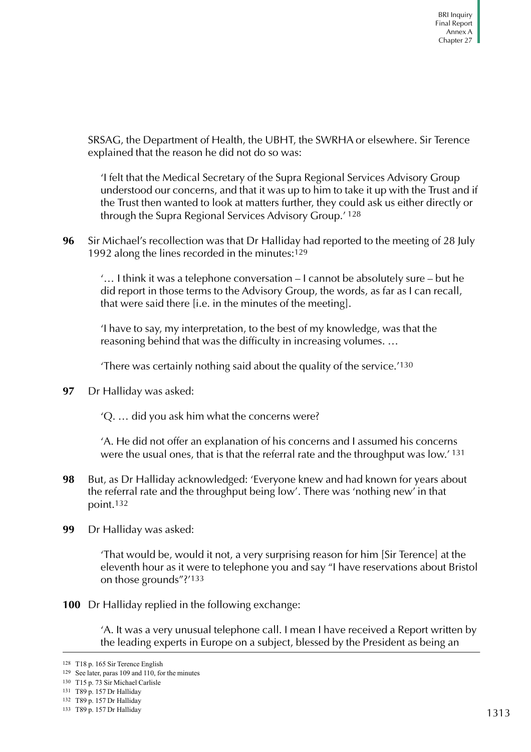SRSAG, the Department of Health, the UBHT, the SWRHA or elsewhere. Sir Terence explained that the reason he did not do so was:

'I felt that the Medical Secretary of the Supra Regional Services Advisory Group understood our concerns, and that it was up to him to take it up with the Trust and if the Trust then wanted to look at matters further, they could ask us either directly or through the Supra Regional Services Advisory Group.' 128

**96** Sir Michael's recollection was that Dr Halliday had reported to the meeting of 28 July 1992 along the lines recorded in the minutes:129

'… I think it was a telephone conversation – I cannot be absolutely sure – but he did report in those terms to the Advisory Group, the words, as far as I can recall, that were said there [i.e. in the minutes of the meeting].

'I have to say, my interpretation, to the best of my knowledge, was that the reasoning behind that was the difficulty in increasing volumes. …

'There was certainly nothing said about the quality of the service.'130

**97** Dr Halliday was asked:

'Q. … did you ask him what the concerns were?

'A. He did not offer an explanation of his concerns and I assumed his concerns were the usual ones, that is that the referral rate and the throughput was low.' 131

- **98** But, as Dr Halliday acknowledged: 'Everyone knew and had known for years about the referral rate and the throughput being low'. There was 'nothing new' in that point.132
- **99** Dr Halliday was asked:

'That would be, would it not, a very surprising reason for him [Sir Terence] at the eleventh hour as it were to telephone you and say "I have reservations about Bristol on those grounds"?'133

**100** Dr Halliday replied in the following exchange:

'A. It was a very unusual telephone call. I mean I have received a Report written by the leading experts in Europe on a subject, blessed by the President as being an

<sup>128</sup> T18 p. 165 Sir Terence English

<sup>129</sup> See later, [paras 109](#page-95-0) and 110, for the minutes

<sup>130</sup> T15 p. 73 Sir Michael Carlisle

<sup>131</sup> T89 p. 157 Dr Halliday

<sup>132</sup> T89 p. 157 Dr Halliday

<sup>133</sup> T89 p. 157 Dr Halliday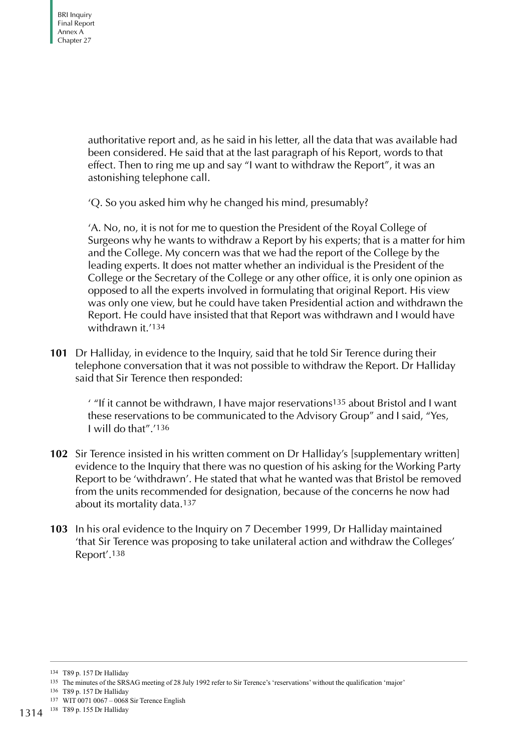authoritative report and, as he said in his letter, all the data that was available had been considered. He said that at the last paragraph of his Report, words to that effect. Then to ring me up and say "I want to withdraw the Report", it was an astonishing telephone call.

'Q. So you asked him why he changed his mind, presumably?

'A. No, no, it is not for me to question the President of the Royal College of Surgeons why he wants to withdraw a Report by his experts; that is a matter for him and the College. My concern was that we had the report of the College by the leading experts. It does not matter whether an individual is the President of the College or the Secretary of the College or any other office, it is only one opinion as opposed to all the experts involved in formulating that original Report. His view was only one view, but he could have taken Presidential action and withdrawn the Report. He could have insisted that that Report was withdrawn and I would have withdrawn it.<sup>'134</sup>

**101** Dr Halliday, in evidence to the Inquiry, said that he told Sir Terence during their telephone conversation that it was not possible to withdraw the Report. Dr Halliday said that Sir Terence then responded:

' "If it cannot be withdrawn, I have major reservations135 about Bristol and I want these reservations to be communicated to the Advisory Group" and I said, "Yes, I will do that".'136

- **102** Sir Terence insisted in his written comment on Dr Halliday's [supplementary written] evidence to the Inquiry that there was no question of his asking for the Working Party Report to be 'withdrawn'. He stated that what he wanted was that Bristol be removed from the units recommended for designation, because of the concerns he now had about its mortality data.137
- **103** In his oral evidence to the Inquiry on 7 December 1999, Dr Halliday maintained 'that Sir Terence was proposing to take unilateral action and withdraw the Colleges' Report'.138

<sup>134</sup> T89 p. 157 Dr Halliday

<sup>135</sup> The minutes of the SRSAG meeting of 28 July 1992 refer to Sir Terence's 'reservations' without the qualification 'major'

<sup>136</sup> T89 p. 157 Dr Halliday

<sup>137</sup> WIT 0071 0067 – 0068 Sir Terence English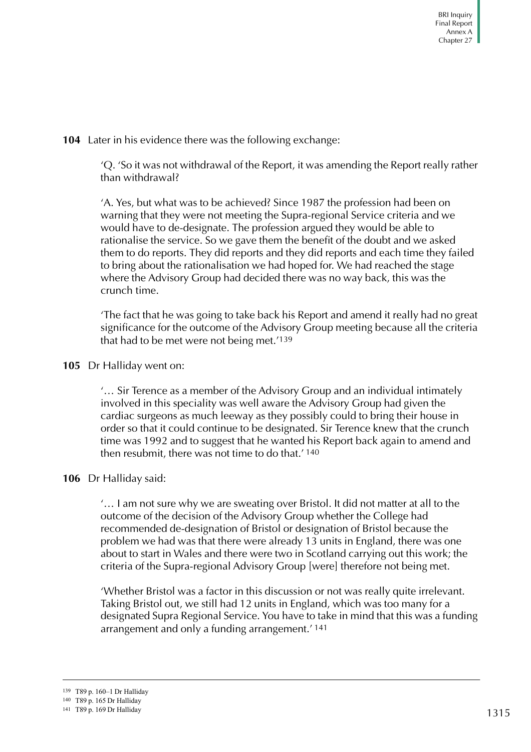**104** Later in his evidence there was the following exchange:

'Q. 'So it was not withdrawal of the Report, it was amending the Report really rather than withdrawal?

'A. Yes, but what was to be achieved? Since 1987 the profession had been on warning that they were not meeting the Supra-regional Service criteria and we would have to de-designate. The profession argued they would be able to rationalise the service. So we gave them the benefit of the doubt and we asked them to do reports. They did reports and they did reports and each time they failed to bring about the rationalisation we had hoped for. We had reached the stage where the Advisory Group had decided there was no way back, this was the crunch time.

'The fact that he was going to take back his Report and amend it really had no great significance for the outcome of the Advisory Group meeting because all the criteria that had to be met were not being met.'139

## **105** Dr Halliday went on:

'… Sir Terence as a member of the Advisory Group and an individual intimately involved in this speciality was well aware the Advisory Group had given the cardiac surgeons as much leeway as they possibly could to bring their house in order so that it could continue to be designated. Sir Terence knew that the crunch time was 1992 and to suggest that he wanted his Report back again to amend and then resubmit, there was not time to do that.' 140

## **106** Dr Halliday said:

'… I am not sure why we are sweating over Bristol. It did not matter at all to the outcome of the decision of the Advisory Group whether the College had recommended de-designation of Bristol or designation of Bristol because the problem we had was that there were already 13 units in England, there was one about to start in Wales and there were two in Scotland carrying out this work; the criteria of the Supra-regional Advisory Group [were] therefore not being met.

'Whether Bristol was a factor in this discussion or not was really quite irrelevant. Taking Bristol out, we still had 12 units in England, which was too many for a designated Supra Regional Service. You have to take in mind that this was a funding arrangement and only a funding arrangement.' 141

<sup>139</sup> T89 p. 160–1 Dr Halliday

<sup>140</sup> T89 p. 165 Dr Halliday

<sup>141</sup> T89 p. 169 Dr Halliday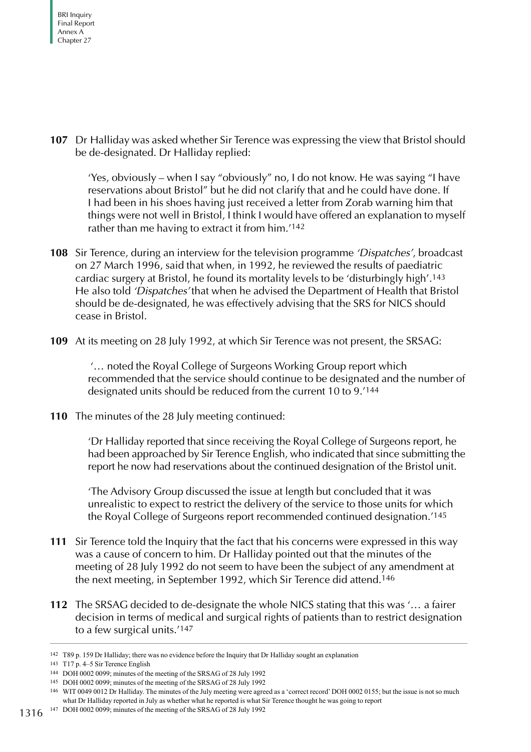**107** Dr Halliday was asked whether Sir Terence was expressing the view that Bristol should be de-designated. Dr Halliday replied:

'Yes, obviously – when I say "obviously" no, I do not know. He was saying "I have reservations about Bristol" but he did not clarify that and he could have done. If I had been in his shoes having just received a letter from Zorab warning him that things were not well in Bristol, I think I would have offered an explanation to myself rather than me having to extract it from him.'142

- **108** Sir Terence, during an interview for the television programme 'Dispatches', broadcast on 27 March 1996, said that when, in 1992, he reviewed the results of paediatric cardiac surgery at Bristol, he found its mortality levels to be 'disturbingly high'.143 He also told 'Dispatches' that when he advised the Department of Health that Bristol should be de-designated, he was effectively advising that the SRS for NICS should cease in Bristol.
- <span id="page-95-0"></span>**109** At its meeting on 28 July 1992, at which Sir Terence was not present, the SRSAG:

 '… noted the Royal College of Surgeons Working Group report which recommended that the service should continue to be designated and the number of designated units should be reduced from the current 10 to 9.'144

**110** The minutes of the 28 July meeting continued:

'Dr Halliday reported that since receiving the Royal College of Surgeons report, he had been approached by Sir Terence English, who indicated that since submitting the report he now had reservations about the continued designation of the Bristol unit.

'The Advisory Group discussed the issue at length but concluded that it was unrealistic to expect to restrict the delivery of the service to those units for which the Royal College of Surgeons report recommended continued designation.'145

- **111** Sir Terence told the Inquiry that the fact that his concerns were expressed in this way was a cause of concern to him. Dr Halliday pointed out that the minutes of the meeting of 28 July 1992 do not seem to have been the subject of any amendment at the next meeting, in September 1992, which Sir Terence did attend.146
- **112** The SRSAG decided to de-designate the whole NICS stating that this was '… a fairer decision in terms of medical and surgical rights of patients than to restrict designation to a few surgical units.'147

<sup>142</sup> T89 p. 159 Dr Halliday; there was no evidence before the Inquiry that Dr Halliday sought an explanation

<sup>143</sup> T17 p. 4–5 Sir Terence English

<sup>144</sup> DOH 0002 0099; minutes of the meeting of the SRSAG of 28 July 1992

<sup>145</sup> DOH 0002 0099; minutes of the meeting of the SRSAG of 28 July 1992

<sup>146</sup> WIT 0049 0012 Dr Halliday. The minutes of the July meeting were agreed as a 'correct record' DOH 0002 0155; but the issue is not so much what Dr Halliday reported in July as whether what he reported is what Sir Terence thought he was going to report

<sup>147</sup> DOH 0002 0099; minutes of the meeting of the SRSAG of 28 July 1992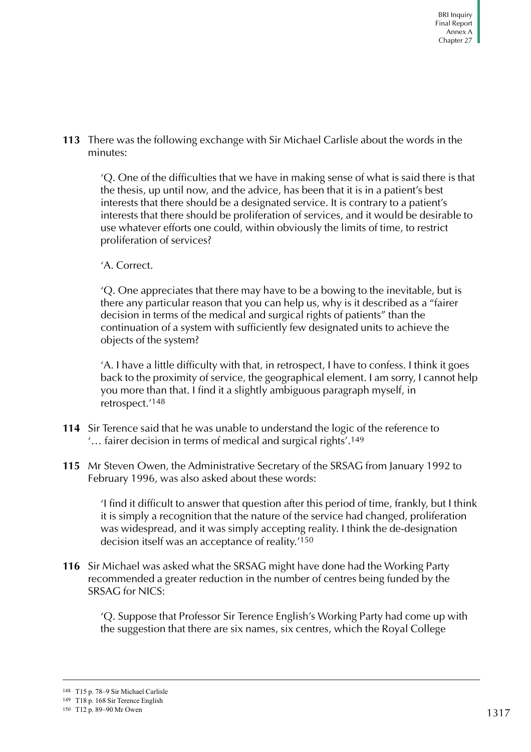**113** There was the following exchange with Sir Michael Carlisle about the words in the minutes:

'Q. One of the difficulties that we have in making sense of what is said there is that the thesis, up until now, and the advice, has been that it is in a patient's best interests that there should be a designated service. It is contrary to a patient's interests that there should be proliferation of services, and it would be desirable to use whatever efforts one could, within obviously the limits of time, to restrict proliferation of services?

## 'A. Correct.

'Q. One appreciates that there may have to be a bowing to the inevitable, but is there any particular reason that you can help us, why is it described as a "fairer decision in terms of the medical and surgical rights of patients" than the continuation of a system with sufficiently few designated units to achieve the objects of the system?

'A. I have a little difficulty with that, in retrospect, I have to confess. I think it goes back to the proximity of service, the geographical element. I am sorry, I cannot help you more than that. I find it a slightly ambiguous paragraph myself, in retrospect.'148

- **114** Sir Terence said that he was unable to understand the logic of the reference to '… fairer decision in terms of medical and surgical rights'.149
- **115** Mr Steven Owen, the Administrative Secretary of the SRSAG from January 1992 to February 1996, was also asked about these words:

'I find it difficult to answer that question after this period of time, frankly, but I think it is simply a recognition that the nature of the service had changed, proliferation was widespread, and it was simply accepting reality. I think the de-designation decision itself was an acceptance of reality.'150

**116** Sir Michael was asked what the SRSAG might have done had the Working Party recommended a greater reduction in the number of centres being funded by the SRSAG for NICS:

'Q. Suppose that Professor Sir Terence English's Working Party had come up with the suggestion that there are six names, six centres, which the Royal College

<sup>148</sup> T15 p. 78–9 Sir Michael Carlisle

<sup>149</sup> T18 p. 168 Sir Terence English

<sup>150</sup> T12 p. 89–90 Mr Owen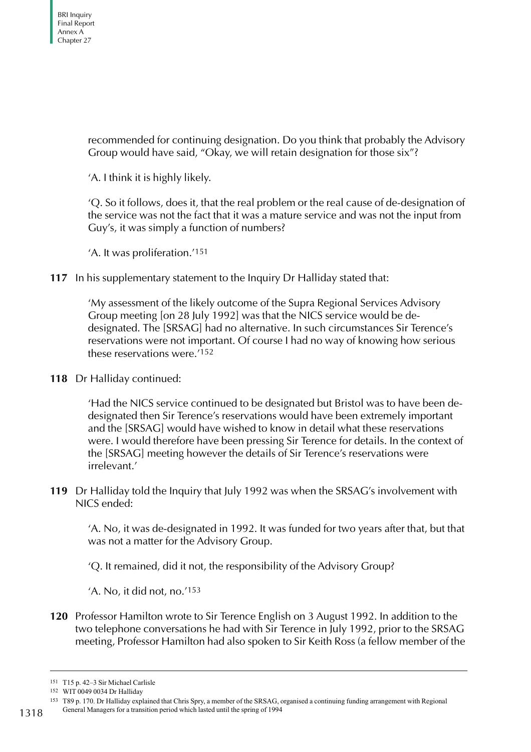recommended for continuing designation. Do you think that probably the Advisory Group would have said, "Okay, we will retain designation for those six"?

'A. I think it is highly likely.

'Q. So it follows, does it, that the real problem or the real cause of de-designation of the service was not the fact that it was a mature service and was not the input from Guy's, it was simply a function of numbers?

'A. It was proliferation.'151

**117** In his supplementary statement to the Inquiry Dr Halliday stated that:

'My assessment of the likely outcome of the Supra Regional Services Advisory Group meeting [on 28 July 1992] was that the NICS service would be dedesignated. The [SRSAG] had no alternative. In such circumstances Sir Terence's reservations were not important. Of course I had no way of knowing how serious these reservations were.'152

**118** Dr Halliday continued:

'Had the NICS service continued to be designated but Bristol was to have been dedesignated then Sir Terence's reservations would have been extremely important and the [SRSAG] would have wished to know in detail what these reservations were. I would therefore have been pressing Sir Terence for details. In the context of the [SRSAG] meeting however the details of Sir Terence's reservations were irrelevant.'

**119** Dr Halliday told the Inquiry that July 1992 was when the SRSAG's involvement with NICS ended:

'A. No, it was de-designated in 1992. It was funded for two years after that, but that was not a matter for the Advisory Group.

'Q. It remained, did it not, the responsibility of the Advisory Group?

'A. No, it did not, no.'153

**120** Professor Hamilton wrote to Sir Terence English on 3 August 1992. In addition to the two telephone conversations he had with Sir Terence in July 1992, prior to the SRSAG meeting, Professor Hamilton had also spoken to Sir Keith Ross (a fellow member of the

<sup>151</sup> T15 p. 42–3 Sir Michael Carlisle

<sup>152</sup> WIT 0049 0034 Dr Halliday

<sup>153</sup> T89 p. 170. Dr Halliday explained that Chris Spry, a member of the SRSAG, organised a continuing funding arrangement with Regional

General Managers for a transition period which lasted until the spring of 1994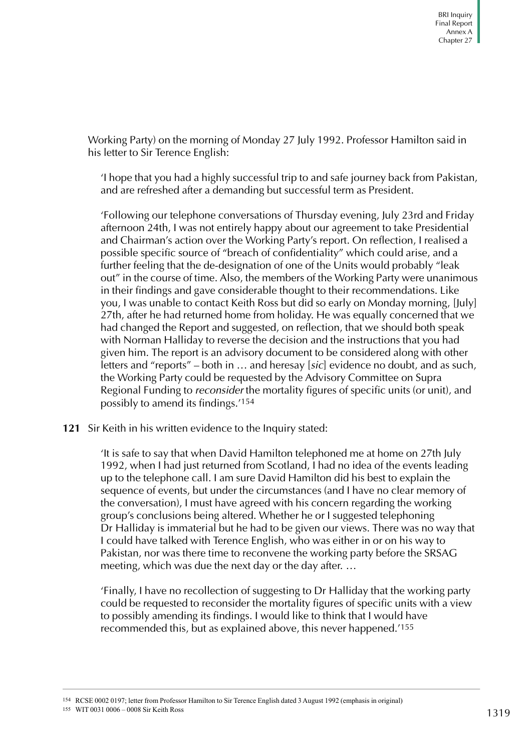Working Party) on the morning of Monday 27 July 1992. Professor Hamilton said in his letter to Sir Terence English:

'I hope that you had a highly successful trip to and safe journey back from Pakistan, and are refreshed after a demanding but successful term as President.

'Following our telephone conversations of Thursday evening, July 23rd and Friday afternoon 24th, I was not entirely happy about our agreement to take Presidential and Chairman's action over the Working Party's report. On reflection, I realised a possible specific source of "breach of confidentiality" which could arise, and a further feeling that the de-designation of one of the Units would probably "leak out" in the course of time. Also, the members of the Working Party were unanimous in their findings and gave considerable thought to their recommendations. Like you, I was unable to contact Keith Ross but did so early on Monday morning, [July] 27th, after he had returned home from holiday. He was equally concerned that we had changed the Report and suggested, on reflection, that we should both speak with Norman Halliday to reverse the decision and the instructions that you had given him. The report is an advisory document to be considered along with other letters and "reports" – both in … and heresay [sic] evidence no doubt, and as such, the Working Party could be requested by the Advisory Committee on Supra Regional Funding to reconsider the mortality figures of specific units (or unit), and possibly to amend its findings.'154

#### **121** Sir Keith in his written evidence to the Inquiry stated:

'It is safe to say that when David Hamilton telephoned me at home on 27th July 1992, when I had just returned from Scotland, I had no idea of the events leading up to the telephone call. I am sure David Hamilton did his best to explain the sequence of events, but under the circumstances (and I have no clear memory of the conversation), I must have agreed with his concern regarding the working group's conclusions being altered. Whether he or I suggested telephoning Dr Halliday is immaterial but he had to be given our views. There was no way that I could have talked with Terence English, who was either in or on his way to Pakistan, nor was there time to reconvene the working party before the SRSAG meeting, which was due the next day or the day after. …

'Finally, I have no recollection of suggesting to Dr Halliday that the working party could be requested to reconsider the mortality figures of specific units with a view to possibly amending its findings. I would like to think that I would have recommended this, but as explained above, this never happened.'155

154 RCSE 0002 0197; letter from Professor Hamilton to Sir Terence English dated 3 August 1992 (emphasis in original)

155 WIT 0031 0006 – 0008 Sir Keith Ross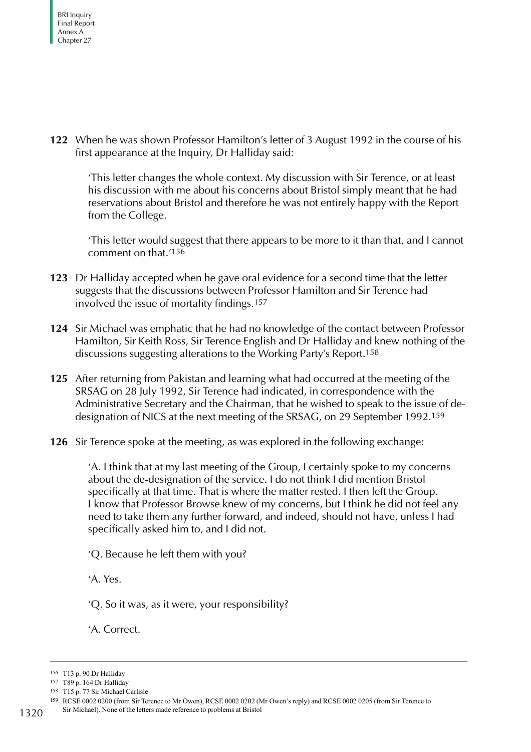**122** When he was shown Professor Hamilton's letter of 3 August 1992 in the course of his first appearance at the Inquiry, Dr Halliday said:

'This letter changes the whole context. My discussion with Sir Terence, or at least his discussion with me about his concerns about Bristol simply meant that he had reservations about Bristol and therefore he was not entirely happy with the Report from the College.

'This letter would suggest that there appears to be more to it than that, and I cannot comment on that.'156

- **123** Dr Halliday accepted when he gave oral evidence for a second time that the letter suggests that the discussions between Professor Hamilton and Sir Terence had involved the issue of mortality findings.157
- **124** Sir Michael was emphatic that he had no knowledge of the contact between Professor Hamilton, Sir Keith Ross, Sir Terence English and Dr Halliday and knew nothing of the discussions suggesting alterations to the Working Party's Report.158
- **125** After returning from Pakistan and learning what had occurred at the meeting of the SRSAG on 28 July 1992, Sir Terence had indicated, in correspondence with the Administrative Secretary and the Chairman, that he wished to speak to the issue of dedesignation of NICS at the next meeting of the SRSAG, on 29 September 1992.159
- **126** Sir Terence spoke at the meeting, as was explored in the following exchange:

'A. I think that at my last meeting of the Group, I certainly spoke to my concerns about the de-designation of the service. I do not think I did mention Bristol specifically at that time. That is where the matter rested. I then left the Group. I know that Professor Browse knew of my concerns, but I think he did not feel any need to take them any further forward, and indeed, should not have, unless I had specifically asked him to, and I did not.

'Q. Because he left them with you?

'A. Yes.

'Q. So it was, as it were, your responsibility?

'A. Correct.

<sup>156</sup> T13 p. 90 Dr Halliday

<sup>157</sup> T89 p. 164 Dr Halliday

<sup>158</sup> T15 p. 77 Sir Michael Carlisle

<sup>159</sup> RCSE 0002 0200 (from Sir Terence to Mr Owen), RCSE 0002 0202 (Mr Owen's reply) and RCSE 0002 0205 (from Sir Terence to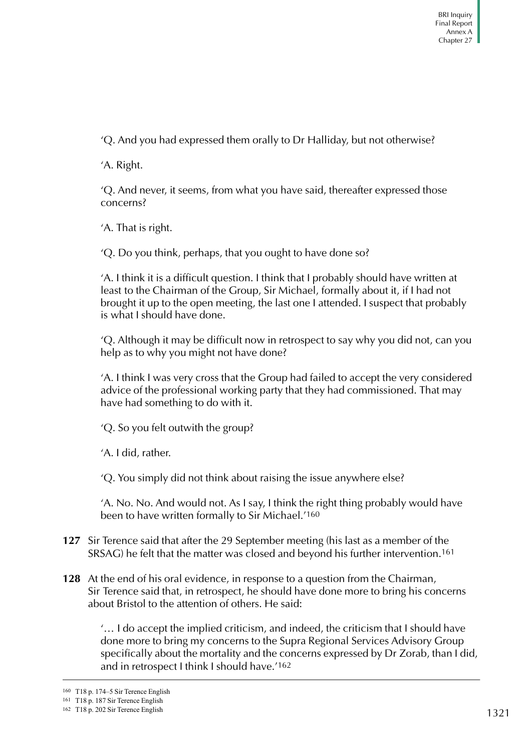'Q. And you had expressed them orally to Dr Halliday, but not otherwise?

'A. Right.

'Q. And never, it seems, from what you have said, thereafter expressed those concerns?

'A. That is right.

'Q. Do you think, perhaps, that you ought to have done so?

'A. I think it is a difficult question. I think that I probably should have written at least to the Chairman of the Group, Sir Michael, formally about it, if I had not brought it up to the open meeting, the last one I attended. I suspect that probably is what I should have done.

'Q. Although it may be difficult now in retrospect to say why you did not, can you help as to why you might not have done?

'A. I think I was very cross that the Group had failed to accept the very considered advice of the professional working party that they had commissioned. That may have had something to do with it.

'Q. So you felt outwith the group?

'A. I did, rather.

'Q. You simply did not think about raising the issue anywhere else?

'A. No. No. And would not. As I say, I think the right thing probably would have been to have written formally to Sir Michael.'160

- **127** Sir Terence said that after the 29 September meeting (his last as a member of the SRSAG) he felt that the matter was closed and beyond his further intervention.161
- **128** At the end of his oral evidence, in response to a question from the Chairman, Sir Terence said that, in retrospect, he should have done more to bring his concerns about Bristol to the attention of others. He said:

'… I do accept the implied criticism, and indeed, the criticism that I should have done more to bring my concerns to the Supra Regional Services Advisory Group specifically about the mortality and the concerns expressed by Dr Zorab, than I did, and in retrospect I think I should have.'162

<sup>160</sup> T18 p. 174–5 Sir Terence English

<sup>161</sup> T18 p. 187 Sir Terence English

<sup>162</sup> T18 p. 202 Sir Terence English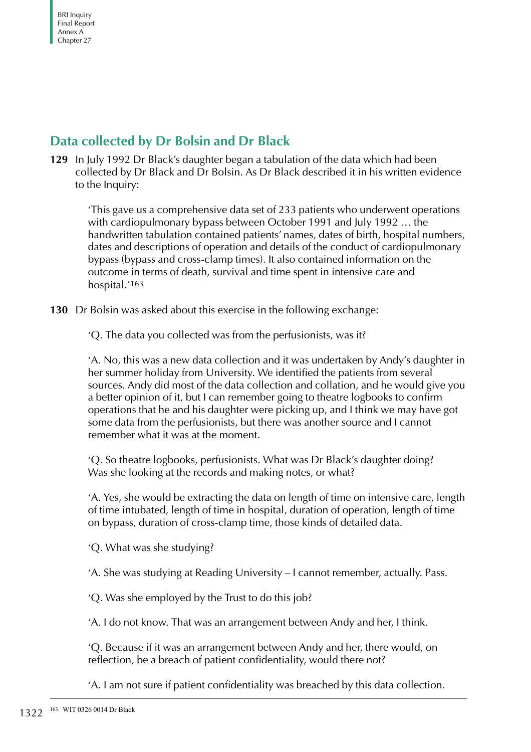# **Data collected by Dr Bolsin and Dr Black**

**129** In July 1992 Dr Black's daughter began a tabulation of the data which had been collected by Dr Black and Dr Bolsin. As Dr Black described it in his written evidence to the Inquiry:

'This gave us a comprehensive data set of 233 patients who underwent operations with cardiopulmonary bypass between October 1991 and July 1992 … the handwritten tabulation contained patients' names, dates of birth, hospital numbers, dates and descriptions of operation and details of the conduct of cardiopulmonary bypass (bypass and cross-clamp times). It also contained information on the outcome in terms of death, survival and time spent in intensive care and hospital.'163

**130** Dr Bolsin was asked about this exercise in the following exchange:

'Q. The data you collected was from the perfusionists, was it?

'A. No, this was a new data collection and it was undertaken by Andy's daughter in her summer holiday from University. We identified the patients from several sources. Andy did most of the data collection and collation, and he would give you a better opinion of it, but I can remember going to theatre logbooks to confirm operations that he and his daughter were picking up, and I think we may have got some data from the perfusionists, but there was another source and I cannot remember what it was at the moment.

'Q. So theatre logbooks, perfusionists. What was Dr Black's daughter doing? Was she looking at the records and making notes, or what?

'A. Yes, she would be extracting the data on length of time on intensive care, length of time intubated, length of time in hospital, duration of operation, length of time on bypass, duration of cross-clamp time, those kinds of detailed data.

'Q. What was she studying?

'A. She was studying at Reading University – I cannot remember, actually. Pass.

'Q. Was she employed by the Trust to do this job?

'A. I do not know. That was an arrangement between Andy and her, I think.

'Q. Because if it was an arrangement between Andy and her, there would, on reflection, be a breach of patient confidentiality, would there not?

'A. I am not sure if patient confidentiality was breached by this data collection.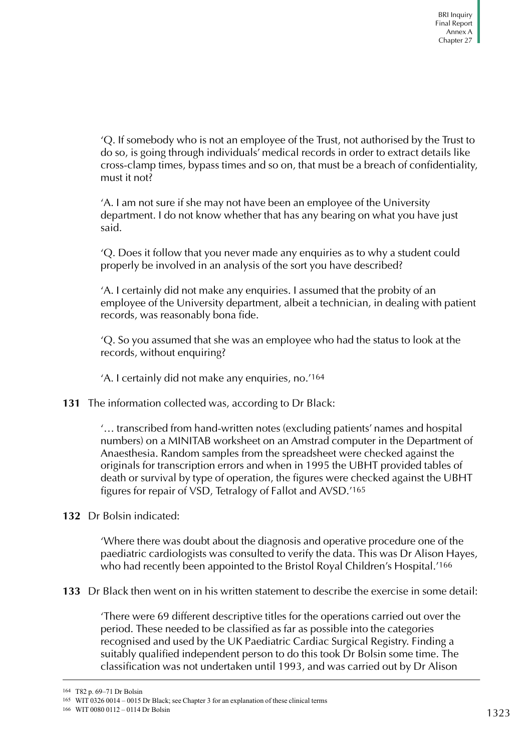'Q. If somebody who is not an employee of the Trust, not authorised by the Trust to do so, is going through individuals' medical records in order to extract details like cross-clamp times, bypass times and so on, that must be a breach of confidentiality, must it not?

'A. I am not sure if she may not have been an employee of the University department. I do not know whether that has any bearing on what you have just said.

'Q. Does it follow that you never made any enquiries as to why a student could properly be involved in an analysis of the sort you have described?

'A. I certainly did not make any enquiries. I assumed that the probity of an employee of the University department, albeit a technician, in dealing with patient records, was reasonably bona fide.

'Q. So you assumed that she was an employee who had the status to look at the records, without enquiring?

'A. I certainly did not make any enquiries, no.'164

## **131** The information collected was, according to Dr Black:

'… transcribed from hand-written notes (excluding patients' names and hospital numbers) on a MINITAB worksheet on an Amstrad computer in the Department of Anaesthesia. Random samples from the spreadsheet were checked against the originals for transcription errors and when in 1995 the UBHT provided tables of death or survival by type of operation, the figures were checked against the UBHT figures for repair of VSD, Tetralogy of Fallot and AVSD.'165

## **132** Dr Bolsin indicated:

'Where there was doubt about the diagnosis and operative procedure one of the paediatric cardiologists was consulted to verify the data. This was Dr Alison Hayes, who had recently been appointed to the Bristol Royal Children's Hospital.'<sup>166</sup>

**133** Dr Black then went on in his written statement to describe the exercise in some detail:

'There were 69 different descriptive titles for the operations carried out over the period. These needed to be classified as far as possible into the categories recognised and used by the UK Paediatric Cardiac Surgical Registry. Finding a suitably qualified independent person to do this took Dr Bolsin some time. The classification was not undertaken until 1993, and was carried out by Dr Alison

<sup>164</sup> T82 p. 69–71 Dr Bolsin

<sup>165</sup> WIT 0326 0014 – 0015 Dr Black; see Chapter 3 for an explanation of these clinical terms

<sup>166</sup> WIT 0080 0112 – 0114 Dr Bolsin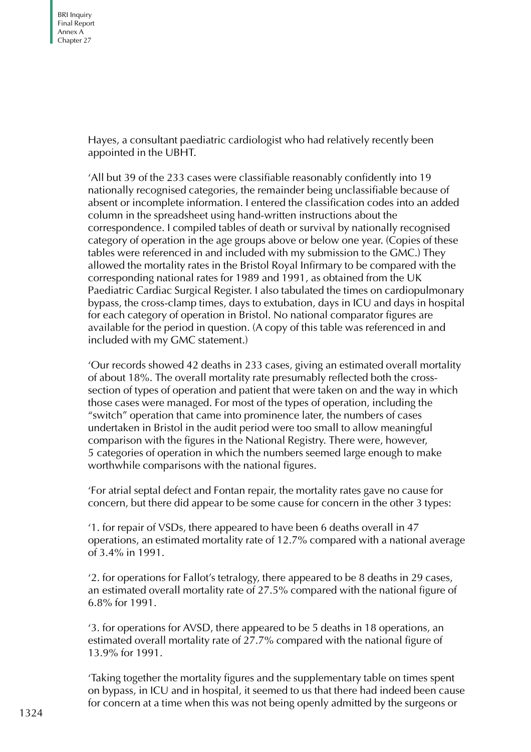Hayes, a consultant paediatric cardiologist who had relatively recently been appointed in the UBHT.

'All but 39 of the 233 cases were classifiable reasonably confidently into 19 nationally recognised categories, the remainder being unclassifiable because of absent or incomplete information. I entered the classification codes into an added column in the spreadsheet using hand-written instructions about the correspondence. I compiled tables of death or survival by nationally recognised category of operation in the age groups above or below one year. (Copies of these tables were referenced in and included with my submission to the GMC.) They allowed the mortality rates in the Bristol Royal Infirmary to be compared with the corresponding national rates for 1989 and 1991, as obtained from the UK Paediatric Cardiac Surgical Register. I also tabulated the times on cardiopulmonary bypass, the cross-clamp times, days to extubation, days in ICU and days in hospital for each category of operation in Bristol. No national comparator figures are available for the period in question. (A copy of this table was referenced in and included with my GMC statement.)

'Our records showed 42 deaths in 233 cases, giving an estimated overall mortality of about 18%. The overall mortality rate presumably reflected both the crosssection of types of operation and patient that were taken on and the way in which those cases were managed. For most of the types of operation, including the "switch" operation that came into prominence later, the numbers of cases undertaken in Bristol in the audit period were too small to allow meaningful comparison with the figures in the National Registry. There were, however, 5 categories of operation in which the numbers seemed large enough to make worthwhile comparisons with the national figures.

'For atrial septal defect and Fontan repair, the mortality rates gave no cause for concern, but there did appear to be some cause for concern in the other 3 types:

'1. for repair of VSDs, there appeared to have been 6 deaths overall in 47 operations, an estimated mortality rate of 12.7% compared with a national average of 3.4% in 1991.

'2. for operations for Fallot's tetralogy, there appeared to be 8 deaths in 29 cases, an estimated overall mortality rate of 27.5% compared with the national figure of 6.8% for 1991.

'3. for operations for AVSD, there appeared to be 5 deaths in 18 operations, an estimated overall mortality rate of 27.7% compared with the national figure of 13.9% for 1991.

'Taking together the mortality figures and the supplementary table on times spent on bypass, in ICU and in hospital, it seemed to us that there had indeed been cause for concern at a time when this was not being openly admitted by the surgeons or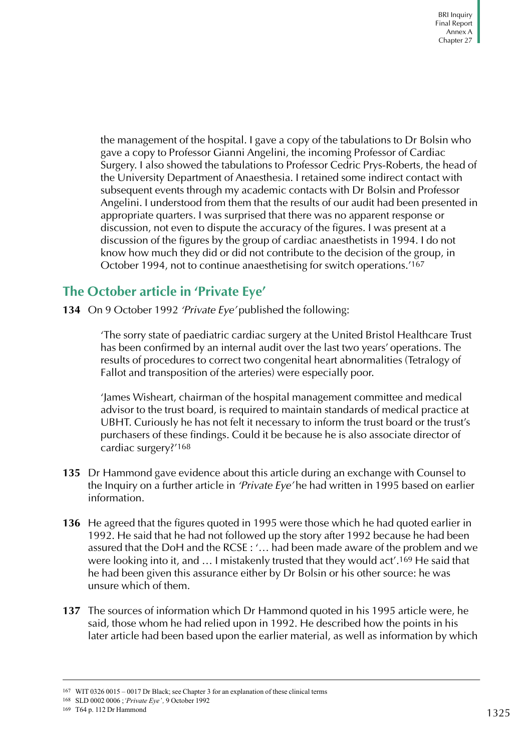the management of the hospital. I gave a copy of the tabulations to Dr Bolsin who gave a copy to Professor Gianni Angelini, the incoming Professor of Cardiac Surgery. I also showed the tabulations to Professor Cedric Prys-Roberts, the head of the University Department of Anaesthesia. I retained some indirect contact with subsequent events through my academic contacts with Dr Bolsin and Professor Angelini. I understood from them that the results of our audit had been presented in appropriate quarters. I was surprised that there was no apparent response or discussion, not even to dispute the accuracy of the figures. I was present at a discussion of the figures by the group of cardiac anaesthetists in 1994. I do not know how much they did or did not contribute to the decision of the group, in October 1994, not to continue anaesthetising for switch operations.'167

## **The October article in 'Private Eye'**

**134** On 9 October 1992 'Private Eye' published the following:

'The sorry state of paediatric cardiac surgery at the United Bristol Healthcare Trust has been confirmed by an internal audit over the last two years' operations. The results of procedures to correct two congenital heart abnormalities (Tetralogy of Fallot and transposition of the arteries) were especially poor.

'James Wisheart, chairman of the hospital management committee and medical advisor to the trust board, is required to maintain standards of medical practice at UBHT. Curiously he has not felt it necessary to inform the trust board or the trust's purchasers of these findings. Could it be because he is also associate director of cardiac surgery?'168

- **135** Dr Hammond gave evidence about this article during an exchange with Counsel to the Inquiry on a further article in 'Private Eye' he had written in 1995 based on earlier information.
- **136** He agreed that the figures quoted in 1995 were those which he had quoted earlier in 1992. He said that he had not followed up the story after 1992 because he had been assured that the DoH and the RCSE : '… had been made aware of the problem and we were looking into it, and … I mistakenly trusted that they would act'.169 He said that he had been given this assurance either by Dr Bolsin or his other source: he was unsure which of them.
- **137** The sources of information which Dr Hammond quoted in his 1995 article were, he said, those whom he had relied upon in 1992. He described how the points in his later article had been based upon the earlier material, as well as information by which

<sup>167</sup> WIT 0326 0015 – 0017 Dr Black; see Chapter 3 for an explanation of these clinical terms

<sup>168</sup> SLD 0002 0006 ;*'Private Eye' ,* 9 October 1992

<sup>169</sup> T64 p. 112 Dr Hammond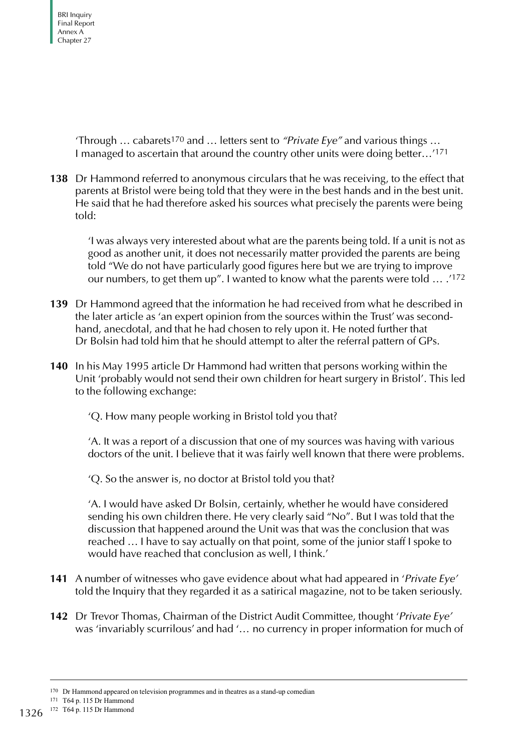BRI Inquiry Final Report Annex A Chapter 27

> 'Through  $\ldots$  cabarets<sup>170</sup> and  $\ldots$  letters sent to "*Private Eye*" and various things  $\ldots$ I managed to ascertain that around the country other units were doing better…'171

**138** Dr Hammond referred to anonymous circulars that he was receiving, to the effect that parents at Bristol were being told that they were in the best hands and in the best unit. He said that he had therefore asked his sources what precisely the parents were being told:

'I was always very interested about what are the parents being told. If a unit is not as good as another unit, it does not necessarily matter provided the parents are being told "We do not have particularly good figures here but we are trying to improve our numbers, to get them up". I wanted to know what the parents were told … .'172

- **139** Dr Hammond agreed that the information he had received from what he described in the later article as 'an expert opinion from the sources within the Trust' was secondhand, anecdotal, and that he had chosen to rely upon it. He noted further that Dr Bolsin had told him that he should attempt to alter the referral pattern of GPs.
- **140** In his May 1995 article Dr Hammond had written that persons working within the Unit 'probably would not send their own children for heart surgery in Bristol'. This led to the following exchange:

'Q. How many people working in Bristol told you that?

'A. It was a report of a discussion that one of my sources was having with various doctors of the unit. I believe that it was fairly well known that there were problems.

'Q. So the answer is, no doctor at Bristol told you that?

'A. I would have asked Dr Bolsin, certainly, whether he would have considered sending his own children there. He very clearly said "No". But I was told that the discussion that happened around the Unit was that was the conclusion that was reached … I have to say actually on that point, some of the junior staff I spoke to would have reached that conclusion as well, I think.'

- **141** A number of witnesses who gave evidence about what had appeared in 'Private Eye' told the Inquiry that they regarded it as a satirical magazine, not to be taken seriously.
- **142** Dr Trevor Thomas, Chairman of the District Audit Committee, thought 'Private Eye' was 'invariably scurrilous' and had '… no currency in proper information for much of

171 T64 p. 115 Dr Hammond

172 T64 p. 115 Dr Hammond

<sup>170</sup> Dr Hammond appeared on television programmes and in theatres as a stand-up comedian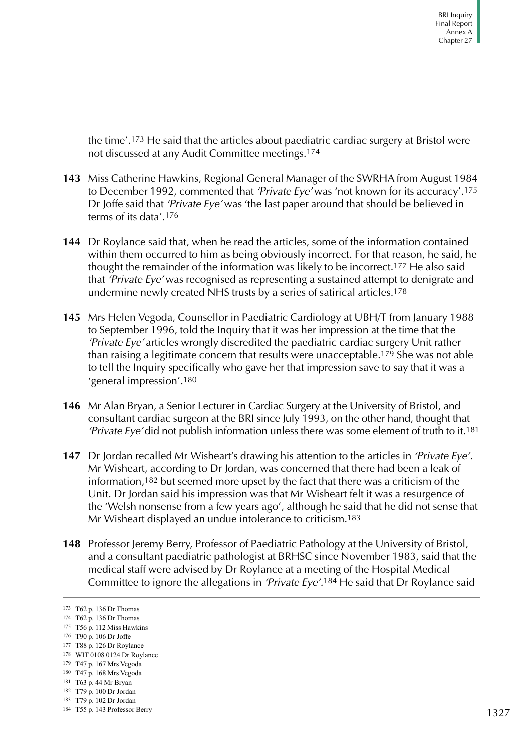the time'.173 He said that the articles about paediatric cardiac surgery at Bristol were not discussed at any Audit Committee meetings.174

- **143** Miss Catherine Hawkins, Regional General Manager of the SWRHA from August 1984 to December 1992, commented that 'Private Eye' was 'not known for its accuracy'.175 Dr Joffe said that 'Private Eye' was 'the last paper around that should be believed in terms of its data'.176
- **144** Dr Roylance said that, when he read the articles, some of the information contained within them occurred to him as being obviously incorrect. For that reason, he said, he thought the remainder of the information was likely to be incorrect.177 He also said that 'Private Eye' was recognised as representing a sustained attempt to denigrate and undermine newly created NHS trusts by a series of satirical articles.178
- **145** Mrs Helen Vegoda, Counsellor in Paediatric Cardiology at UBH/T from January 1988 to September 1996, told the Inquiry that it was her impression at the time that the 'Private Eye' articles wrongly discredited the paediatric cardiac surgery Unit rather than raising a legitimate concern that results were unacceptable.179 She was not able to tell the Inquiry specifically who gave her that impression save to say that it was a 'general impression'.180
- **146** Mr Alan Bryan, a Senior Lecturer in Cardiac Surgery at the University of Bristol, and consultant cardiac surgeon at the BRI since July 1993, on the other hand, thought that 'Private Eye' did not publish information unless there was some element of truth to it.181
- **147** Dr Jordan recalled Mr Wisheart's drawing his attention to the articles in 'Private Eye'. Mr Wisheart, according to Dr Jordan, was concerned that there had been a leak of information,182 but seemed more upset by the fact that there was a criticism of the Unit. Dr Jordan said his impression was that Mr Wisheart felt it was a resurgence of the 'Welsh nonsense from a few years ago', although he said that he did not sense that Mr Wisheart displayed an undue intolerance to criticism.183
- **148** Professor Jeremy Berry, Professor of Paediatric Pathology at the University of Bristol, and a consultant paediatric pathologist at BRHSC since November 1983, said that the medical staff were advised by Dr Roylance at a meeting of the Hospital Medical Committee to ignore the allegations in 'Private Eye'.184 He said that Dr Roylance said

<sup>173</sup> T62 p. 136 Dr Thomas

<sup>174</sup> T62 p. 136 Dr Thomas

<sup>175</sup> T56 p. 112 Miss Hawkins

<sup>176</sup> T90 p. 106 Dr Joffe

<sup>177</sup> T88 p. 126 Dr Roylance

<sup>178</sup> WIT 0108 0124 Dr Roylance

<sup>179</sup> T47 p. 167 Mrs Vegoda

<sup>180</sup> T47 p. 168 Mrs Vegoda

<sup>181</sup> T63 p. 44 Mr Bryan

<sup>182</sup> T79 p. 100 Dr Jordan 183 T79 p. 102 Dr Jordan

<sup>184</sup> T55 p. 143 Professor Berry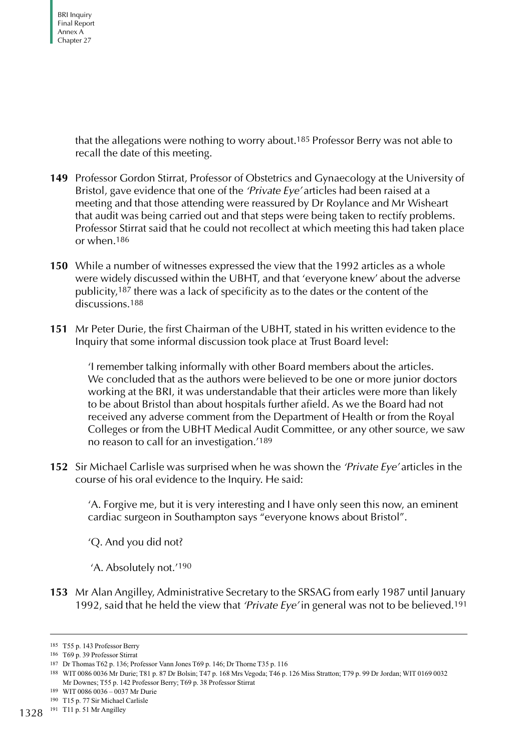that the allegations were nothing to worry about.185 Professor Berry was not able to recall the date of this meeting.

- **149** Professor Gordon Stirrat, Professor of Obstetrics and Gynaecology at the University of Bristol, gave evidence that one of the 'Private Eye' articles had been raised at a meeting and that those attending were reassured by Dr Roylance and Mr Wisheart that audit was being carried out and that steps were being taken to rectify problems. Professor Stirrat said that he could not recollect at which meeting this had taken place or when.186
- **150** While a number of witnesses expressed the view that the 1992 articles as a whole were widely discussed within the UBHT, and that 'everyone knew' about the adverse publicity,187 there was a lack of specificity as to the dates or the content of the discussions.<sup>188</sup>
- **151** Mr Peter Durie, the first Chairman of the UBHT, stated in his written evidence to the Inquiry that some informal discussion took place at Trust Board level:

'I remember talking informally with other Board members about the articles. We concluded that as the authors were believed to be one or more junior doctors working at the BRI, it was understandable that their articles were more than likely to be about Bristol than about hospitals further afield. As we the Board had not received any adverse comment from the Department of Health or from the Royal Colleges or from the UBHT Medical Audit Committee, or any other source, we saw no reason to call for an investigation.'189

**152** Sir Michael Carlisle was surprised when he was shown the 'Private Eye' articles in the course of his oral evidence to the Inquiry. He said:

'A. Forgive me, but it is very interesting and I have only seen this now, an eminent cardiac surgeon in Southampton says "everyone knows about Bristol".

'Q. And you did not?

'A. Absolutely not.'190

**153** Mr Alan Angilley, Administrative Secretary to the SRSAG from early 1987 until January 1992, said that he held the view that 'Private Eye' in general was not to be believed.191

<sup>185</sup> T55 p. 143 Professor Berry

<sup>186</sup> T69 p. 39 Professor Stirrat

<sup>187</sup> Dr Thomas T62 p. 136; Professor Vann Jones T69 p. 146; Dr Thorne T35 p. 116

<sup>188</sup> WIT 0086 0036 Mr Durie; T81 p. 87 Dr Bolsin; T47 p. 168 Mrs Vegoda; T46 p. 126 Miss Stratton; T79 p. 99 Dr Jordan; WIT 0169 0032 Mr Downes; T55 p. 142 Professor Berry; T69 p. 38 Professor Stirrat

<sup>189</sup> WIT 0086 0036 – 0037 Mr Durie

<sup>190</sup> T15 p. 77 Sir Michael Carlisle

<sup>1328 &</sup>lt;sup>191</sup> T11 p. 51 Mr Angilley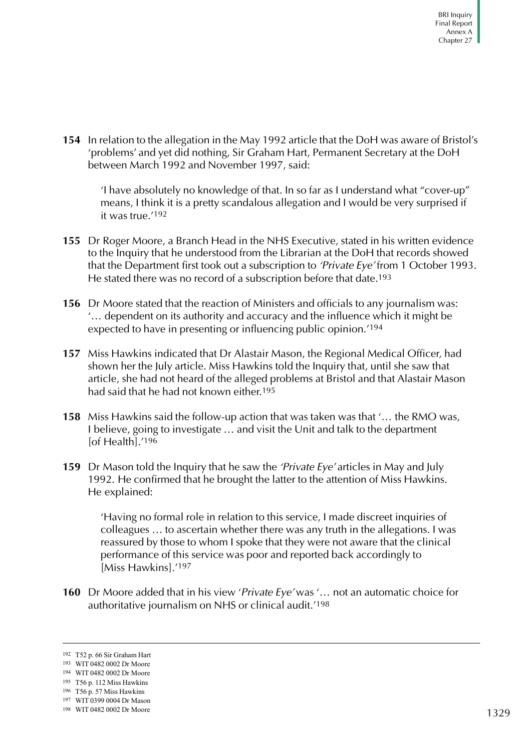**154** In relation to the allegation in the May 1992 article that the DoH was aware of Bristol's 'problems' and yet did nothing, Sir Graham Hart, Permanent Secretary at the DoH between March 1992 and November 1997, said:

'I have absolutely no knowledge of that. In so far as I understand what "cover-up" means, I think it is a pretty scandalous allegation and I would be very surprised if it was true.'192

- **155** Dr Roger Moore, a Branch Head in the NHS Executive, stated in his written evidence to the Inquiry that he understood from the Librarian at the DoH that records showed that the Department first took out a subscription to 'Private Eye' from 1 October 1993. He stated there was no record of a subscription before that date.193
- **156** Dr Moore stated that the reaction of Ministers and officials to any journalism was: '… dependent on its authority and accuracy and the influence which it might be expected to have in presenting or influencing public opinion.'194
- **157** Miss Hawkins indicated that Dr Alastair Mason, the Regional Medical Officer, had shown her the July article. Miss Hawkins told the Inquiry that, until she saw that article, she had not heard of the alleged problems at Bristol and that Alastair Mason had said that he had not known either.<sup>195</sup>
- **158** Miss Hawkins said the follow-up action that was taken was that '… the RMO was, I believe, going to investigate … and visit the Unit and talk to the department [of Health].'196
- **159** Dr Mason told the Inquiry that he saw the 'Private Eye' articles in May and July 1992. He confirmed that he brought the latter to the attention of Miss Hawkins. He explained:

'Having no formal role in relation to this service, I made discreet inquiries of colleagues … to ascertain whether there was any truth in the allegations. I was reassured by those to whom I spoke that they were not aware that the clinical performance of this service was poor and reported back accordingly to [Miss Hawkins].'197

**160** Dr Moore added that in his view 'Private Eye' was '… not an automatic choice for authoritative journalism on NHS or clinical audit.'198

<sup>192</sup> T52 p. 66 Sir Graham Hart

<sup>193</sup> WIT 0482 0002 Dr Moore

<sup>194</sup> WIT 0482 0002 Dr Moore

<sup>195</sup> T56 p. 112 Miss Hawkins

<sup>196</sup> T56 p. 57 Miss Hawkins

<sup>197</sup> WIT 0399 0004 Dr Mason

<sup>198</sup> WIT 0482 0002 Dr Moore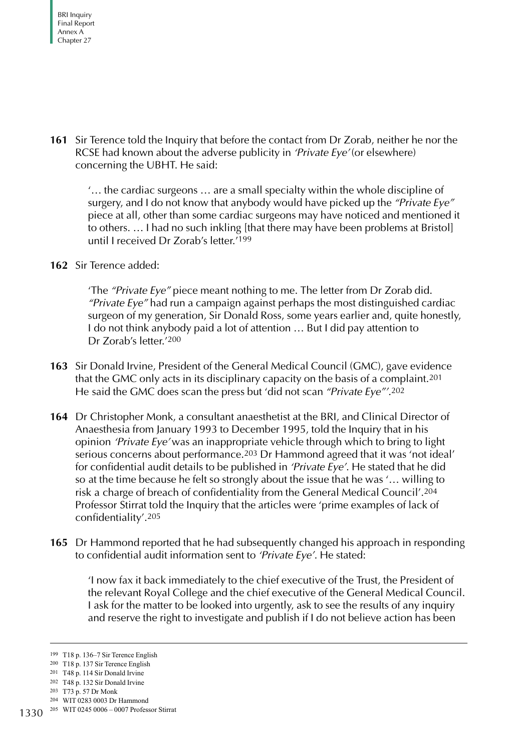**161** Sir Terence told the Inquiry that before the contact from Dr Zorab, neither he nor the RCSE had known about the adverse publicity in 'Private Eye' (or elsewhere) concerning the UBHT. He said:

'… the cardiac surgeons … are a small specialty within the whole discipline of surgery, and I do not know that anybody would have picked up the "Private Eye" piece at all, other than some cardiac surgeons may have noticed and mentioned it to others. … I had no such inkling [that there may have been problems at Bristol] until I received Dr Zorab's letter.'199

#### **162** Sir Terence added:

'The "Private Eye" piece meant nothing to me. The letter from Dr Zorab did. "Private Eye" had run a campaign against perhaps the most distinguished cardiac surgeon of my generation, Sir Donald Ross, some years earlier and, quite honestly, I do not think anybody paid a lot of attention … But I did pay attention to Dr Zorab's letter.'200

- **163** Sir Donald Irvine, President of the General Medical Council (GMC), gave evidence that the GMC only acts in its disciplinary capacity on the basis of a complaint.201 He said the GMC does scan the press but 'did not scan "Private Eye"'.202
- **164** Dr Christopher Monk, a consultant anaesthetist at the BRI, and Clinical Director of Anaesthesia from January 1993 to December 1995, told the Inquiry that in his opinion 'Private Eye' was an inappropriate vehicle through which to bring to light serious concerns about performance.203 Dr Hammond agreed that it was 'not ideal' for confidential audit details to be published in 'Private Eye'. He stated that he did so at the time because he felt so strongly about the issue that he was '… willing to risk a charge of breach of confidentiality from the General Medical Council'.204 Professor Stirrat told the Inquiry that the articles were 'prime examples of lack of confidentiality'.205
- **165** Dr Hammond reported that he had subsequently changed his approach in responding to confidential audit information sent to 'Private Eye'. He stated:

'I now fax it back immediately to the chief executive of the Trust, the President of the relevant Royal College and the chief executive of the General Medical Council. I ask for the matter to be looked into urgently, ask to see the results of any inquiry and reserve the right to investigate and publish if I do not believe action has been

<sup>199</sup> T18 p. 136–7 Sir Terence English

<sup>200</sup> T18 p. 137 Sir Terence English

<sup>201</sup> T48 p. 114 Sir Donald Irvine

<sup>202</sup> T48 p. 132 Sir Donald Irvine

<sup>203</sup> T73 p. 57 Dr Monk

<sup>204</sup> WIT 0283 0003 Dr Hammond

<sup>1330</sup> 205 WIT 0245 0006 – 0007 Professor Stirrat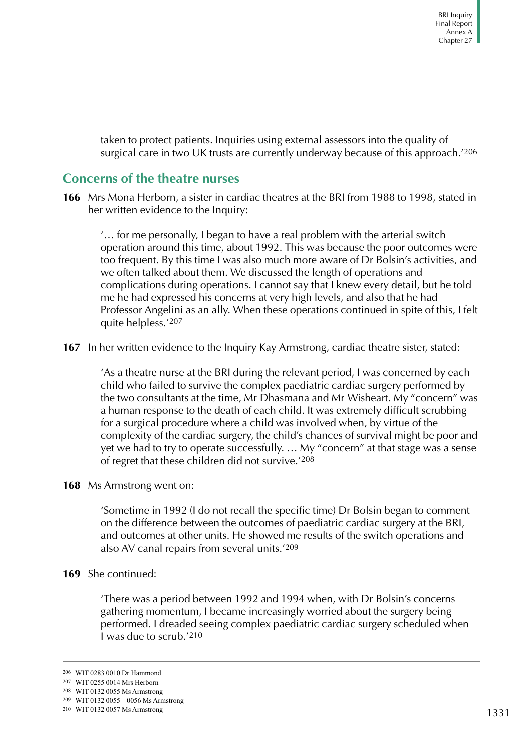taken to protect patients. Inquiries using external assessors into the quality of surgical care in two UK trusts are currently underway because of this approach.'206

### **Concerns of the theatre nurses**

**166** Mrs Mona Herborn, a sister in cardiac theatres at the BRI from 1988 to 1998, stated in her written evidence to the Inquiry:

'… for me personally, I began to have a real problem with the arterial switch operation around this time, about 1992. This was because the poor outcomes were too frequent. By this time I was also much more aware of Dr Bolsin's activities, and we often talked about them. We discussed the length of operations and complications during operations. I cannot say that I knew every detail, but he told me he had expressed his concerns at very high levels, and also that he had Professor Angelini as an ally. When these operations continued in spite of this, I felt quite helpless.'207

**167** In her written evidence to the Inquiry Kay Armstrong, cardiac theatre sister, stated:

'As a theatre nurse at the BRI during the relevant period, I was concerned by each child who failed to survive the complex paediatric cardiac surgery performed by the two consultants at the time, Mr Dhasmana and Mr Wisheart. My "concern" was a human response to the death of each child. It was extremely difficult scrubbing for a surgical procedure where a child was involved when, by virtue of the complexity of the cardiac surgery, the child's chances of survival might be poor and yet we had to try to operate successfully. … My "concern" at that stage was a sense of regret that these children did not survive.'208

**168** Ms Armstrong went on:

'Sometime in 1992 (I do not recall the specific time) Dr Bolsin began to comment on the difference between the outcomes of paediatric cardiac surgery at the BRI, and outcomes at other units. He showed me results of the switch operations and also AV canal repairs from several units.'209

#### **169** She continued:

'There was a period between 1992 and 1994 when, with Dr Bolsin's concerns gathering momentum, I became increasingly worried about the surgery being performed. I dreaded seeing complex paediatric cardiac surgery scheduled when I was due to scrub.'210

<sup>206</sup> WIT 0283 0010 Dr Hammond

<sup>207</sup> WIT 0255 0014 Mrs Herborn

<sup>208</sup> WIT 0132 0055 Ms Armstrong

<sup>209</sup> WIT 0132 0055 – 0056 Ms Armstrong

<sup>210</sup> WIT 0132 0057 Ms Armstrong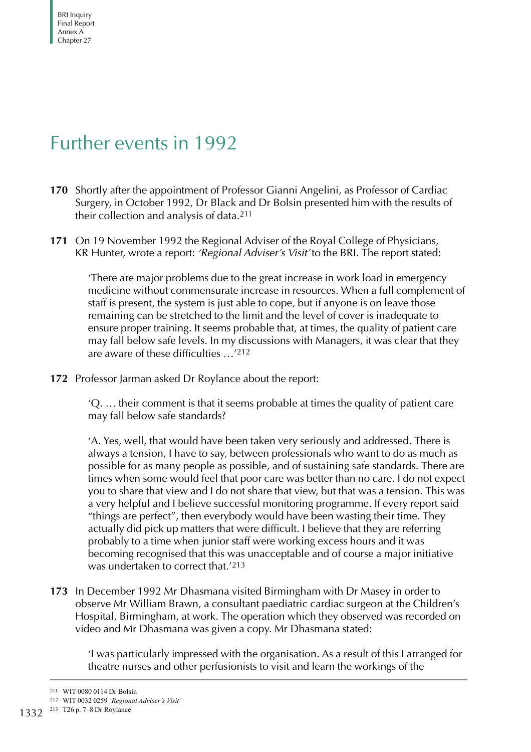## Further events in 1992

- **170** Shortly after the appointment of Professor Gianni Angelini, as Professor of Cardiac Surgery, in October 1992, Dr Black and Dr Bolsin presented him with the results of their collection and analysis of data.211
- **171** On 19 November 1992 the Regional Adviser of the Royal College of Physicians, KR Hunter, wrote a report: 'Regional Adviser's Visit' to the BRI. The report stated:

'There are major problems due to the great increase in work load in emergency medicine without commensurate increase in resources. When a full complement of staff is present, the system is just able to cope, but if anyone is on leave those remaining can be stretched to the limit and the level of cover is inadequate to ensure proper training. It seems probable that, at times, the quality of patient care may fall below safe levels. In my discussions with Managers, it was clear that they are aware of these difficulties …'212

**172** Professor Jarman asked Dr Roylance about the report:

'Q. … their comment is that it seems probable at times the quality of patient care may fall below safe standards?

'A. Yes, well, that would have been taken very seriously and addressed. There is always a tension, I have to say, between professionals who want to do as much as possible for as many people as possible, and of sustaining safe standards. There are times when some would feel that poor care was better than no care. I do not expect you to share that view and I do not share that view, but that was a tension. This was a very helpful and I believe successful monitoring programme. If every report said "things are perfect", then everybody would have been wasting their time. They actually did pick up matters that were difficult. I believe that they are referring probably to a time when junior staff were working excess hours and it was becoming recognised that this was unacceptable and of course a major initiative was undertaken to correct that.'213

**173** In December 1992 Mr Dhasmana visited Birmingham with Dr Masey in order to observe Mr William Brawn, a consultant paediatric cardiac surgeon at the Children's Hospital, Birmingham, at work. The operation which they observed was recorded on video and Mr Dhasmana was given a copy. Mr Dhasmana stated:

'I was particularly impressed with the organisation. As a result of this I arranged for theatre nurses and other perfusionists to visit and learn the workings of the

<sup>211</sup> WIT 0080 0114 Dr Bolsin

<sup>212</sup> WIT 0032 0259 *'Regional Adviser's Visit'*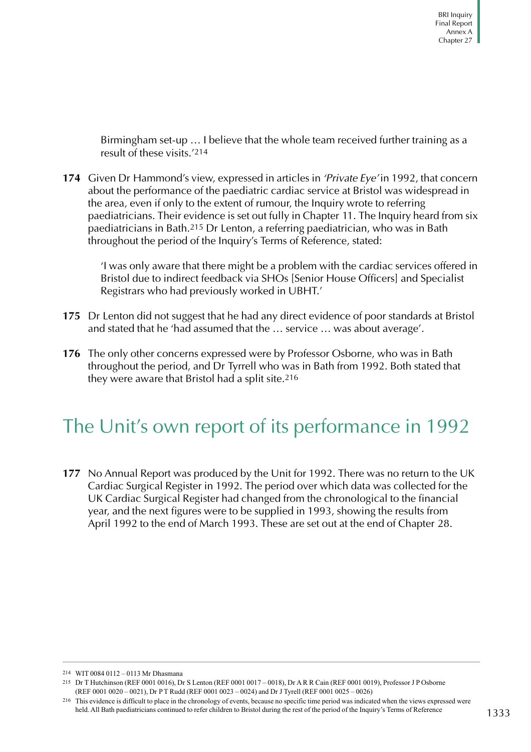Birmingham set-up … I believe that the whole team received further training as a result of these visits.'214

**174** Given Dr Hammond's view, expressed in articles in 'Private Eye' in 1992, that concern about the performance of the paediatric cardiac service at Bristol was widespread in the area, even if only to the extent of rumour, the Inquiry wrote to referring paediatricians. Their evidence is set out fully in Chapter 11. The Inquiry heard from six paediatricians in Bath.215 Dr Lenton, a referring paediatrician, who was in Bath throughout the period of the Inquiry's Terms of Reference, stated:

'I was only aware that there might be a problem with the cardiac services offered in Bristol due to indirect feedback via SHOs [Senior House Officers] and Specialist Registrars who had previously worked in UBHT.'

- **175** Dr Lenton did not suggest that he had any direct evidence of poor standards at Bristol and stated that he 'had assumed that the … service … was about average'.
- **176** The only other concerns expressed were by Professor Osborne, who was in Bath throughout the period, and Dr Tyrrell who was in Bath from 1992. Both stated that they were aware that Bristol had a split site.216

# The Unit's own report of its performance in 1992

**177** No Annual Report was produced by the Unit for 1992. There was no return to the UK Cardiac Surgical Register in 1992. The period over which data was collected for the UK Cardiac Surgical Register had changed from the chronological to the financial year, and the next figures were to be supplied in 1993, showing the results from April 1992 to the end of March 1993. These are set out at the end of Chapter 28.

<sup>214</sup> WIT 0084 0112 – 0113 Mr Dhasmana

<sup>215</sup> Dr T Hutchinson (REF 0001 0016), Dr S Lenton (REF 0001 0017 – 0018), Dr A R R Cain (REF 0001 0019), Professor J P Osborne (REF 0001 0020 – 0021), Dr P T Rudd (REF 0001 0023 – 0024) and Dr J Tyrell (REF 0001 0025 – 0026)

<sup>216</sup> This evidence is difficult to place in the chronology of events, because no specific time period was indicated when the views expressed were held. All Bath paediatricians continued to refer children to Bristol during the rest of the period of the Inquiry's Terms of Reference